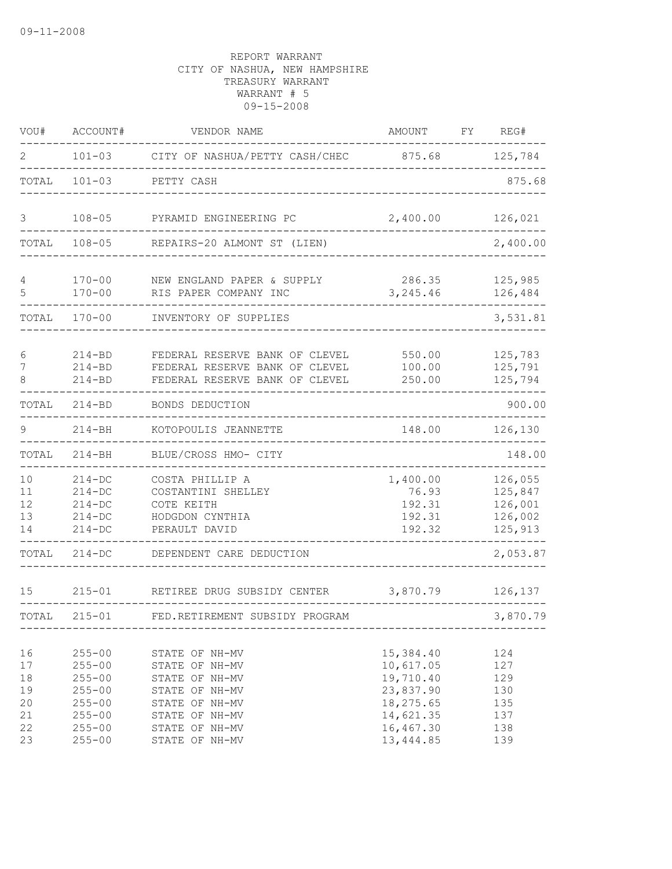| VOU#                                         | ACCOUNT#                                                                                                     | VENDOR NAME                                                                                                                                  | AMOUNT                                                                                                | FY. | REG#                                                 |
|----------------------------------------------|--------------------------------------------------------------------------------------------------------------|----------------------------------------------------------------------------------------------------------------------------------------------|-------------------------------------------------------------------------------------------------------|-----|------------------------------------------------------|
| 2                                            | $101 - 03$                                                                                                   | CITY OF NASHUA/PETTY CASH/CHEC                                                                                                               | 875.68                                                                                                |     | 125,784                                              |
| TOTAL                                        | $101 - 03$                                                                                                   | PETTY CASH                                                                                                                                   |                                                                                                       |     | 875.68                                               |
| 3                                            | $108 - 05$                                                                                                   | PYRAMID ENGINEERING PC                                                                                                                       | 2,400.00                                                                                              |     | 126,021                                              |
| TOTAL                                        | $108 - 05$                                                                                                   | REPAIRS-20 ALMONT ST (LIEN)                                                                                                                  |                                                                                                       |     | 2,400.00                                             |
| 4<br>5                                       | $170 - 00$<br>$170 - 00$                                                                                     | NEW ENGLAND PAPER & SUPPLY<br>RIS PAPER COMPANY INC                                                                                          | 286.35<br>3,245.46                                                                                    |     | 125,985<br>126,484                                   |
| TOTAL                                        | $170 - 00$                                                                                                   | INVENTORY OF SUPPLIES                                                                                                                        |                                                                                                       |     | 3,531.81                                             |
| 6<br>7<br>8                                  | $214 - BD$<br>$214 - BD$<br>$214 - BD$                                                                       | FEDERAL RESERVE BANK OF CLEVEL<br>FEDERAL RESERVE BANK OF CLEVEL<br>FEDERAL RESERVE BANK OF CLEVEL                                           | 550.00<br>100.00<br>250.00                                                                            |     | 125,783<br>125,791<br>125,794                        |
| TOTAL                                        | $214 - BD$                                                                                                   | BONDS DEDUCTION                                                                                                                              |                                                                                                       |     | 900.00                                               |
| 9                                            | $214 - BH$                                                                                                   | KOTOPOULIS JEANNETTE                                                                                                                         | 148.00                                                                                                |     | 126,130                                              |
| TOTAL                                        | $214 - BH$                                                                                                   | BLUE/CROSS HMO- CITY                                                                                                                         |                                                                                                       |     | 148.00                                               |
| 10<br>11<br>12<br>13<br>14                   | $214 - DC$<br>$214 - DC$<br>$214-DC$<br>$214 - DC$<br>$214 - DC$                                             | COSTA PHILLIP A<br>COSTANTINI SHELLEY<br>COTE KEITH<br>HODGDON CYNTHIA<br>PERAULT DAVID                                                      | 1,400.00<br>76.93<br>192.31<br>192.31<br>192.32                                                       |     | 126,055<br>125,847<br>126,001<br>126,002<br>125,913  |
| TOTAL                                        | $214-DC$                                                                                                     | DEPENDENT CARE DEDUCTION                                                                                                                     |                                                                                                       |     | 2,053.87                                             |
| 15                                           | $215 - 01$                                                                                                   | RETIREE DRUG SUBSIDY CENTER                                                                                                                  | 3,870.79                                                                                              |     | 126,137                                              |
| TOTAL                                        | $215 - 01$                                                                                                   | FED.RETIREMENT SUBSIDY PROGRAM                                                                                                               |                                                                                                       |     | 3,870.79                                             |
| 16<br>17<br>18<br>19<br>20<br>21<br>22<br>23 | $255 - 00$<br>$255 - 00$<br>$255 - 00$<br>$255 - 00$<br>$255 - 00$<br>$255 - 00$<br>$255 - 00$<br>$255 - 00$ | STATE OF NH-MV<br>STATE OF NH-MV<br>STATE OF NH-MV<br>STATE OF NH-MV<br>STATE OF NH-MV<br>STATE OF NH-MV<br>STATE OF NH-MV<br>STATE OF NH-MV | 15,384.40<br>10,617.05<br>19,710.40<br>23,837.90<br>18,275.65<br>14,621.35<br>16,467.30<br>13, 444.85 |     | 124<br>127<br>129<br>130<br>135<br>137<br>138<br>139 |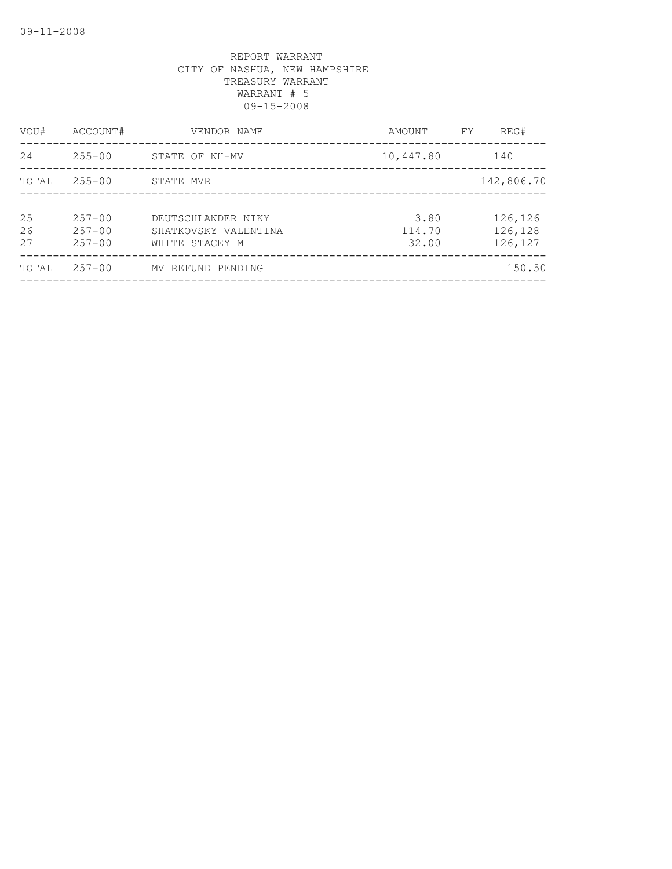| VOU#           | ACCOUNT#                               | VENDOR NAME                                                  | AMOUNT                  | FY | REG#                          |
|----------------|----------------------------------------|--------------------------------------------------------------|-------------------------|----|-------------------------------|
| 24             | $255 - 00$                             | STATE OF NH-MV                                               | 10,447.80               |    | 140                           |
| TOTAL          | $255 - 00$                             | STATE MVR                                                    |                         |    | 142,806.70                    |
| 25<br>26<br>27 | $257 - 00$<br>$257 - 00$<br>$257 - 00$ | DEUTSCHLANDER NIKY<br>SHATKOVSKY VALENTINA<br>WHITE STACEY M | 3.80<br>114.70<br>32.00 |    | 126,126<br>126,128<br>126,127 |
| TOTAL          | $257 - 00$                             | MV REFUND PENDING                                            |                         |    | 150.50                        |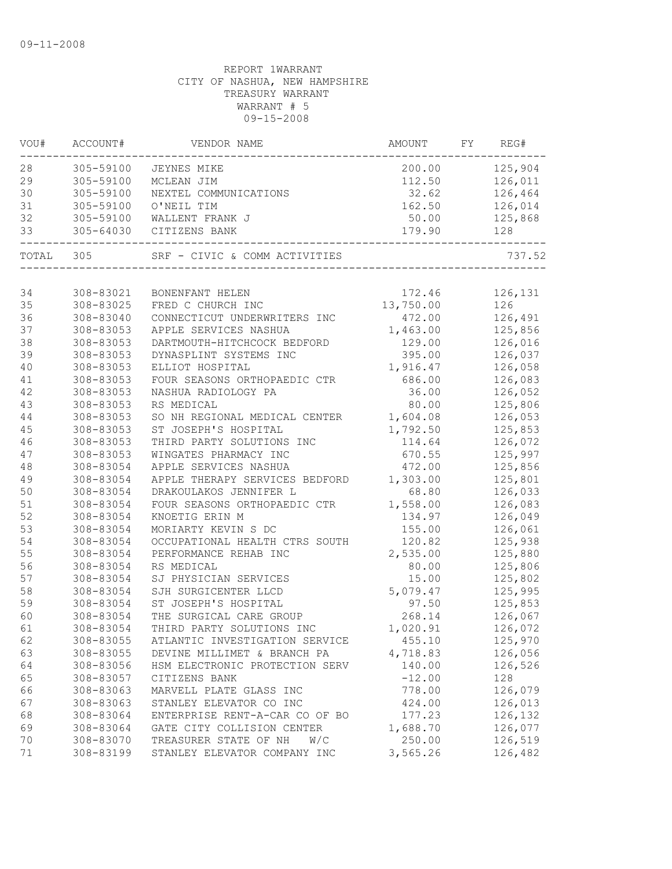| VOU# | ACCOUNT#      | VENDOR NAME                    | AMOUNT    | FY | REG#    |
|------|---------------|--------------------------------|-----------|----|---------|
| 28   | 305-59100     | JEYNES MIKE                    | 200.00    |    | 125,904 |
| 29   | 305-59100     | MCLEAN JIM                     | 112.50    |    | 126,011 |
| 30   | 305-59100     | NEXTEL COMMUNICATIONS          | 32.62     |    | 126,464 |
| 31   | 305-59100     | O'NEIL TIM                     | 162.50    |    | 126,014 |
| 32   | 305-59100     | WALLENT FRANK J                | 50.00     |    | 125,868 |
| 33   | $305 - 64030$ | CITIZENS BANK                  | 179.90    |    | 128     |
|      | TOTAL 305     | SRF - CIVIC & COMM ACTIVITIES  |           |    | 737.52  |
|      |               |                                |           |    |         |
| 34   | 308-83021     | BONENFANT HELEN                | 172.46    |    | 126,131 |
| 35   | 308-83025     | FRED C CHURCH INC              | 13,750.00 |    | 126     |
| 36   | 308-83040     | CONNECTICUT UNDERWRITERS INC   | 472.00    |    | 126,491 |
| 37   | 308-83053     | APPLE SERVICES NASHUA          | 1,463.00  |    | 125,856 |
| 38   | 308-83053     | DARTMOUTH-HITCHCOCK BEDFORD    | 129.00    |    | 126,016 |
| 39   | 308-83053     | DYNASPLINT SYSTEMS INC         | 395.00    |    | 126,037 |
| 40   | 308-83053     | ELLIOT HOSPITAL                | 1,916.47  |    | 126,058 |
| 41   | 308-83053     | FOUR SEASONS ORTHOPAEDIC CTR   | 686.00    |    | 126,083 |
| 42   | 308-83053     | NASHUA RADIOLOGY PA            | 36.00     |    | 126,052 |
| 43   | 308-83053     | RS MEDICAL                     | 80.00     |    | 125,806 |
| 44   | 308-83053     | SO NH REGIONAL MEDICAL CENTER  | 1,604.08  |    | 126,053 |
| 45   | 308-83053     | ST JOSEPH'S HOSPITAL           | 1,792.50  |    | 125,853 |
| 46   | 308-83053     | THIRD PARTY SOLUTIONS INC      | 114.64    |    | 126,072 |
| 47   | 308-83053     | WINGATES PHARMACY INC          | 670.55    |    | 125,997 |
| 48   | 308-83054     | APPLE SERVICES NASHUA          | 472.00    |    | 125,856 |
| 49   | 308-83054     | APPLE THERAPY SERVICES BEDFORD | 1,303.00  |    | 125,801 |
| 50   | 308-83054     | DRAKOULAKOS JENNIFER L         | 68.80     |    | 126,033 |
| 51   | 308-83054     | FOUR SEASONS ORTHOPAEDIC CTR   | 1,558.00  |    | 126,083 |
| 52   | 308-83054     | KNOETIG ERIN M                 | 134.97    |    | 126,049 |
| 53   | 308-83054     | MORIARTY KEVIN S DC            | 155.00    |    | 126,061 |
| 54   | 308-83054     | OCCUPATIONAL HEALTH CTRS SOUTH | 120.82    |    | 125,938 |
| 55   | 308-83054     | PERFORMANCE REHAB INC          | 2,535.00  |    | 125,880 |
| 56   | 308-83054     | RS MEDICAL                     | 80.00     |    | 125,806 |
| 57   | 308-83054     | SJ PHYSICIAN SERVICES          | 15.00     |    | 125,802 |
| 58   | 308-83054     | SJH SURGICENTER LLCD           | 5,079.47  |    | 125,995 |
| 59   | 308-83054     | ST JOSEPH'S HOSPITAL           | 97.50     |    | 125,853 |
| 60   | 308-83054     | THE SURGICAL CARE GROUP        | 268.14    |    | 126,067 |
| 61   | 308-83054     | THIRD PARTY SOLUTIONS INC      | 1,020.91  |    | 126,072 |
| 62   | 308-83055     | ATLANTIC INVESTIGATION SERVICE | 455.10    |    | 125,970 |
| 63   | 308-83055     | DEVINE MILLIMET & BRANCH PA    | 4,718.83  |    | 126,056 |
| 64   | 308-83056     | HSM ELECTRONIC PROTECTION SERV | 140.00    |    | 126,526 |
| 65   | 308-83057     | CITIZENS BANK                  | $-12.00$  |    | 128     |
| 66   | 308-83063     | MARVELL PLATE GLASS INC        | 778.00    |    | 126,079 |
| 67   | 308-83063     | STANLEY ELEVATOR CO INC        | 424.00    |    | 126,013 |
| 68   | 308-83064     | ENTERPRISE RENT-A-CAR CO OF BO | 177.23    |    | 126,132 |
| 69   | 308-83064     | GATE CITY COLLISION CENTER     | 1,688.70  |    | 126,077 |
| 70   | 308-83070     | TREASURER STATE OF NH<br>W/C   | 250.00    |    | 126,519 |
| 71   | 308-83199     | STANLEY ELEVATOR COMPANY INC   | 3,565.26  |    | 126,482 |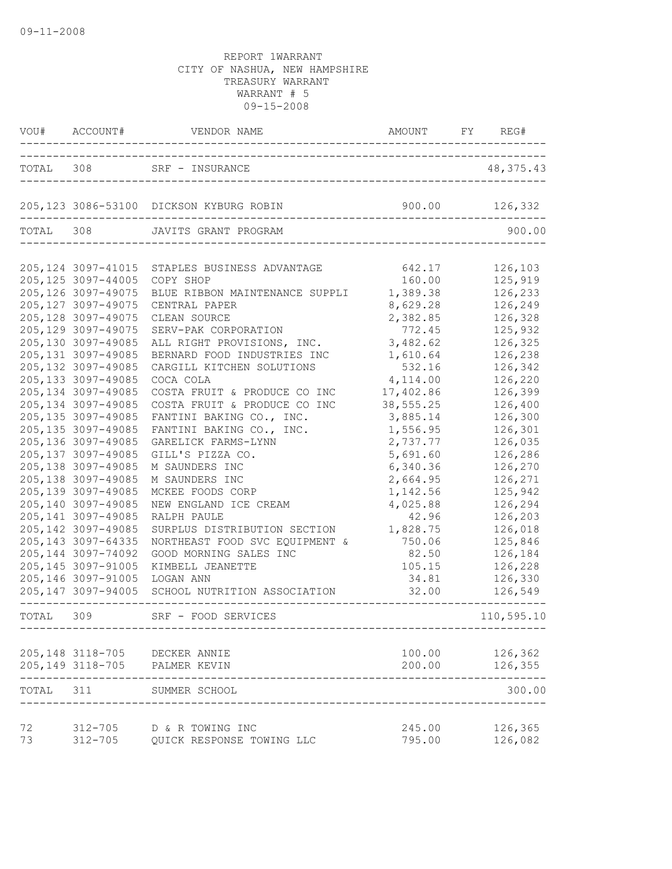|           | VOU# ACCOUNT#              | VENDOR NAME AMOUNT                                               | AMOUNT FY REG#   |                    |
|-----------|----------------------------|------------------------------------------------------------------|------------------|--------------------|
|           |                            | TOTAL 308 SRF - INSURANCE<br>___________________________________ |                  | 48, 375. 43        |
|           |                            | 205,123 3086-53100 DICKSON KYBURG ROBIN                          | 900.00           | 126,332            |
| TOTAL 308 |                            | JAVITS GRANT PROGRAM                                             |                  | 900.00             |
|           |                            | 205,124 3097-41015 STAPLES BUSINESS ADVANTAGE                    | 642.17           | 126,103            |
|           | 205, 125 3097-44005        | COPY SHOP                                                        | 160.00           | 125,919            |
|           | 205, 126 3097-49075        | BLUE RIBBON MAINTENANCE SUPPLI                                   | 1,389.38         | 126,233            |
|           | 205, 127 3097-49075        | CENTRAL PAPER                                                    | 8,629.28         | 126,249            |
|           | 205, 128 3097-49075        | CLEAN SOURCE                                                     | 2,382.85         | 126,328            |
|           | 205, 129 3097-49075        | SERV-PAK CORPORATION                                             | 772.45           | 125,932            |
|           | 205,130 3097-49085         | ALL RIGHT PROVISIONS, INC.                                       | 3,482.62         | 126,325            |
|           | 205, 131 3097-49085        | BERNARD FOOD INDUSTRIES INC                                      | 1,610.64         | 126,238            |
|           | 205, 132 3097-49085        | CARGILL KITCHEN SOLUTIONS                                        | 532.16           | 126,342            |
|           | 205, 133 3097-49085        | COCA COLA                                                        | 4,114.00         | 126,220            |
|           | 205, 134 3097-49085        | COSTA FRUIT & PRODUCE CO INC                                     | 17,402.86        | 126,399            |
|           | 205, 134 3097-49085        | COSTA FRUIT & PRODUCE CO INC                                     | 38,555.25        | 126,400            |
|           | 205, 135 3097-49085        | FANTINI BAKING CO., INC.                                         | 3,885.14         | 126,300            |
|           | 205, 135 3097-49085        | FANTINI BAKING CO., INC.                                         | 1,556.95         | 126,301            |
|           | 205,136 3097-49085         | GARELICK FARMS-LYNN                                              | 2,737.77         | 126,035            |
|           | 205, 137 3097-49085        | GILL'S PIZZA CO.                                                 | 5,691.60         | 126,286            |
|           | 205, 138 3097-49085        | M SAUNDERS INC                                                   | 6,340.36         | 126,270            |
|           | 205, 138 3097-49085        | M SAUNDERS INC                                                   | 2,664.95         | 126,271            |
|           | 205, 139 3097-49085        | MCKEE FOODS CORP                                                 | 1,142.56         | 125,942            |
|           | 205,140 3097-49085         | NEW ENGLAND ICE CREAM                                            | 4,025.88         | 126,294            |
|           | 205, 141 3097-49085        | RALPH PAULE                                                      | 42.96            | 126,203            |
|           | 205, 142 3097-49085        | SURPLUS DISTRIBUTION SECTION                                     | 1,828.75         | 126,018            |
|           | 205, 143 3097-64335        | NORTHEAST FOOD SVC EQUIPMENT &                                   | 750.06           | 125,846            |
|           | 205, 144 3097-74092        | GOOD MORNING SALES INC                                           | 82.50            | 126,184            |
|           | 205, 145 3097-91005        | KIMBELL JEANETTE                                                 | 105.15           | 126,228            |
|           | 205, 146 3097-91005        | LOGAN ANN                                                        | 34.81            | 126,330            |
|           |                            | 205,147 3097-94005 SCHOOL NUTRITION ASSOCIATION                  | 32.00            | 126,549            |
| TOTAL     | 309                        | SRF - FOOD SERVICES                                              |                  | 110,595.10         |
|           |                            |                                                                  |                  |                    |
|           |                            | 205,148 3118-705 DECKER ANNIE                                    | 100.00           | 126,362            |
|           | 205, 149 3118-705          | PALMER KEVIN                                                     | 200.00           | 126,355            |
| TOTAL     | 311                        | SUMMER SCHOOL                                                    |                  | 300.00             |
|           |                            |                                                                  |                  |                    |
| 72<br>73  | $312 - 705$<br>$312 - 705$ | D & R TOWING INC<br>QUICK RESPONSE TOWING LLC                    | 245.00<br>795.00 | 126,365<br>126,082 |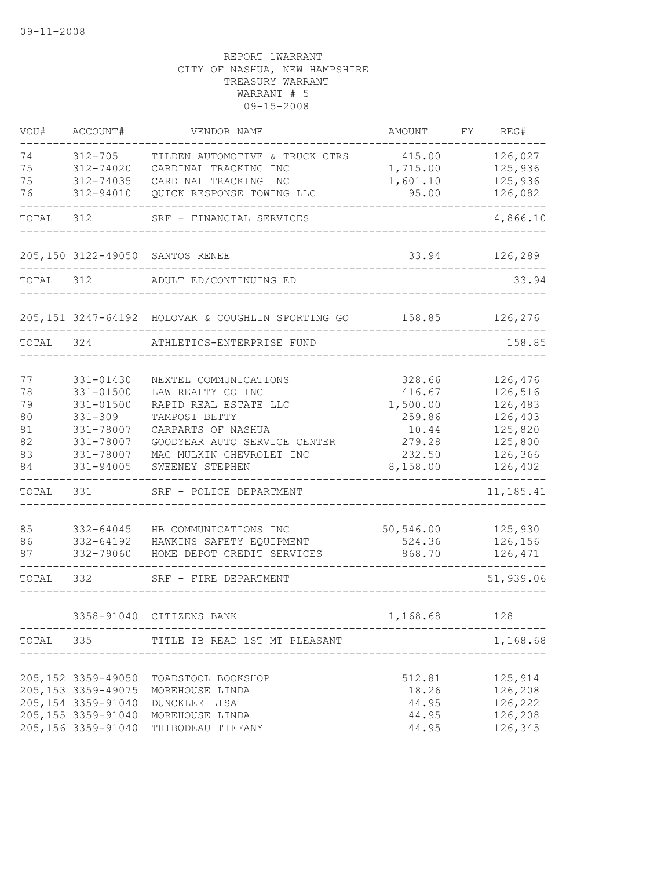| VOU#  | ACCOUNT#            | VENDOR NAME                                             | AMOUNT    | FY | REG#      |
|-------|---------------------|---------------------------------------------------------|-----------|----|-----------|
| 74    | $312 - 705$         | TILDEN AUTOMOTIVE & TRUCK CTRS                          | 415.00    |    | 126,027   |
| 75    | 312-74020           | CARDINAL TRACKING INC                                   | 1,715.00  |    | 125,936   |
| 75    | 312-74035           | CARDINAL TRACKING INC                                   | 1,601.10  |    | 125,936   |
| 76    | 312-94010           | QUICK RESPONSE TOWING LLC                               | 95.00     |    | 126,082   |
| TOTAL | 312                 | SRF - FINANCIAL SERVICES                                |           |    | 4,866.10  |
|       |                     | 205,150 3122-49050 SANTOS RENEE                         | 33.94     |    | 126,289   |
| TOTAL | 312                 | ADULT ED/CONTINUING ED                                  |           |    | 33.94     |
|       |                     | 205,151 3247-64192 HOLOVAK & COUGHLIN SPORTING GO 38.85 |           |    | 126,276   |
| TOTAL | 324                 | ATHLETICS-ENTERPRISE FUND                               |           |    | 158.85    |
|       |                     |                                                         |           |    |           |
| 77    | 331-01430           | NEXTEL COMMUNICATIONS                                   | 328.66    |    | 126,476   |
| 78    | 331-01500           | LAW REALTY CO INC                                       | 416.67    |    | 126,516   |
| 79    | 331-01500           | RAPID REAL ESTATE LLC                                   | 1,500.00  |    | 126,483   |
| 80    | $331 - 309$         | TAMPOSI BETTY                                           | 259.86    |    | 126,403   |
| 81    | 331-78007           | CARPARTS OF NASHUA                                      | 10.44     |    | 125,820   |
| 82    | 331-78007           | GOODYEAR AUTO SERVICE CENTER                            | 279.28    |    | 125,800   |
| 83    | 331-78007           | MAC MULKIN CHEVROLET INC                                | 232.50    |    | 126,366   |
| 84    | 331-94005           | SWEENEY STEPHEN                                         | 8,158.00  |    | 126,402   |
| TOTAL | 331                 | SRF - POLICE DEPARTMENT                                 |           |    | 11,185.41 |
| 85    | 332-64045           | HB COMMUNICATIONS INC                                   | 50,546.00 |    | 125,930   |
| 86    | 332-64192           | HAWKINS SAFETY EQUIPMENT                                | 524.36    |    | 126,156   |
| 87    | 332-79060           | HOME DEPOT CREDIT SERVICES                              | 868.70    |    | 126,471   |
| TOTAL | 332                 | SRF - FIRE DEPARTMENT                                   |           |    | 51,939.06 |
|       |                     | 3358-91040 CITIZENS BANK                                | 1,168.68  |    | 128       |
|       |                     | TOTAL 335 TITLE IB READ 1ST MT PLEASANT                 |           |    | 1,168.68  |
|       |                     |                                                         |           |    |           |
|       | 205,152 3359-49050  | TOADSTOOL BOOKSHOP                                      | 512.81    |    | 125,914   |
|       | 205, 153 3359-49075 | MOREHOUSE LINDA                                         | 18.26     |    | 126,208   |
|       | 205, 154 3359-91040 | DUNCKLEE LISA                                           | 44.95     |    | 126,222   |
|       | 205, 155 3359-91040 | MOREHOUSE LINDA                                         | 44.95     |    | 126,208   |
|       | 205, 156 3359-91040 | THIBODEAU TIFFANY                                       | 44.95     |    | 126,345   |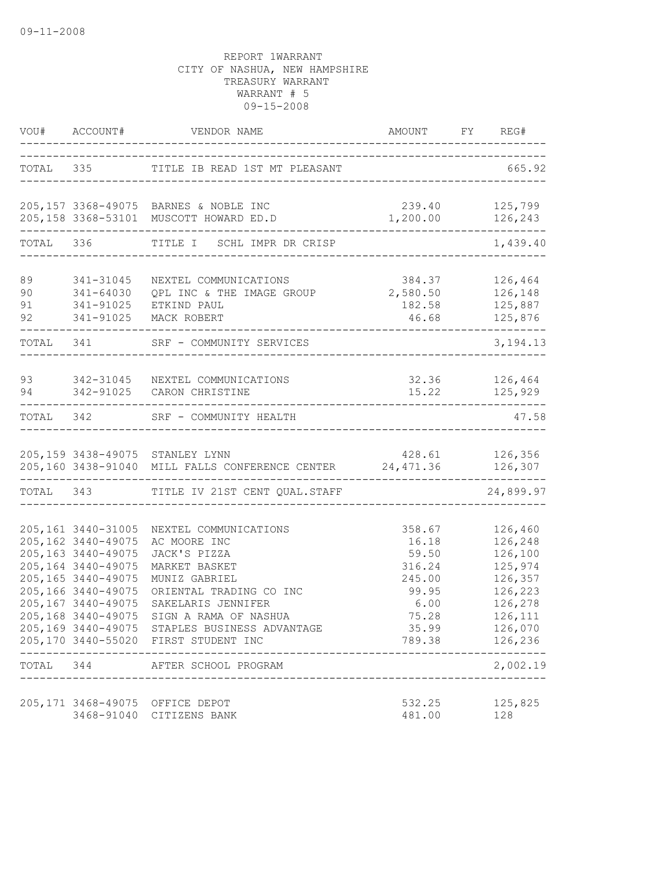|                      | VOU# ACCOUNT#                                                                                                                                            | VENDOR NAME                                                                                                                                                                                                                                                                                                     | AMOUNT                                                                                    | FY REG#                                                                                                                |
|----------------------|----------------------------------------------------------------------------------------------------------------------------------------------------------|-----------------------------------------------------------------------------------------------------------------------------------------------------------------------------------------------------------------------------------------------------------------------------------------------------------------|-------------------------------------------------------------------------------------------|------------------------------------------------------------------------------------------------------------------------|
|                      |                                                                                                                                                          | TOTAL 335 TITLE IB READ 1ST MT PLEASANT                                                                                                                                                                                                                                                                         | ---------------------------                                                               | 665.92                                                                                                                 |
|                      |                                                                                                                                                          | 205,157 3368-49075 BARNES & NOBLE INC<br>205,158 3368-53101 MUSCOTT HOWARD ED.D                                                                                                                                                                                                                                 | 1,200.00 126,243                                                                          | 239.40 125,799                                                                                                         |
| TOTAL 336            |                                                                                                                                                          | TITLE I SCHL IMPR DR CRISP                                                                                                                                                                                                                                                                                      |                                                                                           | 1,439.40                                                                                                               |
| 89<br>90<br>91<br>92 | 341-31045<br>341-64030<br>341-91025                                                                                                                      | NEXTEL COMMUNICATIONS<br>QPL INC & THE IMAGE GROUP<br>341-91025 ETKIND PAUL<br>MACK ROBERT                                                                                                                                                                                                                      | 384.37<br>2,580.50 126,148<br>182.58<br>46.68                                             | 126,464<br>125,887<br>125,876                                                                                          |
|                      | TOTAL 341                                                                                                                                                | SRF - COMMUNITY SERVICES<br><u>. 2000 - 2000 - 2000 - 200</u>                                                                                                                                                                                                                                                   |                                                                                           | 3,194.13                                                                                                               |
| 94                   |                                                                                                                                                          | 93 342-31045 NEXTEL COMMUNICATIONS<br>342-91025 CARON CHRISTINE                                                                                                                                                                                                                                                 | 15.22                                                                                     | 32.36 126,464<br>125,929                                                                                               |
|                      | -------------------                                                                                                                                      | TOTAL 342 SRF - COMMUNITY HEALTH                                                                                                                                                                                                                                                                                |                                                                                           | 47.58                                                                                                                  |
|                      |                                                                                                                                                          | 205,159 3438-49075 STANLEY LYNN<br>205,160 3438-91040 MILL FALLS CONFERENCE CENTER 24,471.36                                                                                                                                                                                                                    | 428.61 126,356                                                                            | 126,307                                                                                                                |
|                      |                                                                                                                                                          | TOTAL 343 TITLE IV 21ST CENT QUAL.STAFF                                                                                                                                                                                                                                                                         |                                                                                           | 24,899.97                                                                                                              |
|                      | 205,161 3440-31005<br>205,162 3440-49075<br>205, 163 3440-49075<br>205,164 3440-49075<br>205, 165 3440-49075<br>205,166 3440-49075<br>205,167 3440-49075 | NEXTEL COMMUNICATIONS<br>AC MOORE INC<br>JACK'S PIZZA<br>MARKET BASKET<br>MUNIZ GABRIEL<br>ORIENTAL TRADING CO INC<br>SAKELARIS JENNIFER<br>205,168 3440-49075 SIGN A RAMA OF NASHUA<br>205,169 3440-49075 STAPLES BUSINESS ADVANTAGE<br>205,170 3440-55020 FIRST STUDENT INC<br>TOTAL 344 AFTER SCHOOL PROGRAM | 358.67<br>16.18<br>59.50<br>316.24<br>245.00<br>99.95<br>6.00<br>75.28<br>35.99<br>789.38 | 126,460<br>126,248<br>126,100<br>125,974<br>126,357<br>126,223<br>126,278<br>126,111<br>126,070<br>126,236<br>2,002.19 |
|                      | 3468-91040                                                                                                                                               | 205,171 3468-49075 OFFICE DEPOT<br>CITIZENS BANK                                                                                                                                                                                                                                                                | 532.25<br>481.00                                                                          | 125,825<br>128                                                                                                         |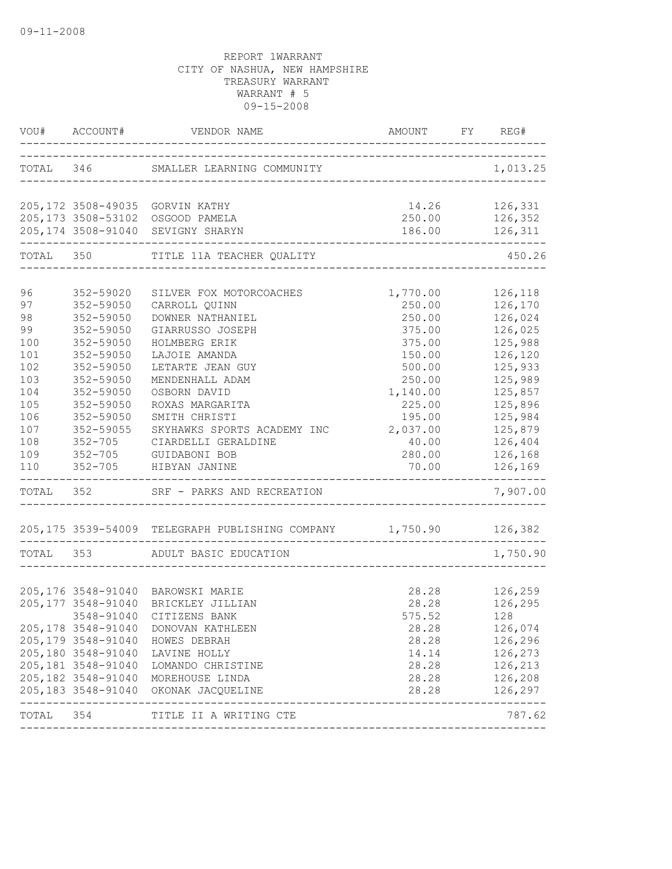|                                                                                                   |                                                                                                                                                                             | VOU# ACCOUNT# VENDOR NAME                                                                                                                                                                                                                                                                                                      | AMOUNT FY REG#                                                                                                                             |                                                                                                                                                                   |
|---------------------------------------------------------------------------------------------------|-----------------------------------------------------------------------------------------------------------------------------------------------------------------------------|--------------------------------------------------------------------------------------------------------------------------------------------------------------------------------------------------------------------------------------------------------------------------------------------------------------------------------|--------------------------------------------------------------------------------------------------------------------------------------------|-------------------------------------------------------------------------------------------------------------------------------------------------------------------|
|                                                                                                   |                                                                                                                                                                             | TOTAL 346 SMALLER LEARNING COMMUNITY                                                                                                                                                                                                                                                                                           |                                                                                                                                            | 1,013.25                                                                                                                                                          |
|                                                                                                   |                                                                                                                                                                             | 205,172 3508-49035 GORVIN KATHY<br>205,173 3508-53102 OSGOOD PAMELA<br>205,174 3508-91040 SEVIGNY SHARYN                                                                                                                                                                                                                       | 14.26 126,331<br>250.00 126,352<br>186.00 126,311                                                                                          |                                                                                                                                                                   |
|                                                                                                   |                                                                                                                                                                             | TOTAL 350 TITLE 11A TEACHER QUALITY                                                                                                                                                                                                                                                                                            |                                                                                                                                            | 450.26                                                                                                                                                            |
| 96<br>97<br>98<br>99<br>100<br>101<br>102<br>103<br>104<br>105<br>106<br>107<br>108<br>109<br>110 | 352-59020<br>352-59050<br>352-59050<br>352-59050<br>352-59050<br>352-59050<br>352-59050<br>352-59050<br>352-59050<br>352-59050<br>$352 - 59050$<br>352-59055<br>$352 - 705$ | SILVER FOX MOTORCOACHES<br>CARROLL QUINN<br>DOWNER NATHANIEL<br>GIARRUSSO JOSEPH<br>HOLMBERG ERIK<br>LAJOIE AMANDA<br>LETARTE JEAN GUY<br>MENDENHALL ADAM<br>OSBORN DAVID<br>ROXAS MARGARITA<br>SMITH CHRISTI<br>SKYHAWKS SPORTS ACADEMY INC 2,037.00<br>CIARDELLI GERALDINE<br>352-705 GUIDABONI BOB<br>352-705 HIBYAN JANINE | 1,770.00<br>250.00<br>250.00<br>375.00<br>375.00<br>150.00<br>500.00<br>250.00<br>1,140.00<br>225.00<br>195.00<br>40.00<br>280.00<br>70.00 | 126,118<br>126,170<br>126,024<br>126,025<br>125,988<br>126,120<br>125,933<br>125,989<br>125,857<br>125,896<br>125,984<br>125,879<br>126,404<br>126,168<br>126,169 |
| TOTAL 352                                                                                         |                                                                                                                                                                             | SRF - PARKS AND RECREATION                                                                                                                                                                                                                                                                                                     |                                                                                                                                            | 7,907.00                                                                                                                                                          |
|                                                                                                   |                                                                                                                                                                             | 205,175 3539-54009 TELEGRAPH PUBLISHING COMPANY 1,750.90 126,382<br>TOTAL 353 ADULT BASIC EDUCATION                                                                                                                                                                                                                            |                                                                                                                                            | 1,750.90                                                                                                                                                          |
|                                                                                                   | 205, 179 3548-91040<br>205,180 3548-91040<br>205,181 3548-91040                                                                                                             | 205,176 3548-91040 BAROWSKI MARIE<br>205,177 3548-91040 BRICKLEY JILLIAN<br>3548-91040 CITIZENS BANK<br>205,178 3548-91040 DONOVAN KATHLEEN<br>HOWES DEBRAH<br>LAVINE HOLLY<br>LOMANDO CHRISTINE<br>205,182 3548-91040 MOREHOUSE LINDA<br>205,183 3548-91040 OKONAK JACQUELINE                                                 | 28.28<br>28.28<br>575.52<br>28.28<br>28.28<br>14.14<br>28.28<br>28.28<br>28.28                                                             | 126,259<br>126,295<br>128<br>126,074<br>126,296<br>126,273<br>126,213<br>126,208<br>126,297                                                                       |
|                                                                                                   |                                                                                                                                                                             | TOTAL 354 TITLE II A WRITING CTE                                                                                                                                                                                                                                                                                               |                                                                                                                                            | 787.62                                                                                                                                                            |
|                                                                                                   |                                                                                                                                                                             |                                                                                                                                                                                                                                                                                                                                |                                                                                                                                            |                                                                                                                                                                   |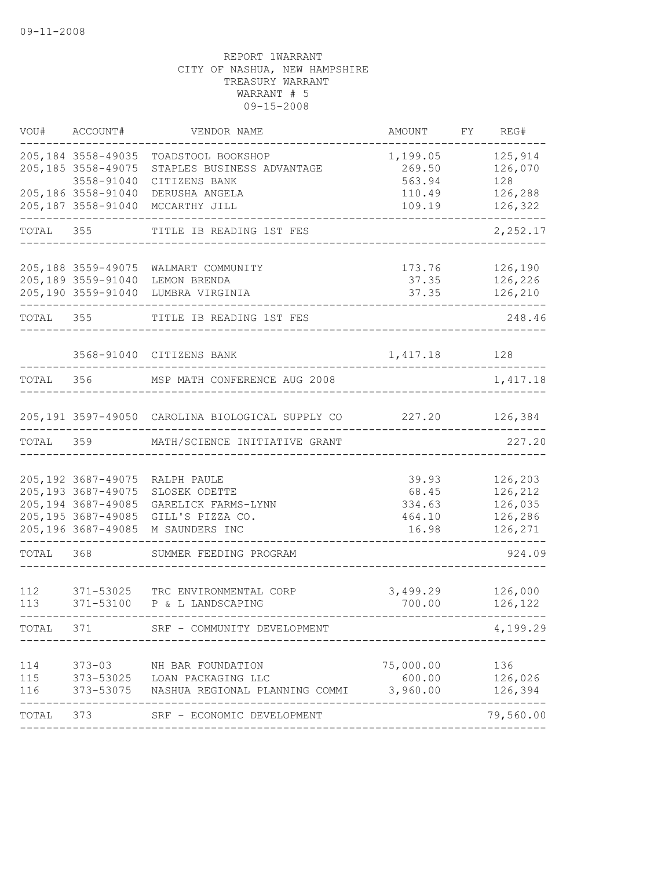| VOU#              | ACCOUNT#                                                                                                       | VENDOR NAME                                                                               | AMOUNT                                      | FY | REG#                                                |
|-------------------|----------------------------------------------------------------------------------------------------------------|-------------------------------------------------------------------------------------------|---------------------------------------------|----|-----------------------------------------------------|
|                   | 205, 184 3558-49035<br>205, 185 3558-49075<br>3558-91040                                                       | TOADSTOOL BOOKSHOP<br>STAPLES BUSINESS ADVANTAGE<br>CITIZENS BANK                         | 1,199.05<br>269.50<br>563.94                |    | 125,914<br>126,070<br>128                           |
|                   | 205,186 3558-91040<br>205,187 3558-91040                                                                       | DERUSHA ANGELA<br>MCCARTHY JILL                                                           | 110.49<br>109.19                            |    | 126,288<br>126,322                                  |
| TOTAL             | 355                                                                                                            | TITLE IB READING 1ST FES                                                                  |                                             |    | 2,252.17                                            |
|                   | 205, 188 3559-49075<br>205,189 3559-91040<br>205,190 3559-91040                                                | WALMART COMMUNITY<br>LEMON BRENDA<br>LUMBRA VIRGINIA                                      | 173.76<br>37.35<br>37.35                    |    | 126,190<br>126,226<br>126,210                       |
| TOTAL 355         |                                                                                                                | TITLE IB READING 1ST FES                                                                  |                                             |    | 248.46                                              |
|                   |                                                                                                                | 3568-91040 CITIZENS BANK                                                                  | 1,417.18 128                                |    |                                                     |
| TOTAL             | 356                                                                                                            | MSP MATH CONFERENCE AUG 2008                                                              |                                             |    | 1,417.18                                            |
|                   |                                                                                                                | 205,191 3597-49050 CAROLINA BIOLOGICAL SUPPLY CO                                          | 227.20                                      |    | 126,384                                             |
| TOTAL             | 359                                                                                                            | MATH/SCIENCE INITIATIVE GRANT                                                             |                                             |    | 227.20                                              |
|                   | 205, 192 3687-49075<br>205, 193 3687-49075<br>205, 194 3687-49085<br>205, 195 3687-49085<br>205,196 3687-49085 | RALPH PAULE<br>SLOSEK ODETTE<br>GARELICK FARMS-LYNN<br>GILL'S PIZZA CO.<br>M SAUNDERS INC | 39.93<br>68.45<br>334.63<br>464.10<br>16.98 |    | 126,203<br>126,212<br>126,035<br>126,286<br>126,271 |
| TOTAL             | 368                                                                                                            | SUMMER FEEDING PROGRAM                                                                    |                                             |    | 924.09                                              |
| 112<br>113        | 371-53025<br>371-53100                                                                                         | TRC ENVIRONMENTAL CORP<br>P & L LANDSCAPING                                               | 3,499.29<br>700.00                          |    | 126,000<br>126,122                                  |
| TOTAL             | 371                                                                                                            | SRF - COMMUNITY DEVELOPMENT                                                               |                                             |    | 4,199.29                                            |
| 114<br>115<br>116 | $373 - 03$<br>373-53075                                                                                        | NH BAR FOUNDATION<br>373-53025 LOAN PACKAGING LLC<br>NASHUA REGIONAL PLANNING COMMI       | 75,000.00<br>600.00<br>3,960.00             |    | 136<br>126,026<br>126,394                           |
| TOTAL             | 373                                                                                                            | SRF - ECONOMIC DEVELOPMENT                                                                |                                             |    | 79,560.00                                           |
|                   |                                                                                                                |                                                                                           |                                             |    |                                                     |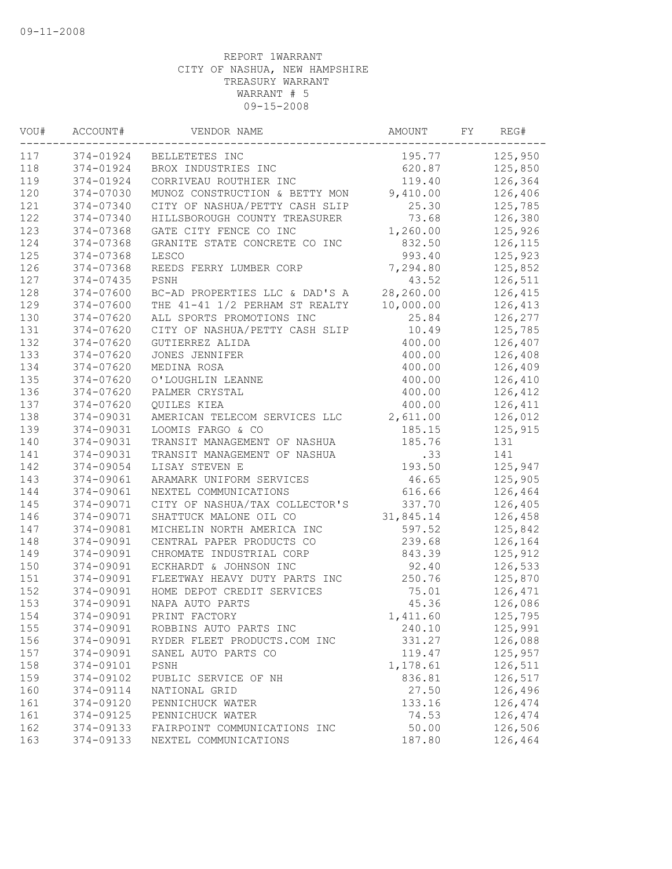| VOU# | ACCOUNT#  | VENDOR NAME                    | AMOUNT    | FY | REG#    |
|------|-----------|--------------------------------|-----------|----|---------|
| 117  | 374-01924 | BELLETETES INC                 | 195.77    |    | 125,950 |
| 118  | 374-01924 | BROX INDUSTRIES INC            | 620.87    |    | 125,850 |
| 119  | 374-01924 | CORRIVEAU ROUTHIER INC         | 119.40    |    | 126,364 |
| 120  | 374-07030 | MUNOZ CONSTRUCTION & BETTY MON | 9,410.00  |    | 126,406 |
| 121  | 374-07340 | CITY OF NASHUA/PETTY CASH SLIP | 25.30     |    | 125,785 |
| 122  | 374-07340 | HILLSBOROUGH COUNTY TREASURER  | 73.68     |    | 126,380 |
| 123  | 374-07368 | GATE CITY FENCE CO INC         | 1,260.00  |    | 125,926 |
| 124  | 374-07368 | GRANITE STATE CONCRETE CO INC  | 832.50    |    | 126,115 |
| 125  | 374-07368 | LESCO                          | 993.40    |    | 125,923 |
| 126  | 374-07368 | REEDS FERRY LUMBER CORP        | 7,294.80  |    | 125,852 |
| 127  | 374-07435 | PSNH                           | 43.52     |    | 126,511 |
| 128  | 374-07600 | BC-AD PROPERTIES LLC & DAD'S A | 28,260.00 |    | 126,415 |
| 129  | 374-07600 | THE 41-41 1/2 PERHAM ST REALTY | 10,000.00 |    | 126,413 |
| 130  | 374-07620 | ALL SPORTS PROMOTIONS INC      | 25.84     |    | 126,277 |
| 131  | 374-07620 | CITY OF NASHUA/PETTY CASH SLIP | 10.49     |    | 125,785 |
| 132  | 374-07620 | GUTIERREZ ALIDA                | 400.00    |    | 126,407 |
| 133  | 374-07620 | JONES JENNIFER                 | 400.00    |    | 126,408 |
| 134  | 374-07620 | MEDINA ROSA                    | 400.00    |    | 126,409 |
| 135  | 374-07620 | O'LOUGHLIN LEANNE              | 400.00    |    | 126,410 |
| 136  | 374-07620 | PALMER CRYSTAL                 | 400.00    |    | 126,412 |
| 137  | 374-07620 | QUILES KIEA                    | 400.00    |    | 126,411 |
| 138  | 374-09031 | AMERICAN TELECOM SERVICES LLC  | 2,611.00  |    | 126,012 |
| 139  | 374-09031 | LOOMIS FARGO & CO              | 185.15    |    | 125,915 |
| 140  | 374-09031 | TRANSIT MANAGEMENT OF NASHUA   | 185.76    |    | 131     |
| 141  | 374-09031 | TRANSIT MANAGEMENT OF NASHUA   | .33       |    | 141     |
| 142  | 374-09054 | LISAY STEVEN E                 | 193.50    |    | 125,947 |
| 143  | 374-09061 | ARAMARK UNIFORM SERVICES       | 46.65     |    | 125,905 |
| 144  | 374-09061 | NEXTEL COMMUNICATIONS          | 616.66    |    | 126,464 |
| 145  | 374-09071 | CITY OF NASHUA/TAX COLLECTOR'S | 337.70    |    | 126,405 |
| 146  | 374-09071 | SHATTUCK MALONE OIL CO         | 31,845.14 |    | 126,458 |
| 147  | 374-09081 | MICHELIN NORTH AMERICA INC     | 597.52    |    | 125,842 |
| 148  | 374-09091 | CENTRAL PAPER PRODUCTS CO      | 239.68    |    | 126,164 |
| 149  | 374-09091 | CHROMATE INDUSTRIAL CORP       | 843.39    |    | 125,912 |
| 150  | 374-09091 | ECKHARDT & JOHNSON INC         | 92.40     |    | 126,533 |
| 151  | 374-09091 | FLEETWAY HEAVY DUTY PARTS INC  | 250.76    |    | 125,870 |
| 152  | 374-09091 | HOME DEPOT CREDIT SERVICES     | 75.01     |    | 126,471 |
| 153  | 374-09091 | NAPA AUTO PARTS                | 45.36     |    | 126,086 |
| 154  | 374-09091 | PRINT FACTORY                  | 1,411.60  |    | 125,795 |
| 155  | 374-09091 | ROBBINS AUTO PARTS INC         | 240.10    |    | 125,991 |
| 156  | 374-09091 | RYDER FLEET PRODUCTS.COM INC   | 331.27    |    | 126,088 |
| 157  | 374-09091 | SANEL AUTO PARTS CO            | 119.47    |    | 125,957 |
| 158  | 374-09101 | PSNH                           | 1,178.61  |    | 126,511 |
| 159  | 374-09102 | PUBLIC SERVICE OF NH           | 836.81    |    | 126,517 |
| 160  | 374-09114 | NATIONAL GRID                  | 27.50     |    | 126,496 |
| 161  | 374-09120 | PENNICHUCK WATER               | 133.16    |    | 126,474 |
| 161  | 374-09125 | PENNICHUCK WATER               | 74.53     |    | 126,474 |
| 162  | 374-09133 | FAIRPOINT COMMUNICATIONS INC   | 50.00     |    | 126,506 |
| 163  | 374-09133 | NEXTEL COMMUNICATIONS          | 187.80    |    | 126,464 |
|      |           |                                |           |    |         |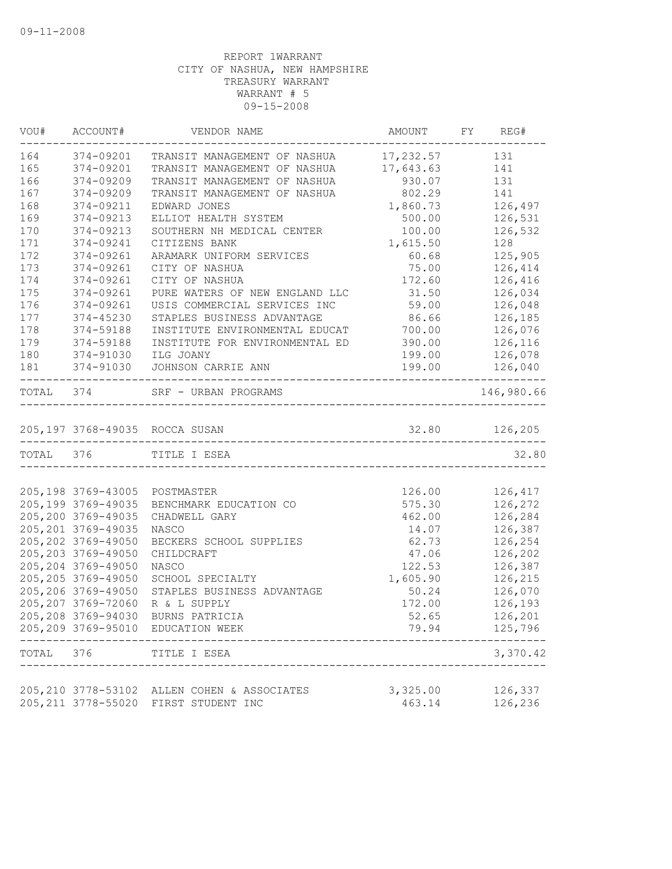|           | VOU# ACCOUNT#        | VENDOR NAME                                                          |                    | AMOUNT FY REG#         |
|-----------|----------------------|----------------------------------------------------------------------|--------------------|------------------------|
| 164       | 374-09201            | TRANSIT MANAGEMENT OF NASHUA 17,232.57 131                           |                    |                        |
| 165       | 374-09201            | TRANSIT MANAGEMENT OF NASHUA 17,643.63                               |                    | 141                    |
| 166       | 374-09209            | TRANSIT MANAGEMENT OF NASHUA                                         | 930.07             | 131                    |
| 167       | 374-09209            | TRANSIT MANAGEMENT OF NASHUA                                         | 802.29             | 141                    |
| 168       | 374-09211            | EDWARD JONES                                                         | 1,860.73           | 126,497                |
| 169       | 374-09213            | ELLIOT HEALTH SYSTEM                                                 | 500.00             | 126,531                |
| 170       | 374-09213            | SOUTHERN NH MEDICAL CENTER                                           | 100.00             | 126,532                |
| 171       | 374-09241            | CITIZENS BANK                                                        | 1,615.50           | 128                    |
| 172       | 374-09261            | ARAMARK UNIFORM SERVICES                                             | 60.68              | 125,905                |
| 173       | 374-09261            | CITY OF NASHUA                                                       | 75.00              | 126,414                |
| 174       | 374-09261            | CITY OF NASHUA                                                       | 172.60             | 126,416                |
| 175       | 374-09261            | PURE WATERS OF NEW ENGLAND LLC                                       | 31.50              | 126,034                |
| 176       | 374-09261            | USIS COMMERCIAL SERVICES INC                                         | 59.00              | 126,048                |
| 177       | 374-45230            | STAPLES BUSINESS ADVANTAGE                                           | 86.66              | 126,185                |
| 178       | 374-59188            | INSTITUTE ENVIRONMENTAL EDUCAT                                       | 700.00             | 126,076                |
| 179       | 374-59188            | INSTITUTE FOR ENVIRONMENTAL ED                                       | 390.00             | 126,116                |
| 180       | 374-91030            | ILG JOANY                                                            | 199.00             | 126,078                |
| 181       |                      | 374-91030 JOHNSON CARRIE ANN                                         | 199.00             | 126,040                |
|           | -------------------- | TOTAL 374 SRF - URBAN PROGRAMS<br>__________________________________ |                    | --------<br>146,980.66 |
|           |                      |                                                                      |                    |                        |
|           |                      | 205,197 3768-49035 ROCCA SUSAN                                       |                    | 32.80 126,205          |
| TOTAL 376 |                      | TITLE I ESEA                                                         |                    | 32.80                  |
|           |                      |                                                                      |                    |                        |
|           | 205,198 3769-43005   | POSTMASTER                                                           | 126.00             | 126,417                |
|           | 205, 199 3769-49035  | BENCHMARK EDUCATION CO                                               | 575.30             | 126,272                |
|           | 205,200 3769-49035   | CHADWELL GARY                                                        | 462.00             | 126,284                |
|           | 205, 201 3769-49035  | NASCO                                                                | 14.07              | 126,387                |
|           | 205, 202 3769-49050  | BECKERS SCHOOL SUPPLIES                                              | 62.73              | 126,254                |
|           | 205, 203 3769-49050  | CHILDCRAFT                                                           | 47.06              | 126,202                |
|           | 205, 204 3769-49050  | NASCO                                                                | 122.53             | 126,387                |
|           | 205, 205 3769-49050  | SCHOOL SPECIALTY                                                     | 1,605.90           | 126,215                |
|           | 205,206 3769-49050   | STAPLES BUSINESS ADVANTAGE                                           | 50.24              | 126,070                |
|           | 205, 207 3769-72060  | R & L SUPPLY                                                         | 172.00             | 126,193                |
|           | 205,208 3769-94030   | BURNS PATRICIA                                                       | 52.65              | 126,201                |
|           |                      | 205, 209 3769-95010 EDUCATION WEEK                                   | 79.94              | 125,796                |
| TOTAL     | 376                  | TITLE I ESEA                                                         |                    | 3,370.42               |
|           |                      |                                                                      |                    |                        |
|           | 205, 211 3778-55020  | 205, 210 3778-53102 ALLEN COHEN & ASSOCIATES<br>FIRST STUDENT INC    | 3,325.00<br>463.14 | 126,337<br>126,236     |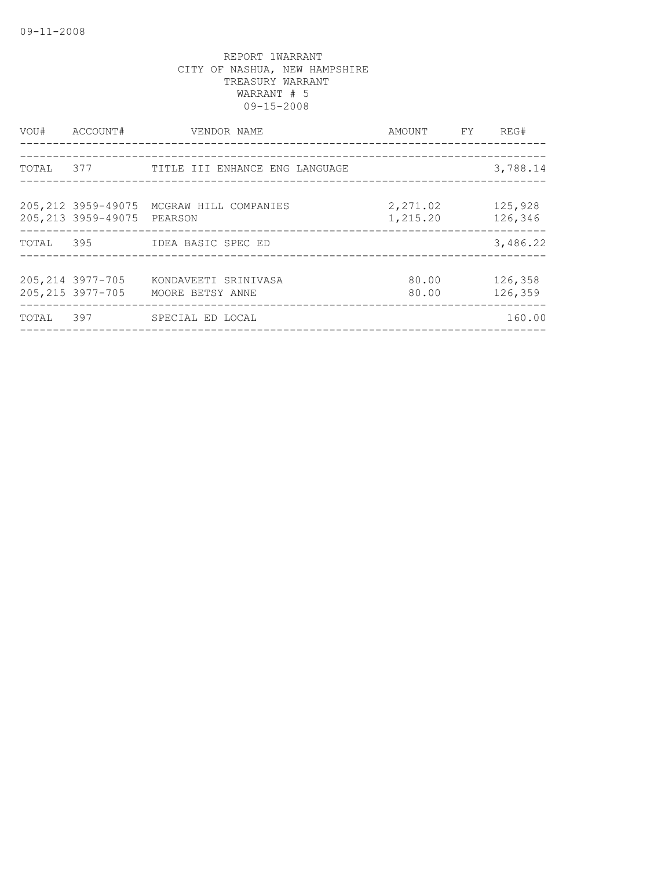|       | VOU# ACCOUNT#                          | VENDOR NAME<br>----------------------                | AMOUNT FY REG#               |                    |
|-------|----------------------------------------|------------------------------------------------------|------------------------------|--------------------|
|       |                                        | TOTAL 377 TITLE III ENHANCE ENG LANGUAGE             | ____________________________ | 3,788.14           |
|       | 205, 213 3959-49075                    | 205, 212 3959-49075 MCGRAW HILL COMPANIES<br>PEARSON | 2,271.02<br>1,215.20         | 125,928<br>126,346 |
|       |                                        | TOTAL 395 IDEA BASIC SPEC ED                         |                              | 3,486.22           |
|       | 205, 214 3977-705<br>205, 215 3977-705 | KONDAVEETI SRINIVASA<br>MOORE BETSY ANNE             | 80.00<br>80.00               | 126,358<br>126,359 |
| TOTAL | 397                                    | SPECIAL ED LOCAL                                     |                              | 160.00             |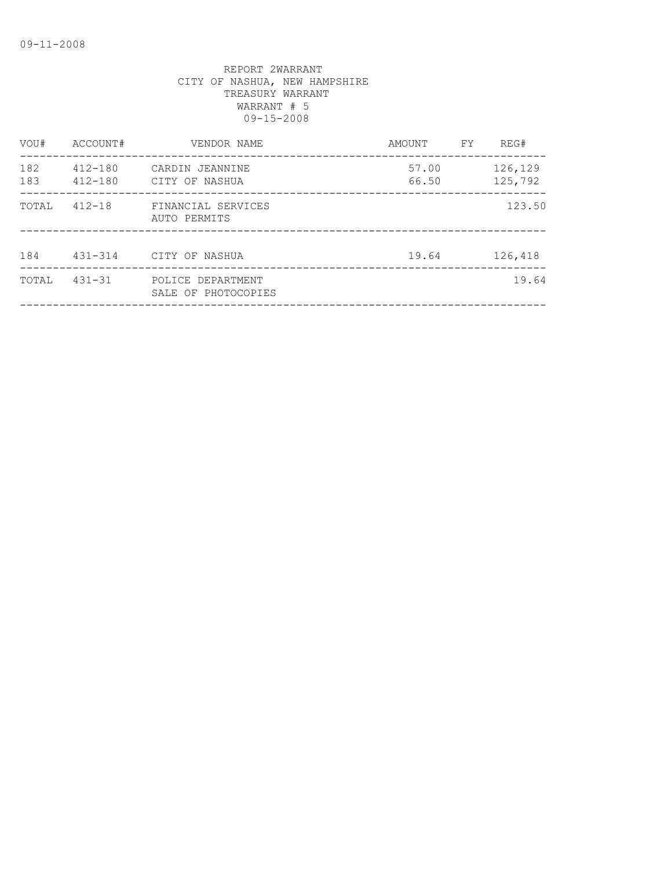| VOU#       | ACCOUNT#                   | VENDOR NAME                              | AMOUNT         | FY | REG#               |
|------------|----------------------------|------------------------------------------|----------------|----|--------------------|
| 182<br>183 | $412 - 180$<br>$412 - 180$ | CARDIN JEANNINE<br>CITY OF NASHUA        | 57.00<br>66.50 |    | 126,129<br>125,792 |
| TOTAL      | $412 - 18$                 | FINANCIAL SERVICES<br>AUTO PERMITS       |                |    | 123.50             |
| 184        | $431 - 314$                | CITY OF NASHUA                           | 19.64          |    | 126,418            |
| TOTAL      | $431 - 31$                 | POLICE DEPARTMENT<br>SALE OF PHOTOCOPIES |                |    | 19.64              |
|            |                            |                                          |                |    |                    |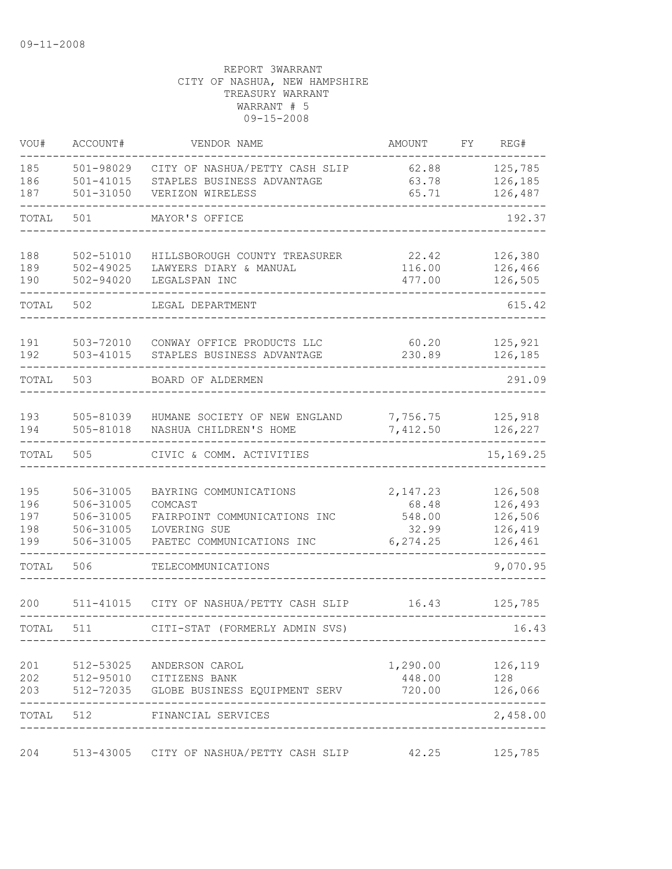| VOU#                            | ACCOUNT#                                                      | VENDOR NAME                                                                                                    | AMOUNT                                           | FΥ | REG#                                                |
|---------------------------------|---------------------------------------------------------------|----------------------------------------------------------------------------------------------------------------|--------------------------------------------------|----|-----------------------------------------------------|
| 185<br>186<br>187               | 501-98029<br>$501 - 41015$<br>$501 - 31050$                   | CITY OF NASHUA/PETTY CASH SLIP<br>STAPLES BUSINESS ADVANTAGE<br>VERIZON WIRELESS                               | 62.88<br>63.78<br>65.71                          |    | 125,785<br>126,185<br>126,487                       |
| TOTAL                           | 501                                                           | MAYOR'S OFFICE                                                                                                 |                                                  |    | 192.37                                              |
|                                 |                                                               |                                                                                                                |                                                  |    |                                                     |
| 188<br>189<br>190               | 502-51010<br>$502 - 49025$<br>502-94020                       | HILLSBOROUGH COUNTY TREASURER<br>LAWYERS DIARY & MANUAL<br>LEGALSPAN INC                                       | 22.42<br>116.00<br>477.00                        |    | 126,380<br>126,466<br>126,505                       |
| TOTAL                           | 502                                                           | LEGAL DEPARTMENT                                                                                               |                                                  |    | 615.42                                              |
| 191<br>192                      | 503-72010<br>503-41015                                        | CONWAY OFFICE PRODUCTS LLC<br>STAPLES BUSINESS ADVANTAGE                                                       | 60.20<br>230.89                                  |    | 125,921<br>126,185                                  |
| TOTAL                           | 503                                                           | BOARD OF ALDERMEN                                                                                              |                                                  |    | 291.09                                              |
| 193<br>194                      | 505-81039<br>505-81018                                        | HUMANE SOCIETY OF NEW ENGLAND<br>NASHUA CHILDREN'S HOME                                                        | 7,756.75<br>7,412.50                             |    | 125,918<br>126,227                                  |
| TOTAL                           | 505                                                           | CIVIC & COMM. ACTIVITIES                                                                                       |                                                  |    | 15,169.25                                           |
| 195<br>196<br>197<br>198<br>199 | 506-31005<br>506-31005<br>506-31005<br>506-31005<br>506-31005 | BAYRING COMMUNICATIONS<br>COMCAST<br>FAIRPOINT COMMUNICATIONS INC<br>LOVERING SUE<br>PAETEC COMMUNICATIONS INC | 2,147.23<br>68.48<br>548.00<br>32.99<br>6,274.25 |    | 126,508<br>126,493<br>126,506<br>126,419<br>126,461 |
| TOTAL                           | 506                                                           | TELECOMMUNICATIONS                                                                                             |                                                  |    | 9,070.95                                            |
| 200                             | 511-41015                                                     | CITY OF NASHUA/PETTY CASH SLIP                                                                                 | 16.43                                            |    | 125,785                                             |
| TOTAL                           | 511                                                           | CITI-STAT (FORMERLY ADMIN SVS)                                                                                 |                                                  |    | 16.43                                               |
| 201<br>202<br>203               |                                                               | 512-53025 ANDERSON CAROL<br>512-95010 CITIZENS BANK<br>512-72035 GLOBE BUSINESS EQUIPMENT SERV                 | 1,290.00<br>448.00<br>720.00                     |    | 126,119<br>128<br>126,066                           |
|                                 |                                                               | TOTAL 512 FINANCIAL SERVICES<br>------------------------------------                                           |                                                  |    | ------<br>2,458.00                                  |
| 204                             |                                                               | 513-43005 CITY OF NASHUA/PETTY CASH SLIP 42.25                                                                 |                                                  |    | 125,785                                             |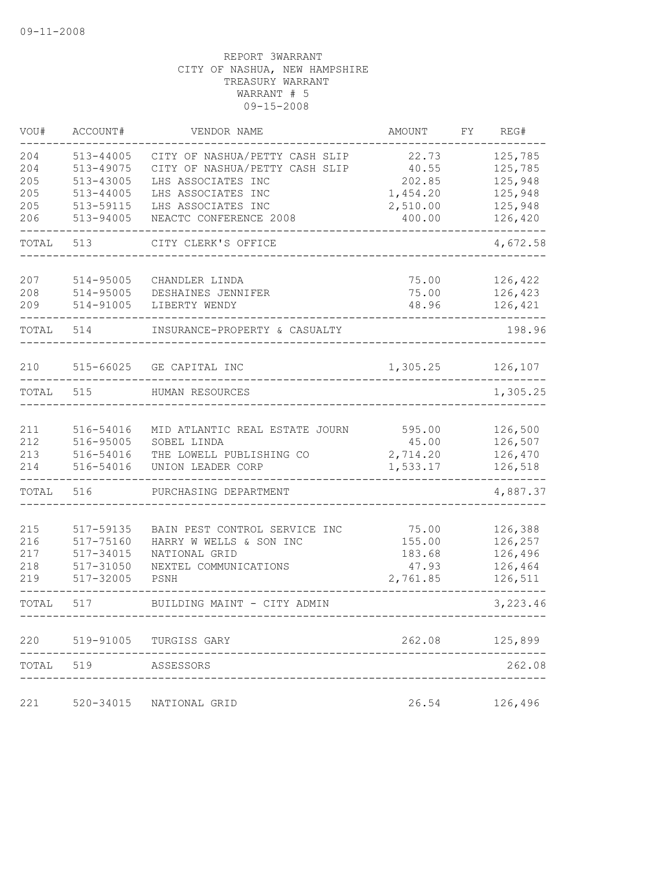| VOU#       | ACCOUNT#               | VENDOR NAME                                                      | AMOUNT            | FY | REG#               |
|------------|------------------------|------------------------------------------------------------------|-------------------|----|--------------------|
| 204<br>204 | 513-44005<br>513-49075 | CITY OF NASHUA/PETTY CASH SLIP<br>CITY OF NASHUA/PETTY CASH SLIP | 22.73<br>40.55    |    | 125,785<br>125,785 |
| 205        | 513-43005              | LHS ASSOCIATES INC                                               | 202.85            |    | 125,948            |
| 205        | $513 - 44005$          | LHS ASSOCIATES INC                                               | 1,454.20          |    | 125,948            |
| 205        | 513-59115              | LHS ASSOCIATES INC                                               | 2,510.00          |    | 125,948            |
| 206        | 513-94005              | NEACTC CONFERENCE 2008                                           | 400.00            |    | 126,420            |
| TOTAL      | 513                    | CITY CLERK'S OFFICE                                              |                   |    | 4,672.58           |
| 207        | 514-95005              | CHANDLER LINDA                                                   | 75.00             |    | 126,422            |
| 208        | 514-95005              | DESHAINES JENNIFER                                               | 75.00             |    | 126,423            |
| 209        | 514-91005              | LIBERTY WENDY                                                    | 48.96             |    | 126,421            |
| TOTAL      | 514                    | INSURANCE-PROPERTY & CASUALTY                                    |                   |    | 198.96             |
| 210        | 515-66025              | GE CAPITAL INC                                                   | 1,305.25          |    | 126,107            |
| TOTAL      | 515                    | HUMAN RESOURCES                                                  |                   |    | 1,305.25           |
|            |                        |                                                                  |                   |    |                    |
| 211        | 516-54016              | MID ATLANTIC REAL ESTATE JOURN                                   | 595.00            |    | 126,500            |
| 212<br>213 | 516-95005<br>516-54016 | SOBEL LINDA                                                      | 45.00<br>2,714.20 |    | 126,507<br>126,470 |
| 214        | 516-54016              | THE LOWELL PUBLISHING CO<br>UNION LEADER CORP                    | 1,533.17          |    | 126,518            |
| TOTAL      | 516                    | PURCHASING DEPARTMENT                                            |                   |    | 4,887.37           |
|            |                        |                                                                  |                   |    |                    |
| 215        | 517-59135              | BAIN PEST CONTROL SERVICE INC                                    | 75.00             |    | 126,388            |
| 216        | 517-75160              | HARRY W WELLS & SON INC                                          | 155.00            |    | 126,257            |
| 217        | 517-34015              | NATIONAL GRID                                                    | 183.68            |    | 126,496            |
| 218        | 517-31050              | NEXTEL COMMUNICATIONS                                            | 47.93             |    | 126,464            |
| 219        | 517-32005              | PSNH                                                             | 2,761.85          |    | 126,511            |
| TOTAL      | 517                    | BUILDING MAINT - CITY ADMIN                                      |                   |    | 3,223.46           |
| 220        |                        | 519-91005 TURGISS GARY                                           | 262.08            |    | 125,899            |
| TOTAL      | 519                    | ASSESSORS                                                        |                   |    | 262.08             |
| 221        | 520-34015              | NATIONAL GRID                                                    | 26.54             |    | 126,496            |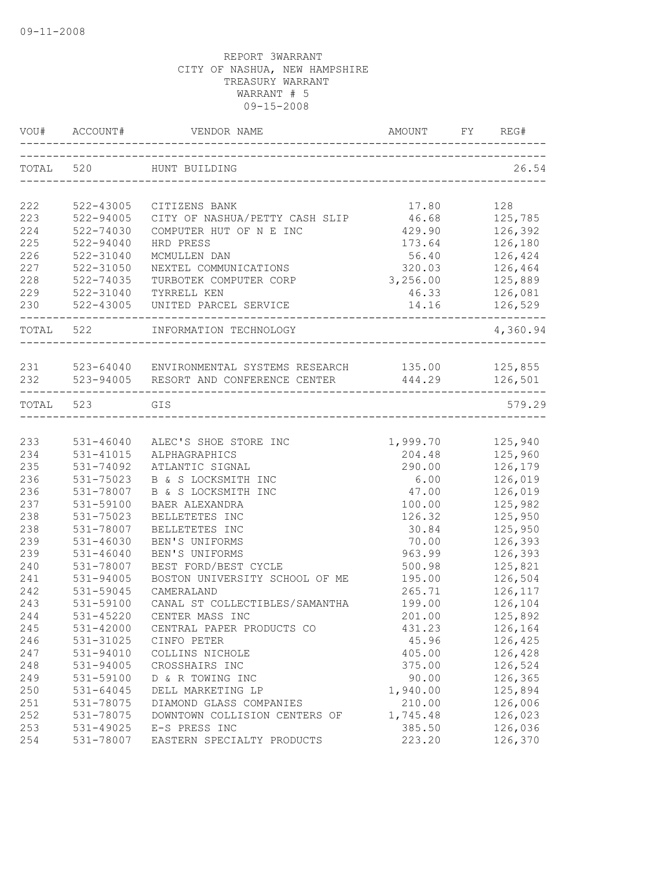|           | VOU# ACCOUNT# | VENDOR NAME                                                 | AMOUNT           | FY | REG#          |
|-----------|---------------|-------------------------------------------------------------|------------------|----|---------------|
|           | TOTAL 520     | HUNT BUILDING                                               |                  |    | 26.54         |
|           |               |                                                             |                  |    |               |
| 222       | 522-43005     | CITIZENS BANK                                               | 17.80            |    | 128           |
| 223       | 522-94005     | CITY OF NASHUA/PETTY CASH SLIP                              | 46.68            |    | 125,785       |
| 224       | 522-74030     | COMPUTER HUT OF N E INC                                     | 429.90           |    | 126,392       |
| 225       | 522-94040     | HRD PRESS                                                   | 173.64           |    | 126,180       |
| 226       | 522-31040     | MCMULLEN DAN                                                | 56.40            |    | 126,424       |
| 227       | 522-31050     | NEXTEL COMMUNICATIONS                                       | 320.03           |    | 126,464       |
| 228       | 522-74035     | TURBOTEK COMPUTER CORP                                      | 3,256.00 125,889 |    |               |
| 229       | 522-31040     | TYRRELL KEN                                                 | 46.33            |    | 126,081       |
| 230       | 522-43005     | UNITED PARCEL SERVICE                                       |                  |    | 14.16 126,529 |
| TOTAL 522 |               | INFORMATION TECHNOLOGY                                      |                  |    | 4,360.94      |
|           |               |                                                             |                  |    |               |
|           |               | 231 523-64040 ENVIRONMENTAL SYSTEMS RESEARCH 135.00 125,855 |                  |    |               |
|           |               | 232 523-94005 RESORT AND CONFERENCE CENTER                  | 444.29           |    | 126,501       |
| TOTAL 523 |               | GIS                                                         |                  |    | 579.29        |
|           |               |                                                             |                  |    |               |
| 233       | 531-46040     | ALEC'S SHOE STORE INC                                       | 1,999.70         |    | 125,940       |
| 234       | 531-41015     | ALPHAGRAPHICS                                               | 204.48           |    | 125,960       |
| 235       | 531-74092     | ATLANTIC SIGNAL                                             | 290.00           |    | 126,179       |
| 236       | 531-75023     | B & S LOCKSMITH INC                                         | 6.00             |    | 126,019       |
| 236       | 531-78007     | B & S LOCKSMITH INC                                         | 47.00            |    | 126,019       |
| 237       | 531-59100     | BAER ALEXANDRA                                              | 100.00           |    | 125,982       |
| 238       | 531-75023     | BELLETETES INC                                              | 126.32           |    | 125,950       |
| 238       | 531-78007     | BELLETETES INC                                              | 30.84            |    | 125,950       |
| 239       | 531-46030     | BEN'S UNIFORMS                                              | 70.00            |    | 126,393       |
| 239       | $531 - 46040$ | BEN'S UNIFORMS                                              | 963.99           |    | 126,393       |
| 240       | 531-78007     | BEST FORD/BEST CYCLE                                        | 500.98           |    | 125,821       |
| 241       | 531-94005     | BOSTON UNIVERSITY SCHOOL OF ME                              | 195.00           |    | 126,504       |
| 242       | 531-59045     | CAMERALAND                                                  | 265.71           |    | 126,117       |
| 243       | 531-59100     | CANAL ST COLLECTIBLES/SAMANTHA                              | 199.00           |    | 126,104       |
| 244       | 531-45220     | CENTER MASS INC                                             | 201.00           |    | 125,892       |
| 245       | 531-42000     | CENTRAL PAPER PRODUCTS CO                                   | 431.23           |    | 126,164       |
| 246       | 531-31025     | CINFO PETER                                                 | 45.96            |    | 126,425       |
| 247       | 531-94010     | COLLINS NICHOLE                                             | 405.00           |    | 126,428       |
| 248       | 531-94005     | CROSSHAIRS INC                                              | 375.00           |    | 126,524       |
| 249       | 531-59100     | D & R TOWING INC                                            | 90.00            |    | 126,365       |
| 250       | 531-64045     | DELL MARKETING LP                                           | 1,940.00         |    | 125,894       |
| 251       | 531-78075     | DIAMOND GLASS COMPANIES                                     | 210.00           |    | 126,006       |
| 252       | 531-78075     | DOWNTOWN COLLISION CENTERS OF                               | 1,745.48         |    | 126,023       |
| 253       | 531-49025     | E-S PRESS INC                                               | 385.50           |    | 126,036       |
| 254       | 531-78007     | EASTERN SPECIALTY PRODUCTS                                  | 223.20           |    | 126,370       |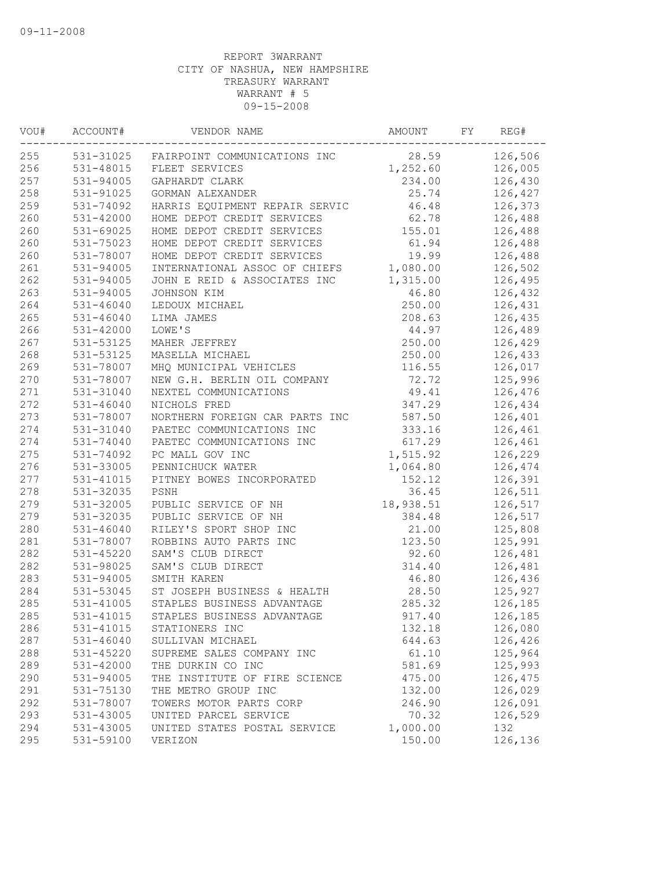| VOU# | ACCOUNT#               | VENDOR NAME                                 | AMOUNT    | FY | REG#    |
|------|------------------------|---------------------------------------------|-----------|----|---------|
| 255  |                        | 531-31025 FAIRPOINT COMMUNICATIONS INC      | 28.59     |    | 126,506 |
| 256  | 531-48015              | FLEET SERVICES                              | 1,252.60  |    | 126,005 |
| 257  | 531-94005              | GAPHARDT CLARK                              | 234.00    |    | 126,430 |
| 258  | 531-91025              | GORMAN ALEXANDER                            | 25.74     |    | 126,427 |
| 259  | 531-74092              | HARRIS EQUIPMENT REPAIR SERVIC              | 46.48     |    | 126,373 |
| 260  | 531-42000              | HOME DEPOT CREDIT SERVICES                  | 62.78     |    | 126,488 |
| 260  | 531-69025              | HOME DEPOT CREDIT SERVICES                  | 155.01    |    | 126,488 |
| 260  | 531-75023              | HOME DEPOT CREDIT SERVICES                  | 61.94     |    | 126,488 |
| 260  | 531-78007              | HOME DEPOT CREDIT SERVICES                  | 19.99     |    | 126,488 |
| 261  | $531 - 94005$          | INTERNATIONAL ASSOC OF CHIEFS               | 1,080.00  |    | 126,502 |
| 262  | 531-94005              | JOHN E REID & ASSOCIATES INC                | 1,315.00  |    | 126,495 |
| 263  | 531-94005              | JOHNSON KIM                                 | 46.80     |    | 126,432 |
| 264  | $531 - 46040$          | LEDOUX MICHAEL                              | 250.00    |    | 126,431 |
| 265  | $531 - 46040$          | LIMA JAMES                                  | 208.63    |    | 126,435 |
| 266  | 531-42000              | LOWE'S                                      | 44.97     |    | 126,489 |
| 267  | 531-53125              | MAHER JEFFREY                               | 250.00    |    | 126,429 |
| 268  | 531-53125              | MASELLA MICHAEL                             | 250.00    |    | 126,433 |
| 269  | 531-78007              | MHQ MUNICIPAL VEHICLES                      | 116.55    |    | 126,017 |
| 270  | 531-78007              | NEW G.H. BERLIN OIL COMPANY                 | 72.72     |    | 125,996 |
| 271  | 531-31040              | NEXTEL COMMUNICATIONS                       | 49.41     |    | 126,476 |
| 272  | $531 - 46040$          | NICHOLS FRED                                | 347.29    |    | 126,434 |
| 273  | 531-78007              | NORTHERN FOREIGN CAR PARTS INC              | 587.50    |    | 126,401 |
| 274  | 531-31040              | PAETEC COMMUNICATIONS INC                   | 333.16    |    | 126,461 |
| 274  | 531-74040              | PAETEC COMMUNICATIONS INC                   | 617.29    |    | 126,461 |
| 275  | 531-74092              | PC MALL GOV INC                             | 1,515.92  |    | 126,229 |
| 276  | 531-33005              | PENNICHUCK WATER                            | 1,064.80  |    | 126,474 |
| 277  | 531-41015              | PITNEY BOWES INCORPORATED                   | 152.12    |    | 126,391 |
| 278  | 531-32035              | PSNH                                        | 36.45     |    | 126,511 |
| 279  | 531-32005              | PUBLIC SERVICE OF NH                        | 18,938.51 |    | 126,517 |
| 279  | 531-32035              | PUBLIC SERVICE OF NH                        | 384.48    |    | 126,517 |
| 280  | $531 - 46040$          | RILEY'S SPORT SHOP INC                      | 21.00     |    | 125,808 |
| 281  |                        |                                             | 123.50    |    |         |
|      | 531-78007<br>531-45220 | ROBBINS AUTO PARTS INC<br>SAM'S CLUB DIRECT | 92.60     |    | 125,991 |
| 282  |                        |                                             |           |    | 126,481 |
| 282  | 531-98025              | SAM'S CLUB DIRECT                           | 314.40    |    | 126,481 |
| 283  | 531-94005              | SMITH KAREN                                 | 46.80     |    | 126,436 |
| 284  | 531-53045              | ST JOSEPH BUSINESS & HEALTH                 | 28.50     |    | 125,927 |
| 285  | 531-41005              | STAPLES BUSINESS ADVANTAGE                  | 285.32    |    | 126,185 |
| 285  | 531-41015              | STAPLES BUSINESS ADVANTAGE                  | 917.40    |    | 126,185 |
| 286  | 531-41015              | STATIONERS INC                              | 132.18    |    | 126,080 |
| 287  | $531 - 46040$          | SULLIVAN MICHAEL                            | 644.63    |    | 126,426 |
| 288  | 531-45220              | SUPREME SALES COMPANY INC                   | 61.10     |    | 125,964 |
| 289  | 531-42000              | THE DURKIN CO INC                           | 581.69    |    | 125,993 |
| 290  | 531-94005              | THE INSTITUTE OF FIRE SCIENCE               | 475.00    |    | 126,475 |
| 291  | 531-75130              | THE METRO GROUP INC                         | 132.00    |    | 126,029 |
| 292  | 531-78007              | TOWERS MOTOR PARTS CORP                     | 246.90    |    | 126,091 |
| 293  | 531-43005              | UNITED PARCEL SERVICE                       | 70.32     |    | 126,529 |
| 294  | 531-43005              | UNITED STATES POSTAL SERVICE                | 1,000.00  |    | 132     |
| 295  | 531-59100              | VERIZON                                     | 150.00    |    | 126,136 |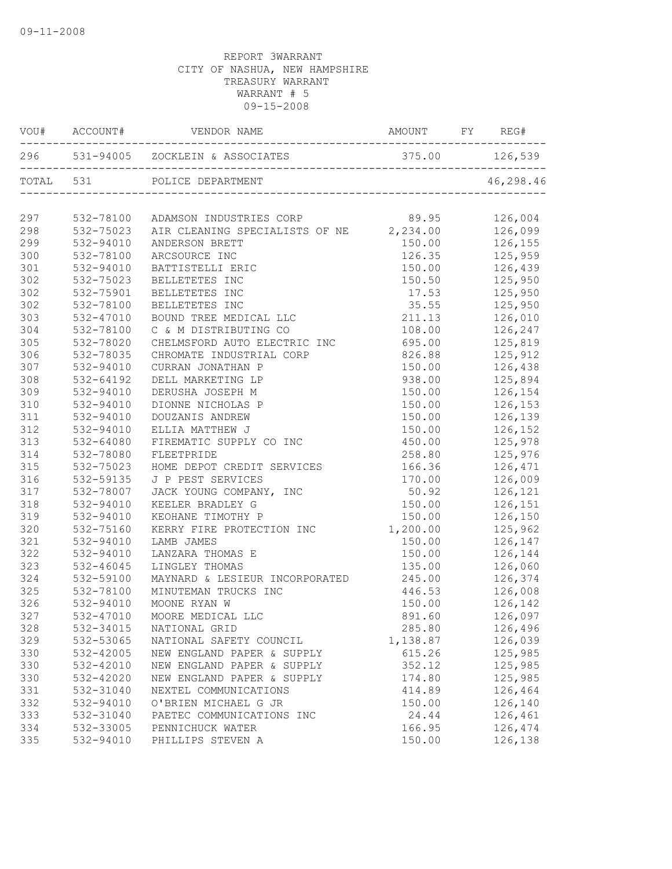|     |           | AMOUNT FY REG#<br>$\verb VOU#   !  ACCOUNT#   !  VENDOR   NAME   !$ |                          |                |
|-----|-----------|---------------------------------------------------------------------|--------------------------|----------------|
|     |           |                                                                     |                          |                |
|     |           | TOTAL 531 POLICE DEPARTMENT                                         | ________________________ | 46,298.46      |
| 297 |           | 532-78100 ADAMSON INDUSTRIES CORP 89.95 126,004                     |                          |                |
| 298 | 532-75023 | AIR CLEANING SPECIALISTS OF NE 2,234.00 126,099                     |                          |                |
| 299 | 532-94010 | ANDERSON BRETT                                                      |                          | 150.00 126,155 |
| 300 | 532-78100 | ARCSOURCE INC                                                       |                          | 126.35 125,959 |
| 301 | 532-94010 | BATTISTELLI ERIC                                                    | 150.00                   | 126,439        |
| 302 | 532-75023 | BELLETETES INC                                                      | 150.50                   | 125,950        |
| 302 | 532-75901 | BELLETETES INC                                                      | 17.53                    | 125,950        |
| 302 | 532-78100 | BELLETETES INC                                                      | 35.55                    | 125,950        |
| 303 | 532-47010 | BOUND TREE MEDICAL LLC                                              | 211.13                   | 126,010        |
| 304 | 532-78100 | C & M DISTRIBUTING CO                                               | 108.00                   | 126,247        |
| 305 | 532-78020 | CHELMSFORD AUTO ELECTRIC INC 695.00 125,819                         |                          |                |
| 306 | 532-78035 | CHROMATE INDUSTRIAL CORP                                            | 826.88                   | 125,912        |
| 307 | 532-94010 | CURRAN JONATHAN P                                                   | 150.00                   | 126,438        |
| 308 | 532-64192 | DELL MARKETING LP                                                   | 938.00                   | 125,894        |
| 309 | 532-94010 | DERUSHA JOSEPH M                                                    | 150.00                   | 126,154        |
| 310 | 532-94010 | DIONNE NICHOLAS P                                                   | 150.00                   | 126,153        |
| 311 | 532-94010 | DOUZANIS ANDREW                                                     | 150.00                   | 126,139        |
| 312 | 532-94010 | ELLIA MATTHEW J                                                     | 150.00                   | 126,152        |
| 313 | 532-64080 | FIREMATIC SUPPLY CO INC                                             | 450.00                   | 125,978        |
| 314 | 532-78080 | FLEETPRIDE                                                          | 258.80                   | 125,976        |
| 315 | 532-75023 | HOME DEPOT CREDIT SERVICES                                          | 166.36                   | 126,471        |
| 316 | 532-59135 | J P PEST SERVICES                                                   | 170.00                   | 126,009        |
| 317 | 532-78007 | JACK YOUNG COMPANY, INC                                             | 50.92                    | 126,121        |
| 318 | 532-94010 | KEELER BRADLEY G                                                    | 150.00                   | 126,151        |
| 319 | 532-94010 | KEOHANE TIMOTHY P                                                   | 150.00                   | 126,150        |
| 320 | 532-75160 | KERRY FIRE PROTECTION INC                                           | 1,200.00                 | 125,962        |
| 321 | 532-94010 | LAMB JAMES                                                          | 150.00                   | 126,147        |
| 322 | 532-94010 | LANZARA THOMAS E                                                    | 150.00                   | 126,144        |
| 323 | 532-46045 | LINGLEY THOMAS                                                      | 135.00                   | 126,060        |
| 324 | 532-59100 | MAYNARD & LESIEUR INCORPORATED                                      | 245.00                   | 126,374        |
| 325 | 532-78100 | MINUTEMAN TRUCKS INC                                                |                          | 446.53 126,008 |
| 326 | 532-94010 | MOONE RYAN W                                                        | 150.00                   | 126,142        |
| 327 |           | 532-47010 MOORE MEDICAL LLC                                         | 891.60                   | 126,097        |
| 328 | 532-34015 | NATIONAL GRID                                                       | 285.80                   | 126,496        |
| 329 | 532-53065 | NATIONAL SAFETY COUNCIL                                             | 1,138.87                 | 126,039        |
| 330 | 532-42005 | NEW ENGLAND PAPER & SUPPLY                                          | 615.26                   | 125,985        |
| 330 | 532-42010 | NEW ENGLAND PAPER & SUPPLY                                          | 352.12                   | 125,985        |
| 330 | 532-42020 | NEW ENGLAND PAPER & SUPPLY                                          | 174.80                   | 125,985        |
| 331 | 532-31040 | NEXTEL COMMUNICATIONS                                               | 414.89                   | 126,464        |
| 332 | 532-94010 | O'BRIEN MICHAEL G JR                                                | 150.00                   | 126,140        |
| 333 | 532-31040 | PAETEC COMMUNICATIONS INC                                           | 24.44                    | 126,461        |
| 334 | 532-33005 | PENNICHUCK WATER                                                    | 166.95                   | 126,474        |
| 335 | 532-94010 | PHILLIPS STEVEN A                                                   | 150.00                   | 126,138        |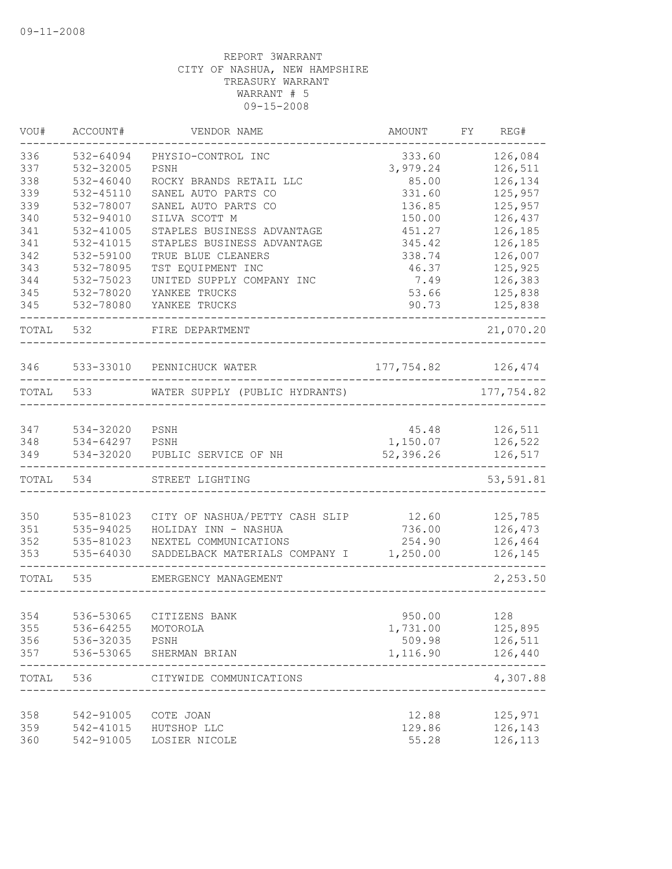| VOU#       | ACCOUNT#      | VENDOR NAME                    | AMOUNT     | FY | REG#              |
|------------|---------------|--------------------------------|------------|----|-------------------|
| 336        | 532-64094     | PHYSIO-CONTROL INC             | 333.60     |    | 126,084           |
| 337        | 532-32005     | PSNH                           | 3,979.24   |    | 126,511           |
| 338        | $532 - 46040$ | ROCKY BRANDS RETAIL LLC        | 85.00      |    | 126,134           |
| 339        | 532-45110     | SANEL AUTO PARTS CO            | 331.60     |    | 125,957           |
| 339        | 532-78007     | SANEL AUTO PARTS CO            | 136.85     |    | 125,957           |
| 340        | 532-94010     | SILVA SCOTT M                  | 150.00     |    | 126,437           |
| 341        | 532-41005     | STAPLES BUSINESS ADVANTAGE     | 451.27     |    | 126,185           |
| 341        | 532-41015     | STAPLES BUSINESS ADVANTAGE     | 345.42     |    | 126,185           |
| 342        | 532-59100     | TRUE BLUE CLEANERS             | 338.74     |    | 126,007           |
| 343        | 532-78095     | TST EQUIPMENT INC              | 46.37      |    | 125,925           |
| 344        | 532-75023     | UNITED SUPPLY COMPANY INC      | 7.49       |    | 126,383           |
| 345        | 532-78020     | YANKEE TRUCKS                  | 53.66      |    | 125,838           |
| 345        | 532-78080     | YANKEE TRUCKS                  | 90.73      |    | 125,838           |
| TOTAL      | 532           | FIRE DEPARTMENT                |            |    | 21,070.20         |
| 346        |               | 533-33010 PENNICHUCK WATER     | 177,754.82 |    | 126,474           |
| TOTAL      | 533           | WATER SUPPLY (PUBLIC HYDRANTS) |            |    | 177,754.82        |
|            |               |                                |            |    |                   |
| 347        | 534-32020     | PSNH                           | 45.48      |    | 126,511           |
| 348        | 534-64297     | PSNH                           | 1,150.07   |    | 126,522           |
| 349        | 534-32020     | PUBLIC SERVICE OF NH           | 52,396.26  |    | 126,517           |
| TOTAL      | 534           | STREET LIGHTING                |            |    | 53,591.81         |
| 350        | 535-81023     | CITY OF NASHUA/PETTY CASH SLIP | 12.60      |    | 125,785           |
| 351        | 535-94025     | HOLIDAY INN - NASHUA           | 736.00     |    | 126,473           |
| 352        | 535-81023     | NEXTEL COMMUNICATIONS          | 254.90     |    | 126,464           |
| 353        | 535-64030     | SADDELBACK MATERIALS COMPANY I | 1,250.00   |    | 126,145           |
| TOTAL      | 535           | EMERGENCY MANAGEMENT           |            |    | 2,253.50          |
|            |               |                                |            |    |                   |
| 354        | 536-53065     | CITIZENS BANK                  | 950.00     |    | 128               |
| 355        | 536-64255     | MOTOROLA                       | 1,731.00   |    | 125,895           |
| 356        | 536-32035     | PSNH                           | 509.98     |    | 126,511           |
| 357        | 536-53065     | SHERMAN BRIAN                  | 1,116.90   |    | 126,440           |
| TOTAL      | 536           | CITYWIDE COMMUNICATIONS        |            |    | -----<br>4,307.88 |
|            | 542-91005     |                                | 12.88      |    | 125,971           |
| 358<br>359 | 542-41015     | COTE JOAN<br>HUTSHOP LLC       | 129.86     |    | 126,143           |
| 360        | 542-91005     | LOSIER NICOLE                  | 55.28      |    | 126,113           |
|            |               |                                |            |    |                   |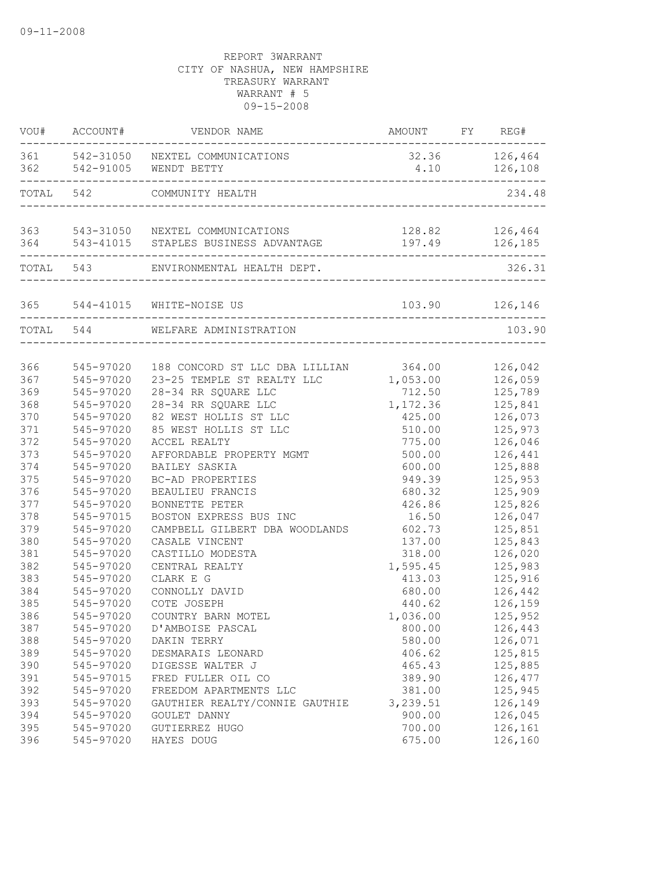|       | VOU# ACCOUNT# | VENDOR NAME                                                      | AMOUNT FY REG#            |                               |
|-------|---------------|------------------------------------------------------------------|---------------------------|-------------------------------|
|       |               | 361 542-31050 NEXTEL COMMUNICATIONS<br>362 542-91005 WENDT BETTY |                           | 32.36 126,464<br>4.10 126,108 |
| TOTAL | 542           | COMMUNITY HEALTH<br>____________________________________         |                           | 234.48                        |
|       |               | 363 543-31050 NEXTEL COMMUNICATIONS                              |                           | 128.82 126,464                |
| 364   |               | 543-41015 STAPLES BUSINESS ADVANTAGE                             | 197.49<br>_______________ | 126,185                       |
|       |               | TOTAL 543 ENVIRONMENTAL HEALTH DEPT.                             |                           | 326.31                        |
|       |               | 365 544-41015 WHITE-NOISE US                                     |                           | 103.90 126,146                |
|       | TOTAL 544     | WELFARE ADMINISTRATION                                           |                           | 103.90                        |
|       |               |                                                                  |                           |                               |
| 366   | 545-97020     | 188 CONCORD ST LLC DBA LILLIAN 364.00                            |                           | 126,042                       |
| 367   | 545-97020     | 23-25 TEMPLE ST REALTY LLC                                       | 1,053.00                  | 126,059                       |
| 369   | 545-97020     | 28-34 RR SQUARE LLC                                              | 712.50                    | 125,789                       |
| 368   | 545-97020     | 28-34 RR SQUARE LLC                                              | 1,172.36                  | 125,841                       |
| 370   | 545-97020     | 82 WEST HOLLIS ST LLC                                            | 425.00                    | 126,073                       |
| 371   | 545-97020     | 85 WEST HOLLIS ST LLC                                            | 510.00                    | 125,973                       |
| 372   | 545-97020     | ACCEL REALTY                                                     | 775.00                    | 126,046                       |
| 373   | 545-97020     | AFFORDABLE PROPERTY MGMT                                         | 500.00                    | 126,441                       |
| 374   | 545-97020     | BAILEY SASKIA                                                    | 600.00                    | 125,888                       |
| 375   | 545-97020     | BC-AD PROPERTIES                                                 | 949.39                    | 125,953                       |
| 376   | 545-97020     | BEAULIEU FRANCIS                                                 | 680.32                    | 125,909                       |
| 377   | 545-97020     | BONNETTE PETER                                                   | 426.86                    | 125,826                       |
| 378   | 545-97015     | BOSTON EXPRESS BUS INC                                           | 16.50                     | 126,047                       |
| 379   | 545-97020     | CAMPBELL GILBERT DBA WOODLANDS                                   | 602.73                    | 125,851                       |
| 380   | 545-97020     | CASALE VINCENT                                                   | 137.00                    | 125,843                       |
| 381   | 545-97020     | CASTILLO MODESTA                                                 | 318.00                    | 126,020                       |
| 382   | 545-97020     | CENTRAL REALTY                                                   | 1,595.45                  | 125,983                       |
| 383   | 545-97020     | CLARK E G                                                        | 413.03                    | 125,916                       |
| 384   | 545-97020     | CONNOLLY DAVID                                                   | 680.00                    | 126,442                       |
| 385   | 545-97020     | COTE JOSEPH                                                      | 440.62                    | 126,159                       |
| 386   | 545-97020     | COUNTRY BARN MOTEL                                               | 1,036.00                  | 125,952                       |
| 387   | 545-97020     | D'AMBOISE PASCAL                                                 | 800.00                    | 126,443                       |
| 388   | 545-97020     | DAKIN TERRY                                                      | 580.00                    | 126,071                       |
| 389   | 545-97020     | DESMARAIS LEONARD                                                | 406.62                    | 125,815                       |
| 390   | 545-97020     | DIGESSE WALTER J                                                 | 465.43                    | 125,885                       |
| 391   | 545-97015     | FRED FULLER OIL CO                                               | 389.90                    | 126,477                       |
| 392   | 545-97020     | FREEDOM APARTMENTS LLC                                           | 381.00                    | 125,945                       |
| 393   | 545-97020     | GAUTHIER REALTY/CONNIE GAUTHIE                                   | 3,239.51                  | 126,149                       |
| 394   | 545-97020     | GOULET DANNY                                                     | 900.00                    | 126,045                       |
| 395   | 545-97020     | GUTIERREZ HUGO                                                   | 700.00                    | 126,161                       |
| 396   | 545-97020     | HAYES DOUG                                                       | 675.00                    | 126,160                       |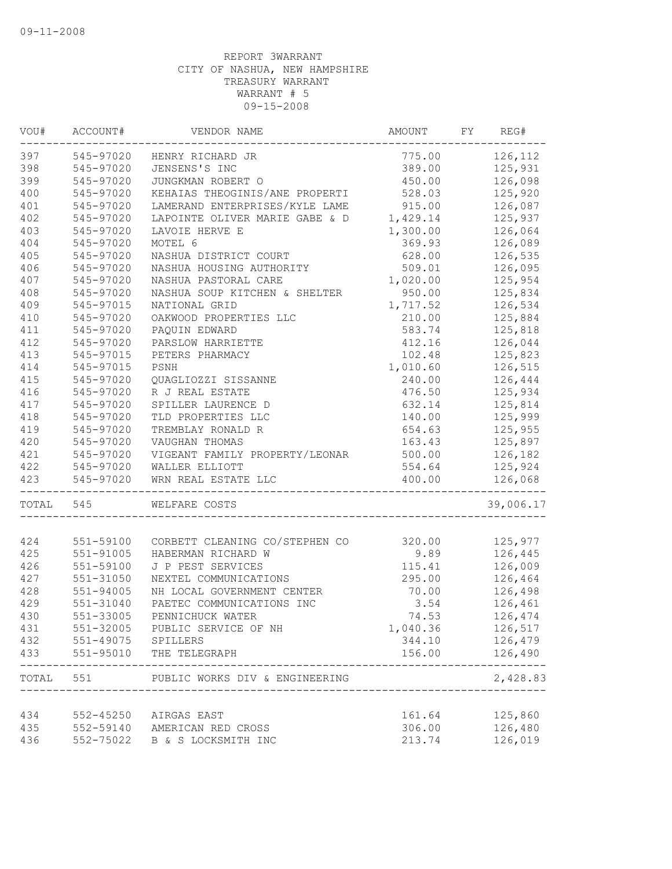| VOU#  | ACCOUNT#                        | VENDOR NAME                                          | AMOUNT                            | FY | REG#             |
|-------|---------------------------------|------------------------------------------------------|-----------------------------------|----|------------------|
| 397   | 545-97020                       | HENRY RICHARD JR                                     | 775.00                            |    | 126,112          |
| 398   | 545-97020                       | JENSENS'S INC                                        | 389.00                            |    | 125,931          |
| 399   | 545-97020                       | JUNGKMAN ROBERT O                                    | 450.00                            |    | 126,098          |
| 400   | 545-97020                       | KEHAIAS THEOGINIS/ANE PROPERTI                       | 528.03                            |    | 125,920          |
| 401   | 545-97020                       | LAMERAND ENTERPRISES/KYLE LAME                       | 915.00                            |    | 126,087          |
| 402   | 545-97020                       | LAPOINTE OLIVER MARIE GABE & D                       | 1,429.14                          |    | 125,937          |
| 403   | 545-97020                       | LAVOIE HERVE E                                       | 1,300.00                          |    | 126,064          |
| 404   | 545-97020                       | MOTEL 6                                              | 369.93                            |    | 126,089          |
| 405   | 545-97020                       | NASHUA DISTRICT COURT                                | 628.00                            |    | 126,535          |
| 406   | 545-97020                       | NASHUA HOUSING AUTHORITY                             | 509.01                            |    | 126,095          |
| 407   | 545-97020                       | NASHUA PASTORAL CARE                                 | 1,020.00                          |    | 125,954          |
| 408   | 545-97020                       | NASHUA SOUP KITCHEN & SHELTER                        | 950.00                            |    | 125,834          |
| 409   | 545-97015                       | NATIONAL GRID                                        | 1,717.52                          |    | 126,534          |
| 410   | 545-97020                       | OAKWOOD PROPERTIES LLC                               | 210.00                            |    | 125,884          |
| 411   | 545-97020                       | PAQUIN EDWARD                                        | 583.74                            |    | 125,818          |
| 412   | 545-97020                       | PARSLOW HARRIETTE                                    | 412.16                            |    | 126,044          |
| 413   | 545-97015                       | PETERS PHARMACY                                      | 102.48                            |    | 125,823          |
| 414   | 545-97015                       | PSNH                                                 | 1,010.60                          |    | 126,515          |
| 415   | 545-97020                       | QUAGLIOZZI SISSANNE                                  | 240.00                            |    | 126,444          |
| 416   | 545-97020                       | R J REAL ESTATE                                      | 476.50                            |    | 125,934          |
| 417   | 545-97020                       | SPILLER LAURENCE D                                   | 632.14                            |    | 125,814          |
| 418   | 545-97020                       | TLD PROPERTIES LLC                                   | 140.00                            |    | 125,999          |
| 419   | 545-97020                       | TREMBLAY RONALD R                                    | 654.63                            |    | 125,955          |
| 420   | 545-97020                       | VAUGHAN THOMAS                                       | 163.43                            |    | 125,897          |
| 421   | 545-97020                       | VIGEANT FAMILY PROPERTY/LEONAR                       | 500.00                            |    | 126,182          |
| 422   | 545-97020                       | WALLER ELLIOTT                                       | 554.64                            |    | 125,924          |
| 423   | 545-97020<br>__________________ | WRN REAL ESTATE LLC<br>_______________               | 400.00<br>_______________________ |    | 126,068          |
| TOTAL | 545                             | WELFARE COSTS                                        |                                   |    | 39,006.17        |
| 424   | 551-59100                       |                                                      | 320.00                            |    | 125,977          |
| 425   | $551 - 91005$                   | CORBETT CLEANING CO/STEPHEN CO<br>HABERMAN RICHARD W | 9.89                              |    | 126,445          |
| 426   | 551-59100                       | J P PEST SERVICES                                    | 115.41                            |    | 126,009          |
| 427   | $551 - 31050$                   | NEXTEL COMMUNICATIONS                                | 295.00                            |    | 126,464          |
| 428   | $551 - 94005$                   | NH LOCAL GOVERNMENT CENTER                           | 70.00                             |    | 126,498          |
| 429   | 551-31040                       | PAETEC COMMUNICATIONS INC                            | 3.54                              |    | 126,461          |
|       |                                 | PENNICHUCK WATER                                     |                                   |    |                  |
| 430   | 551-33005                       |                                                      | 74.53                             |    | 126,474          |
| 431   |                                 | 551-32005 PUBLIC SERVICE OF NH                       | 1,040.36                          |    | 126,517          |
| 432   | 551-49075 SPILLERS              |                                                      | 344.10                            |    | 126,479          |
| 433   | 551-95010                       | THE TELEGRAPH                                        | 156.00                            |    | 126,490<br>----- |
|       |                                 | TOTAL 551 PUBLIC WORKS DIV & ENGINEERING             |                                   |    | 2,428.83         |
| 434   |                                 | 552-45250 AIRGAS EAST                                | 161.64                            |    | 125,860          |
| 435   |                                 | 552-59140 AMERICAN RED CROSS                         | 306.00                            |    | 126,480          |
| 436   |                                 | 552-75022 B & S LOCKSMITH INC                        | 213.74                            |    | 126,019          |
|       |                                 |                                                      |                                   |    |                  |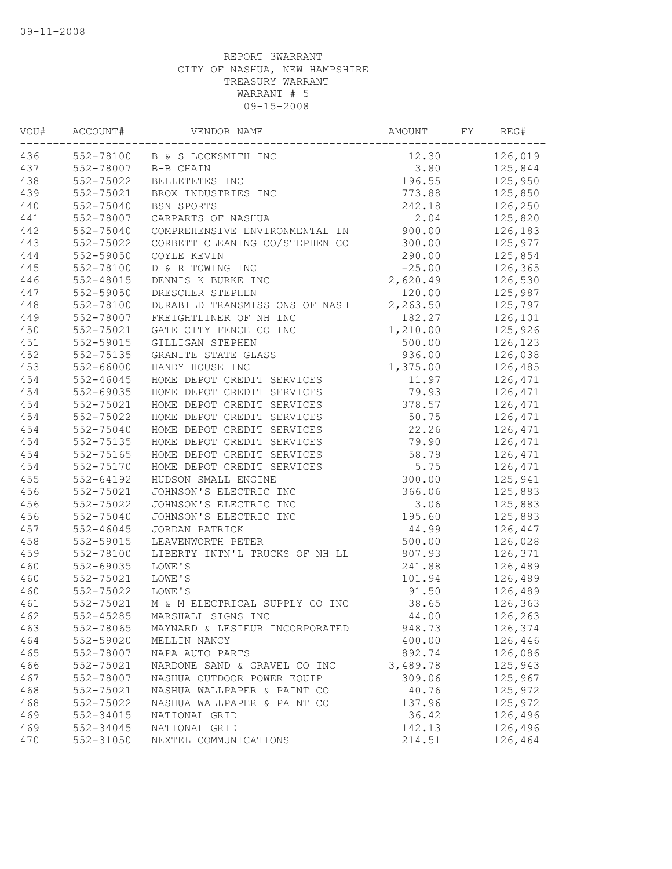| VOU# | ACCOUNT#      | VENDOR NAME                    | AMOUNT   | FY | REG#    |
|------|---------------|--------------------------------|----------|----|---------|
| 436  |               | 552-78100 B & S LOCKSMITH INC  | 12.30    |    | 126,019 |
| 437  | 552-78007     | B-B CHAIN                      | 3.80     |    | 125,844 |
| 438  | 552-75022     | BELLETETES INC                 | 196.55   |    | 125,950 |
| 439  | 552-75021     | BROX INDUSTRIES INC            | 773.88   |    | 125,850 |
| 440  | 552-75040     | BSN SPORTS                     | 242.18   |    | 126,250 |
| 441  | 552-78007     | CARPARTS OF NASHUA             | 2.04     |    | 125,820 |
| 442  | 552-75040     | COMPREHENSIVE ENVIRONMENTAL IN | 900.00   |    | 126,183 |
| 443  | 552-75022     | CORBETT CLEANING CO/STEPHEN CO | 300.00   |    | 125,977 |
| 444  | 552-59050     | COYLE KEVIN                    | 290.00   |    | 125,854 |
| 445  | 552-78100     | D & R TOWING INC               | $-25.00$ |    | 126,365 |
| 446  | 552-48015     | DENNIS K BURKE INC             | 2,620.49 |    | 126,530 |
| 447  | 552-59050     | DRESCHER STEPHEN               | 120.00   |    | 125,987 |
| 448  | 552-78100     | DURABILD TRANSMISSIONS OF NASH | 2,263.50 |    | 125,797 |
| 449  | 552-78007     | FREIGHTLINER OF NH INC         | 182.27   |    | 126,101 |
| 450  | 552-75021     | GATE CITY FENCE CO INC         | 1,210.00 |    | 125,926 |
| 451  | 552-59015     | GILLIGAN STEPHEN               | 500.00   |    | 126,123 |
| 452  | 552-75135     | GRANITE STATE GLASS            | 936.00   |    | 126,038 |
| 453  | 552-66000     | HANDY HOUSE INC                | 1,375.00 |    | 126,485 |
| 454  | $552 - 46045$ | HOME DEPOT CREDIT SERVICES     | 11.97    |    | 126,471 |
| 454  | 552-69035     | HOME DEPOT CREDIT SERVICES     | 79.93    |    | 126,471 |
| 454  | 552-75021     | HOME DEPOT CREDIT SERVICES     | 378.57   |    | 126,471 |
| 454  | 552-75022     | HOME DEPOT CREDIT SERVICES     | 50.75    |    | 126,471 |
| 454  | 552-75040     | HOME DEPOT CREDIT SERVICES     | 22.26    |    | 126,471 |
| 454  | 552-75135     | HOME DEPOT CREDIT SERVICES     | 79.90    |    | 126,471 |
| 454  | 552-75165     | HOME DEPOT CREDIT SERVICES     | 58.79    |    | 126,471 |
| 454  | 552-75170     | HOME DEPOT CREDIT SERVICES     | 5.75     |    | 126,471 |
| 455  | 552-64192     | HUDSON SMALL ENGINE            | 300.00   |    | 125,941 |
| 456  | 552-75021     | JOHNSON'S ELECTRIC INC         | 366.06   |    | 125,883 |
| 456  | 552-75022     | JOHNSON'S ELECTRIC INC         | 3.06     |    | 125,883 |
| 456  | 552-75040     | JOHNSON'S ELECTRIC INC         | 195.60   |    | 125,883 |
| 457  | 552-46045     | JORDAN PATRICK                 | 44.99    |    | 126,447 |
| 458  | 552-59015     | LEAVENWORTH PETER              | 500.00   |    | 126,028 |
| 459  | 552-78100     | LIBERTY INTN'L TRUCKS OF NH LL | 907.93   |    | 126,371 |
| 460  | 552-69035     | LOWE'S                         | 241.88   |    | 126,489 |
| 460  | 552-75021     | LOWE'S                         | 101.94   |    | 126,489 |
| 460  | 552-75022     | LOWE'S                         | 91.50    |    | 126,489 |
| 461  | 552-75021     | M & M ELECTRICAL SUPPLY CO INC | 38.65    |    | 126,363 |
| 462  | 552-45285     | MARSHALL SIGNS INC             | 44.00    |    | 126,263 |
| 463  | 552-78065     | MAYNARD & LESIEUR INCORPORATED | 948.73   |    | 126,374 |
| 464  | 552-59020     | MELLIN NANCY                   | 400.00   |    | 126,446 |
| 465  | 552-78007     | NAPA AUTO PARTS                | 892.74   |    | 126,086 |
| 466  | 552-75021     | NARDONE SAND & GRAVEL CO INC   | 3,489.78 |    | 125,943 |
| 467  | 552-78007     | NASHUA OUTDOOR POWER EQUIP     | 309.06   |    | 125,967 |
| 468  | 552-75021     | NASHUA WALLPAPER & PAINT CO    | 40.76    |    | 125,972 |
| 468  | 552-75022     | NASHUA WALLPAPER & PAINT CO    | 137.96   |    | 125,972 |
| 469  | 552-34015     | NATIONAL GRID                  | 36.42    |    | 126,496 |
| 469  | 552-34045     | NATIONAL GRID                  | 142.13   |    | 126,496 |
| 470  | 552-31050     | NEXTEL COMMUNICATIONS          | 214.51   |    | 126,464 |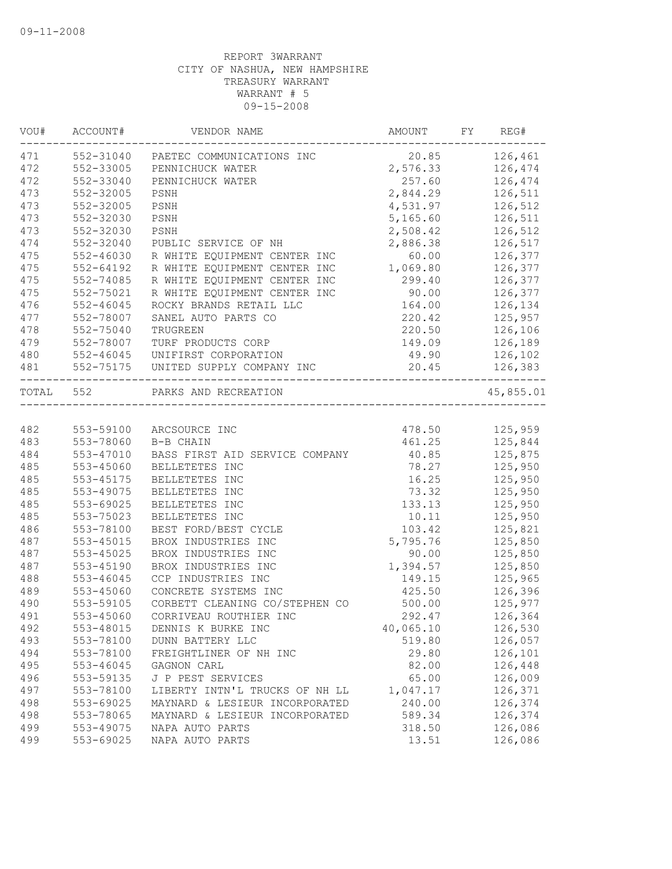| VOU#      | ACCOUNT#      | VENDOR NAME                                       | AMOUNT    | FY | REG#      |
|-----------|---------------|---------------------------------------------------|-----------|----|-----------|
| 471       | 552-31040     | PAETEC COMMUNICATIONS INC                         | 20.85     |    | 126,461   |
| 472       | 552-33005     | PENNICHUCK WATER                                  | 2,576.33  |    | 126,474   |
| 472       | 552-33040     | PENNICHUCK WATER                                  | 257.60    |    | 126,474   |
| 473       | 552-32005     | PSNH                                              | 2,844.29  |    | 126,511   |
| 473       | 552-32005     | PSNH                                              | 4,531.97  |    | 126,512   |
| 473       | 552-32030     | PSNH                                              | 5,165.60  |    | 126,511   |
| 473       | 552-32030     | PSNH                                              | 2,508.42  |    | 126,512   |
| 474       | 552-32040     | PUBLIC SERVICE OF NH                              | 2,886.38  |    | 126,517   |
| 475       | 552-46030     | R WHITE EQUIPMENT CENTER INC                      | 60.00     |    | 126,377   |
| 475       | $552 - 64192$ | R WHITE EQUIPMENT CENTER INC                      | 1,069.80  |    | 126,377   |
| 475       | 552-74085     | R WHITE EQUIPMENT CENTER INC                      | 299.40    |    | 126,377   |
| 475       | 552-75021     | R WHITE EQUIPMENT CENTER INC                      | 90.00     |    | 126,377   |
| 476       | $552 - 46045$ | ROCKY BRANDS RETAIL LLC                           | 164.00    |    | 126,134   |
| 477       | 552-78007     | SANEL AUTO PARTS CO                               | 220.42    |    | 125,957   |
| 478       | 552-75040     | TRUGREEN                                          | 220.50    |    | 126,106   |
| 479       | 552-78007     | TURF PRODUCTS CORP                                | 149.09    |    | 126,189   |
| 480       | 552-46045     | UNIFIRST CORPORATION                              | 49.90     |    | 126,102   |
| 481       | 552-75175     | UNITED SUPPLY COMPANY INC                         | 20.45     |    | 126,383   |
| TOTAL 552 |               | PARKS AND RECREATION<br>------------------------- |           |    | 45,855.01 |
|           |               |                                                   |           |    |           |
| 482       | 553-59100     | ARCSOURCE INC                                     | 478.50    |    | 125,959   |
| 483       | 553-78060     | B-B CHAIN                                         | 461.25    |    | 125,844   |
| 484       | 553-47010     | BASS FIRST AID SERVICE COMPANY                    | 40.85     |    | 125,875   |
| 485       | 553-45060     | BELLETETES INC                                    | 78.27     |    | 125,950   |
| 485       | 553-45175     | BELLETETES INC                                    | 16.25     |    | 125,950   |
| 485       | 553-49075     | BELLETETES INC                                    | 73.32     |    | 125,950   |
| 485       | 553-69025     | BELLETETES INC                                    | 133.13    |    | 125,950   |
| 485       | 553-75023     | BELLETETES INC                                    | 10.11     |    | 125,950   |
| 486       | 553-78100     | BEST FORD/BEST CYCLE                              | 103.42    |    | 125,821   |
| 487       | 553-45015     | BROX INDUSTRIES INC                               | 5,795.76  |    | 125,850   |
| 487       | 553-45025     | BROX INDUSTRIES INC                               | 90.00     |    | 125,850   |
| 487       | 553-45190     | BROX INDUSTRIES INC                               | 1,394.57  |    | 125,850   |
| 488       | 553-46045     | CCP INDUSTRIES INC                                | 149.15    |    | 125,965   |
| 489       | 553-45060     | CONCRETE SYSTEMS INC                              | 425.50    |    | 126,396   |
| 490       | 553-59105     | CORBETT CLEANING CO/STEPHEN CO                    | 500.00    |    | 125,977   |
| 491       | 553-45060     | CORRIVEAU ROUTHIER INC                            | 292.47    |    | 126,364   |
| 492       | 553-48015     | DENNIS K BURKE INC                                | 40,065.10 |    | 126,530   |
| 493       | 553-78100     | DUNN BATTERY LLC                                  | 519.80    |    | 126,057   |
| 494       | 553-78100     | FREIGHTLINER OF NH INC                            | 29.80     |    | 126,101   |
| 495       | 553-46045     | GAGNON CARL                                       | 82.00     |    | 126,448   |
| 496       | 553-59135     | J P PEST SERVICES                                 | 65.00     |    | 126,009   |
| 497       | 553-78100     | LIBERTY INTN'L TRUCKS OF NH LL                    | 1,047.17  |    | 126,371   |
| 498       | 553-69025     | MAYNARD & LESIEUR INCORPORATED                    | 240.00    |    | 126,374   |
| 498       | 553-78065     | MAYNARD & LESIEUR INCORPORATED                    | 589.34    |    | 126,374   |
| 499       | 553-49075     | NAPA AUTO PARTS                                   | 318.50    |    | 126,086   |
| 499       | 553-69025     | NAPA AUTO PARTS                                   | 13.51     |    | 126,086   |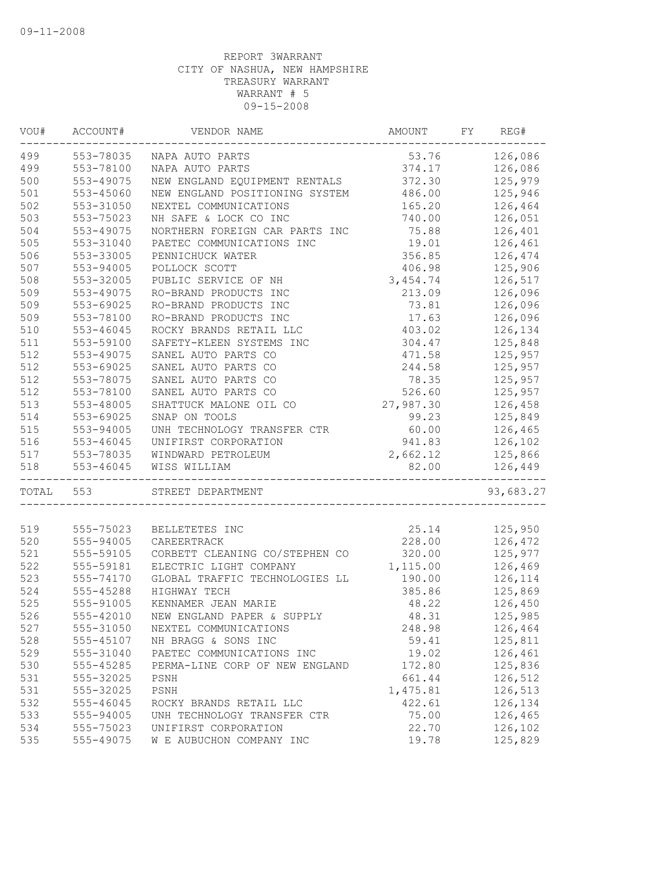| VOU#  | ACCOUNT#  | VENDOR NAME                    | AMOUNT    | FY | REG#               |
|-------|-----------|--------------------------------|-----------|----|--------------------|
| 499   | 553-78035 | NAPA AUTO PARTS                | 53.76     |    | 126,086            |
| 499   | 553-78100 | NAPA AUTO PARTS                | 374.17    |    | 126,086            |
| 500   | 553-49075 | NEW ENGLAND EQUIPMENT RENTALS  | 372.30    |    | 125,979            |
| 501   | 553-45060 | NEW ENGLAND POSITIONING SYSTEM | 486.00    |    | 125,946            |
| 502   | 553-31050 | NEXTEL COMMUNICATIONS          | 165.20    |    | 126,464            |
| 503   | 553-75023 | NH SAFE & LOCK CO INC          | 740.00    |    | 126,051            |
| 504   | 553-49075 | NORTHERN FOREIGN CAR PARTS INC | 75.88     |    | 126,401            |
| 505   | 553-31040 | PAETEC COMMUNICATIONS INC      | 19.01     |    | 126,461            |
| 506   | 553-33005 | PENNICHUCK WATER               | 356.85    |    | 126,474            |
| 507   | 553-94005 | POLLOCK SCOTT                  | 406.98    |    | 125,906            |
| 508   | 553-32005 | PUBLIC SERVICE OF NH           | 3,454.74  |    | 126,517            |
| 509   | 553-49075 | RO-BRAND PRODUCTS INC          | 213.09    |    | 126,096            |
| 509   | 553-69025 | RO-BRAND PRODUCTS INC          | 73.81     |    | 126,096            |
| 509   | 553-78100 | RO-BRAND PRODUCTS INC          | 17.63     |    | 126,096            |
| 510   | 553-46045 | ROCKY BRANDS RETAIL LLC        | 403.02    |    | 126,134            |
| 511   | 553-59100 | SAFETY-KLEEN SYSTEMS INC       | 304.47    |    | 125,848            |
| 512   | 553-49075 | SANEL AUTO PARTS CO            | 471.58    |    | 125,957            |
| 512   | 553-69025 | SANEL AUTO PARTS CO            | 244.58    |    | 125,957            |
| 512   | 553-78075 | SANEL AUTO PARTS CO            | 78.35     |    | 125,957            |
| 512   | 553-78100 | SANEL AUTO PARTS CO            | 526.60    |    | 125,957            |
| 513   | 553-48005 | SHATTUCK MALONE OIL CO         | 27,987.30 |    | 126,458            |
| 514   | 553-69025 | SNAP ON TOOLS                  | 99.23     |    | 125,849            |
| 515   | 553-94005 | UNH TECHNOLOGY TRANSFER CTR    | 60.00     |    | 126,465            |
| 516   | 553-46045 | UNIFIRST CORPORATION           | 941.83    |    | 126,102            |
| 517   | 553-78035 | WINDWARD PETROLEUM             | 2,662.12  |    |                    |
| 518   | 553-46045 | WISS WILLIAM                   | 82.00     |    | 125,866<br>126,449 |
|       |           | _____________                  |           |    |                    |
| TOTAL | 553       | STREET DEPARTMENT              |           |    | 93,683.27          |
|       |           |                                |           |    |                    |
| 519   | 555-75023 | BELLETETES INC                 | 25.14     |    | 125,950            |
| 520   | 555-94005 | CAREERTRACK                    | 228.00    |    | 126,472            |
| 521   | 555-59105 | CORBETT CLEANING CO/STEPHEN CO | 320.00    |    | 125,977            |
| 522   | 555-59181 | ELECTRIC LIGHT COMPANY         | 1,115.00  |    | 126,469            |
| 523   | 555-74170 | GLOBAL TRAFFIC TECHNOLOGIES LL | 190.00    |    | 126,114            |
| 524   | 555-45288 | HIGHWAY TECH                   | 385.86    |    | 125,869            |
| 525   | 555-91005 | KENNAMER JEAN MARIE            | 48.22     |    | 126,450            |
| 526   | 555-42010 | NEW ENGLAND PAPER & SUPPLY     | 48.31     |    | 125,985            |
| 527   | 555-31050 | NEXTEL COMMUNICATIONS          | 248.98    |    | 126,464            |
| 528   | 555-45107 | NH BRAGG & SONS INC            | 59.41     |    | 125,811            |
| 529   | 555-31040 | PAETEC COMMUNICATIONS INC      | 19.02     |    | 126,461            |
| 530   | 555-45285 | PERMA-LINE CORP OF NEW ENGLAND | 172.80    |    | 125,836            |
| 531   | 555-32025 | PSNH                           | 661.44    |    | 126,512            |
| 531   | 555-32025 | PSNH                           | 1,475.81  |    | 126,513            |
| 532   | 555-46045 | ROCKY BRANDS RETAIL LLC        | 422.61    |    | 126,134            |
| 533   | 555-94005 | UNH TECHNOLOGY TRANSFER CTR    | 75.00     |    | 126,465            |
| 534   | 555-75023 | UNIFIRST CORPORATION           | 22.70     |    | 126,102            |
| 535   | 555-49075 | W E AUBUCHON COMPANY INC       | 19.78     |    | 125,829            |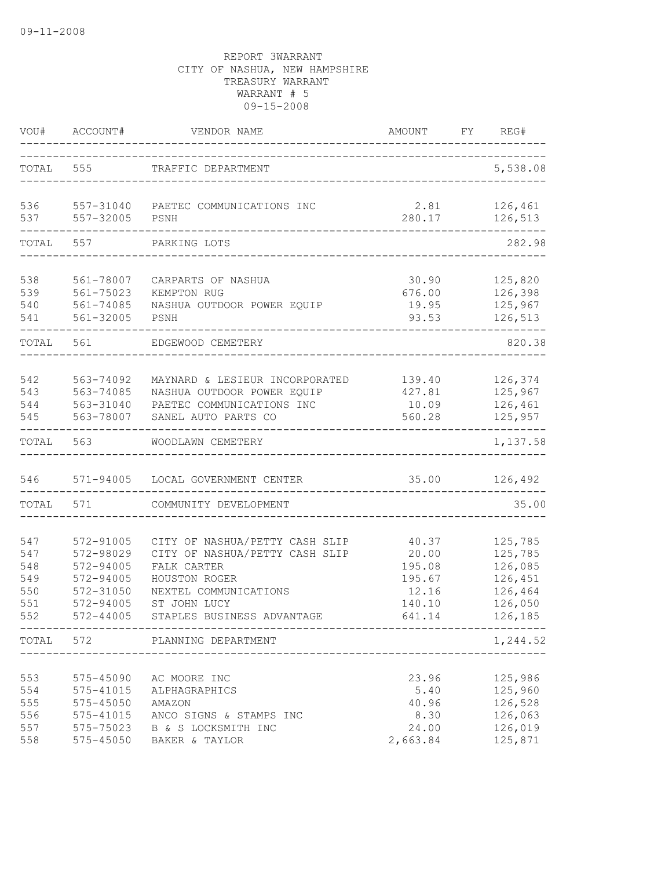| VOU#                                          | ACCOUNT#                                                                                    | VENDOR NAME                                                                                                                                                             | AMOUNT                                                          | FY | REG#                                                                      |
|-----------------------------------------------|---------------------------------------------------------------------------------------------|-------------------------------------------------------------------------------------------------------------------------------------------------------------------------|-----------------------------------------------------------------|----|---------------------------------------------------------------------------|
| TOTAL                                         | 555                                                                                         | TRAFFIC DEPARTMENT                                                                                                                                                      |                                                                 |    | 5,538.08                                                                  |
| 536<br>537                                    | 557-32005                                                                                   | 557-31040 PAETEC COMMUNICATIONS INC<br>PSNH                                                                                                                             | 2.81<br>280.17                                                  |    | 126,461<br>126,513                                                        |
| TOTAL                                         | 557                                                                                         | PARKING LOTS                                                                                                                                                            |                                                                 |    | 282.98                                                                    |
| 538<br>539<br>540<br>541                      | 561-78007<br>561-75023<br>561-74085<br>561-32005                                            | CARPARTS OF NASHUA<br>KEMPTON RUG<br>NASHUA OUTDOOR POWER EQUIP<br>PSNH                                                                                                 | 30.90<br>676.00<br>19.95<br>93.53                               |    | 125,820<br>126,398<br>125,967<br>126,513                                  |
| TOTAL                                         | 561                                                                                         | EDGEWOOD CEMETERY                                                                                                                                                       |                                                                 |    | 820.38                                                                    |
| 542<br>543<br>544<br>545                      | 563-74092<br>563-74085<br>563-31040<br>563-78007                                            | MAYNARD & LESIEUR INCORPORATED<br>NASHUA OUTDOOR POWER EQUIP<br>PAETEC COMMUNICATIONS INC<br>SANEL AUTO PARTS CO                                                        | 139.40<br>427.81<br>10.09<br>560.28                             |    | 126,374<br>125,967<br>126,461<br>125,957                                  |
| TOTAL                                         | 563                                                                                         | WOODLAWN CEMETERY                                                                                                                                                       |                                                                 |    | 1,137.58                                                                  |
| 546<br>TOTAL                                  | 571                                                                                         | 571-94005 LOCAL GOVERNMENT CENTER<br>COMMUNITY DEVELOPMENT                                                                                                              | 35.00                                                           |    | 126,492<br>35.00                                                          |
|                                               |                                                                                             |                                                                                                                                                                         |                                                                 |    |                                                                           |
| 547<br>547<br>548<br>549<br>550<br>551<br>552 | 572-91005<br>572-98029<br>$572 - 94005$<br>572-94005<br>572-31050<br>572-94005<br>572-44005 | CITY OF NASHUA/PETTY CASH SLIP<br>CITY OF NASHUA/PETTY CASH SLIP<br>FALK CARTER<br>HOUSTON ROGER<br>NEXTEL COMMUNICATIONS<br>ST JOHN LUCY<br>STAPLES BUSINESS ADVANTAGE | 40.37<br>20.00<br>195.08<br>195.67<br>12.16<br>140.10<br>641.14 |    | 125,785<br>125,785<br>126,085<br>126,451<br>126,464<br>126,050<br>126,185 |
|                                               |                                                                                             | TOTAL 572 PLANNING DEPARTMENT                                                                                                                                           |                                                                 |    | 1,244.52                                                                  |
| 553<br>554<br>555<br>556<br>557<br>558        | 575-45090<br>575-41015<br>575-45050<br>575-41015<br>575-75023<br>575-45050                  | AC MOORE INC<br>ALPHAGRAPHICS<br>AMAZON<br>ANCO SIGNS & STAMPS INC<br>B & S LOCKSMITH INC<br>BAKER & TAYLOR                                                             | 23.96<br>5.40<br>40.96<br>8.30<br>24.00<br>2,663.84             |    | 125,986<br>125,960<br>126,528<br>126,063<br>126,019<br>125,871            |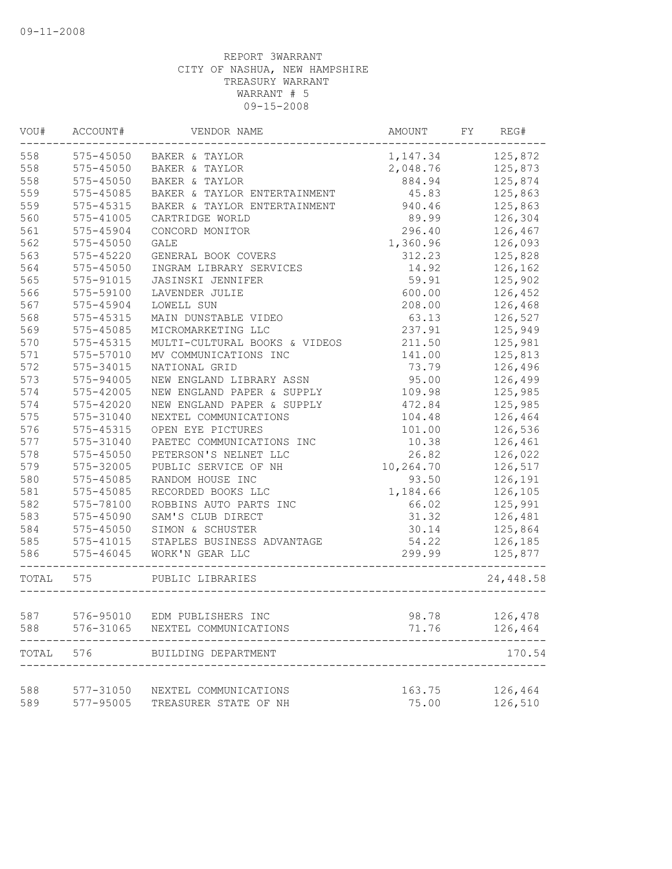| VOU#  | ACCOUNT#      | VENDOR NAME                     | AMOUNT FY          | REG#      |
|-------|---------------|---------------------------------|--------------------|-----------|
| 558   |               | 575-45050 BAKER & TAYLOR        | 1, 147.34 125, 872 |           |
| 558   | 575-45050     | BAKER & TAYLOR                  | 2,048.76           | 125,873   |
| 558   | 575-45050     | BAKER & TAYLOR                  | 884.94             | 125,874   |
| 559   | 575-45085     | BAKER & TAYLOR ENTERTAINMENT    | 45.83              | 125,863   |
| 559   | 575-45315     | BAKER & TAYLOR ENTERTAINMENT    | 940.46             | 125,863   |
| 560   | 575-41005     | CARTRIDGE WORLD                 | 89.99              | 126,304   |
| 561   | 575-45904     | CONCORD MONITOR                 | 296.40             | 126,467   |
| 562   | $575 - 45050$ | <b>GALE</b>                     | 1,360.96           | 126,093   |
| 563   | $575 - 45220$ | GENERAL BOOK COVERS             | 312.23             | 125,828   |
| 564   | $575 - 45050$ | INGRAM LIBRARY SERVICES         | 14.92              | 126,162   |
| 565   | 575-91015     | <b>JASINSKI JENNIFER</b>        | 59.91              | 125,902   |
| 566   | 575-59100     | LAVENDER JULIE                  | 600.00             | 126,452   |
| 567   | 575-45904     | LOWELL SUN                      | 208.00             | 126,468   |
| 568   | 575-45315     | MAIN DUNSTABLE VIDEO            | 63.13              | 126,527   |
| 569   | 575-45085     | MICROMARKETING LLC              | 237.91             | 125,949   |
| 570   | 575-45315     | MULTI-CULTURAL BOOKS & VIDEOS   | 211.50             | 125,981   |
| 571   | 575-57010     | MV COMMUNICATIONS INC           | 141.00             | 125,813   |
| 572   | 575-34015     | NATIONAL GRID                   | 73.79              | 126,496   |
| 573   | 575-94005     | NEW ENGLAND LIBRARY ASSN        | 95.00              | 126,499   |
| 574   | 575-42005     | NEW ENGLAND PAPER & SUPPLY      | 109.98             | 125,985   |
| 574   | 575-42020     | NEW ENGLAND PAPER & SUPPLY      | 472.84             | 125,985   |
| 575   | 575-31040     | NEXTEL COMMUNICATIONS           | 104.48             | 126,464   |
| 576   | 575-45315     | OPEN EYE PICTURES               | 101.00             | 126,536   |
| 577   | 575-31040     | PAETEC COMMUNICATIONS INC       | 10.38              | 126,461   |
| 578   | 575-45050     | PETERSON'S NELNET LLC           | 26.82              | 126,022   |
| 579   | 575-32005     | PUBLIC SERVICE OF NH            | 10,264.70          | 126,517   |
| 580   | $575 - 45085$ | RANDOM HOUSE INC                | 93.50              | 126,191   |
| 581   | 575-45085     | RECORDED BOOKS LLC              | 1,184.66           | 126,105   |
| 582   | 575-78100     | ROBBINS AUTO PARTS INC          | 66.02              | 125,991   |
| 583   | 575-45090     | SAM'S CLUB DIRECT               | 31.32              | 126,481   |
| 584   | 575-45050     | SIMON & SCHUSTER                | 30.14              | 125,864   |
| 585   | 575-41015     | STAPLES BUSINESS ADVANTAGE      | 54.22              | 126,185   |
| 586   | $575 - 46045$ | WORK'N GEAR LLC<br>------------ | 299.99             | 125,877   |
| TOTAL | 575           | PUBLIC LIBRARIES                |                    | 24,448.58 |
| 587   |               | 576-95010 EDM PUBLISHERS INC    | 98.78              | 126,478   |
| 588   | 576-31065     | NEXTEL COMMUNICATIONS           | 71.76              |           |
|       |               |                                 |                    | 126,464   |
| TOTAL | 576           | BUILDING DEPARTMENT             |                    | 170.54    |
| 588   | $577 - 31050$ | NEXTEL COMMUNICATIONS           | 163.75             | 126,464   |
| 589   | 577-95005     | TREASURER STATE OF NH           | 75.00              | 126,510   |
|       |               |                                 |                    |           |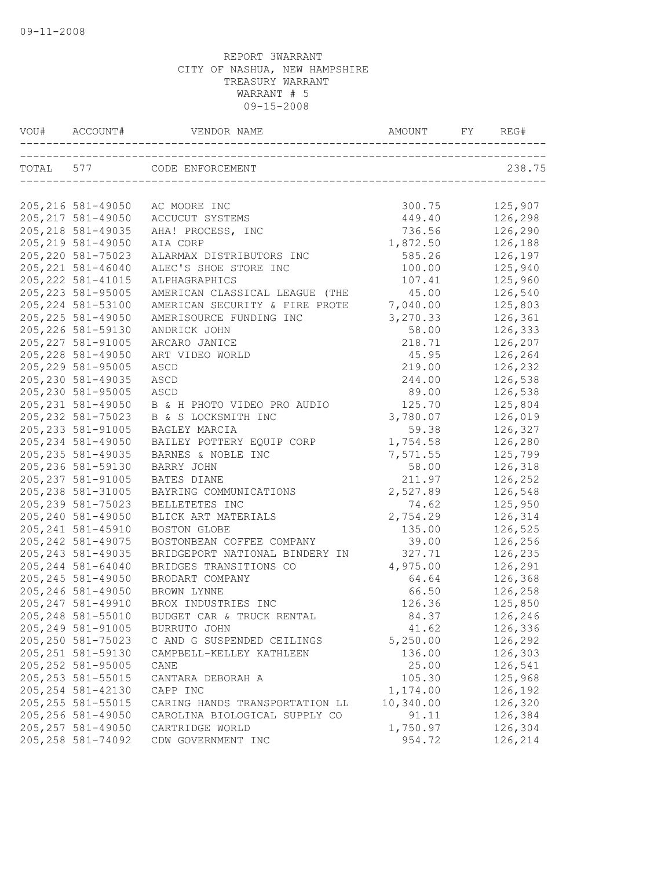| VOU# ACCOUNT#      | VENDOR NAME                    | AMOUNT             | FY | REG#               |
|--------------------|--------------------------------|--------------------|----|--------------------|
|                    | TOTAL 577 CODE ENFORCEMENT     |                    |    | 238.75             |
| 205, 216 581-49050 | AC MOORE INC                   | 300.75             |    | 125,907            |
| 205, 217 581-49050 |                                | 449.40             |    |                    |
| 205, 218 581-49035 | ACCUCUT SYSTEMS                |                    |    | 126,298<br>126,290 |
| 205, 219 581-49050 | AHA! PROCESS, INC<br>AIA CORP  | 736.56<br>1,872.50 |    | 126,188            |
| 205, 220 581-75023 | ALARMAX DISTRIBUTORS INC       | 585.26             |    | 126,197            |
| 205, 221 581-46040 | ALEC'S SHOE STORE INC          | 100.00             |    | 125,940            |
| 205, 222 581-41015 | ALPHAGRAPHICS                  | 107.41             |    | 125,960            |
| 205, 223 581-95005 | AMERICAN CLASSICAL LEAGUE (THE | 45.00              |    | 126,540            |
| 205, 224 581-53100 | AMERICAN SECURITY & FIRE PROTE | 7,040.00           |    | 125,803            |
| 205, 225 581-49050 | AMERISOURCE FUNDING INC        | 3,270.33           |    | 126,361            |
| 205, 226 581-59130 | ANDRICK JOHN                   | 58.00              |    | 126,333            |
| 205, 227 581-91005 | ARCARO JANICE                  | 218.71             |    | 126,207            |
| 205, 228 581-49050 | ART VIDEO WORLD                | 45.95              |    | 126,264            |
| 205, 229 581-95005 | ASCD                           | 219.00             |    | 126,232            |
| 205, 230 581-49035 | ASCD                           | 244.00             |    | 126,538            |
| 205, 230 581-95005 | ASCD                           | 89.00              |    | 126,538            |
| 205, 231 581-49050 | B & H PHOTO VIDEO PRO AUDIO    | 125.70             |    | 125,804            |
| 205, 232 581-75023 | B & S LOCKSMITH INC            | 3,780.07           |    | 126,019            |
| 205, 233 581-91005 | BAGLEY MARCIA                  | 59.38              |    | 126,327            |
| 205, 234 581-49050 | BAILEY POTTERY EQUIP CORP      | 1,754.58           |    | 126,280            |
| 205, 235 581-49035 | BARNES & NOBLE INC             | 7,571.55           |    | 125,799            |
| 205, 236 581-59130 | BARRY JOHN                     | 58.00              |    | 126,318            |
| 205, 237 581-91005 | BATES DIANE                    | 211.97             |    | 126,252            |
| 205, 238 581-31005 | BAYRING COMMUNICATIONS         | 2,527.89           |    | 126,548            |
| 205, 239 581-75023 | BELLETETES INC                 | 74.62              |    | 125,950            |
| 205, 240 581-49050 | BLICK ART MATERIALS            | 2,754.29           |    | 126,314            |
| 205, 241 581-45910 | BOSTON GLOBE                   | 135.00             |    | 126,525            |
| 205, 242 581-49075 | BOSTONBEAN COFFEE COMPANY      | 39.00              |    | 126,256            |
| 205, 243 581-49035 | BRIDGEPORT NATIONAL BINDERY IN | 327.71             |    | 126,235            |
| 205, 244 581-64040 | BRIDGES TRANSITIONS CO         | 4,975.00           |    | 126,291            |
| 205, 245 581-49050 | BRODART COMPANY                | 64.64              |    | 126,368            |
| 205, 246 581-49050 | BROWN LYNNE                    | 66.50              |    | 126,258            |
| 205, 247 581-49910 | BROX INDUSTRIES INC            | 126.36             |    | 125,850            |
| 205, 248 581-55010 | BUDGET CAR & TRUCK RENTAL      | 84.37              |    | 126,246            |
| 205, 249 581-91005 | BURRUTO JOHN                   | 41.62              |    | 126,336            |
| 205, 250 581-75023 | C AND G SUSPENDED CEILINGS     | 5,250.00           |    | 126,292            |
| 205, 251 581-59130 | CAMPBELL-KELLEY KATHLEEN       | 136.00             |    | 126,303            |
| 205, 252 581-95005 | CANE                           | 25.00              |    | 126,541            |
| 205, 253 581-55015 | CANTARA DEBORAH A              | 105.30             |    | 125,968            |
| 205, 254 581-42130 | CAPP INC                       | 1,174.00           |    | 126,192            |
| 205, 255 581-55015 | CARING HANDS TRANSPORTATION LL | 10,340.00          |    | 126,320            |
| 205, 256 581-49050 | CAROLINA BIOLOGICAL SUPPLY CO  | 91.11              |    | 126,384            |
| 205, 257 581-49050 | CARTRIDGE WORLD                | 1,750.97           |    | 126,304            |
| 205, 258 581-74092 | CDW GOVERNMENT INC             | 954.72             |    | 126,214            |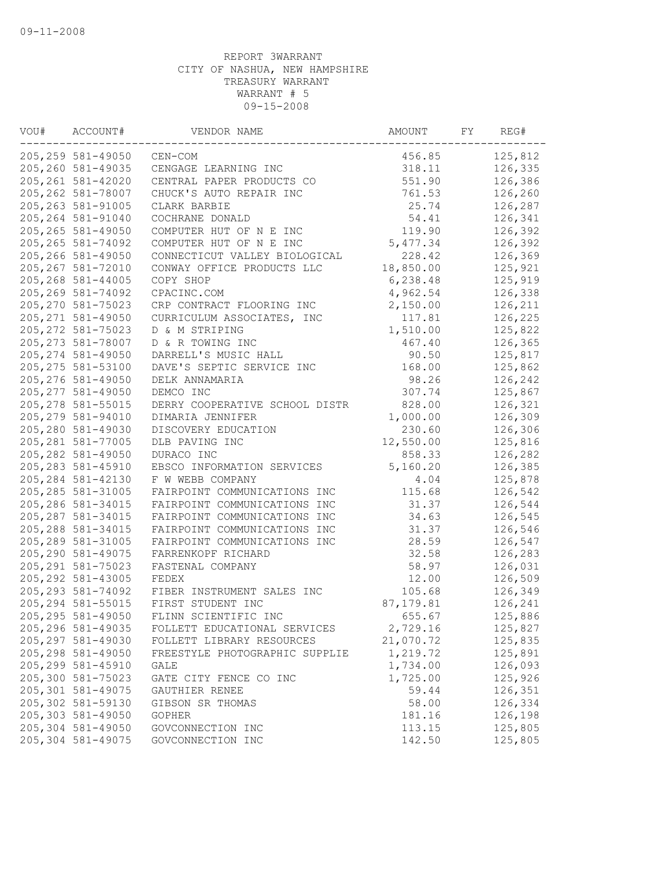| VOU# | ACCOUNT#           | VENDOR NAME                    | AMOUNT     | FY | REG#    |
|------|--------------------|--------------------------------|------------|----|---------|
|      | 205,259 581-49050  | CEN-COM                        | 456.85     |    | 125,812 |
|      | 205,260 581-49035  | CENGAGE LEARNING INC           | 318.11     |    | 126,335 |
|      | 205, 261 581-42020 | CENTRAL PAPER PRODUCTS CO      | 551.90     |    | 126,386 |
|      | 205, 262 581-78007 | CHUCK'S AUTO REPAIR INC        | 761.53     |    | 126,260 |
|      | 205, 263 581-91005 | CLARK BARBIE                   | 25.74      |    | 126,287 |
|      | 205, 264 581-91040 | COCHRANE DONALD                | 54.41      |    | 126,341 |
|      | 205, 265 581-49050 | COMPUTER HUT OF N E INC        | 119.90     |    | 126,392 |
|      | 205, 265 581-74092 | COMPUTER HUT OF N E INC        | 5,477.34   |    | 126,392 |
|      | 205,266 581-49050  | CONNECTICUT VALLEY BIOLOGICAL  | 228.42     |    | 126,369 |
|      | 205, 267 581-72010 | CONWAY OFFICE PRODUCTS LLC     | 18,850.00  |    | 125,921 |
|      | 205,268 581-44005  | COPY SHOP                      | 6,238.48   |    | 125,919 |
|      | 205,269 581-74092  | CPACINC.COM                    | 4,962.54   |    | 126,338 |
|      | 205, 270 581-75023 | CRP CONTRACT FLOORING INC      | 2,150.00   |    | 126,211 |
|      | 205, 271 581-49050 | CURRICULUM ASSOCIATES, INC     | 117.81     |    | 126,225 |
|      | 205, 272 581-75023 | D & M STRIPING                 | 1,510.00   |    | 125,822 |
|      | 205, 273 581-78007 | D & R TOWING INC               | 467.40     |    | 126,365 |
|      | 205, 274 581-49050 | DARRELL'S MUSIC HALL           | 90.50      |    | 125,817 |
|      | 205, 275 581-53100 | DAVE'S SEPTIC SERVICE INC      | 168.00     |    | 125,862 |
|      | 205, 276 581-49050 | DELK ANNAMARIA                 | 98.26      |    | 126,242 |
|      | 205, 277 581-49050 | DEMCO INC                      | 307.74     |    | 125,867 |
|      | 205, 278 581-55015 | DERRY COOPERATIVE SCHOOL DISTR | 828.00     |    | 126,321 |
|      | 205, 279 581-94010 | DIMARIA JENNIFER               | 1,000.00   |    | 126,309 |
|      | 205,280 581-49030  | DISCOVERY EDUCATION            | 230.60     |    | 126,306 |
|      | 205, 281 581-77005 | DLB PAVING INC                 | 12,550.00  |    | 125,816 |
|      | 205, 282 581-49050 | DURACO INC                     | 858.33     |    | 126,282 |
|      | 205, 283 581-45910 | EBSCO INFORMATION SERVICES     | 5,160.20   |    | 126,385 |
|      | 205, 284 581-42130 | F W WEBB COMPANY               | 4.04       |    | 125,878 |
|      | 205, 285 581-31005 | FAIRPOINT COMMUNICATIONS INC   | 115.68     |    | 126,542 |
|      | 205,286 581-34015  | FAIRPOINT COMMUNICATIONS INC   | 31.37      |    | 126,544 |
|      | 205, 287 581-34015 | FAIRPOINT COMMUNICATIONS INC   | 34.63      |    | 126,545 |
|      | 205, 288 581-34015 | FAIRPOINT COMMUNICATIONS INC   | 31.37      |    | 126,546 |
|      | 205,289 581-31005  | FAIRPOINT COMMUNICATIONS INC   | 28.59      |    | 126,547 |
|      | 205,290 581-49075  | FARRENKOPF RICHARD             | 32.58      |    | 126,283 |
|      | 205, 291 581-75023 | FASTENAL COMPANY               | 58.97      |    | 126,031 |
|      | 205, 292 581-43005 | FEDEX                          | 12.00      |    | 126,509 |
|      | 205, 293 581-74092 | FIBER INSTRUMENT SALES INC     | 105.68     |    | 126,349 |
|      | 205, 294 581-55015 | FIRST STUDENT INC              | 87, 179.81 |    | 126,241 |
|      | 205, 295 581-49050 | FLINN SCIENTIFIC INC           | 655.67     |    | 125,886 |
|      | 205,296 581-49035  | FOLLETT EDUCATIONAL SERVICES   | 2,729.16   |    | 125,827 |
|      | 205, 297 581-49030 | FOLLETT LIBRARY RESOURCES      | 21,070.72  |    | 125,835 |
|      | 205,298 581-49050  | FREESTYLE PHOTOGRAPHIC SUPPLIE | 1,219.72   |    | 125,891 |
|      | 205,299 581-45910  | GALE                           | 1,734.00   |    | 126,093 |
|      | 205,300 581-75023  | GATE CITY FENCE CO INC         | 1,725.00   |    | 125,926 |
|      | 205,301 581-49075  | GAUTHIER RENEE                 | 59.44      |    | 126,351 |
|      | 205,302 581-59130  | GIBSON SR THOMAS               | 58.00      |    | 126,334 |
|      | 205,303 581-49050  | <b>GOPHER</b>                  | 181.16     |    | 126,198 |
|      | 205,304 581-49050  | GOVCONNECTION INC              | 113.15     |    | 125,805 |
|      | 205,304 581-49075  | GOVCONNECTION INC              | 142.50     |    | 125,805 |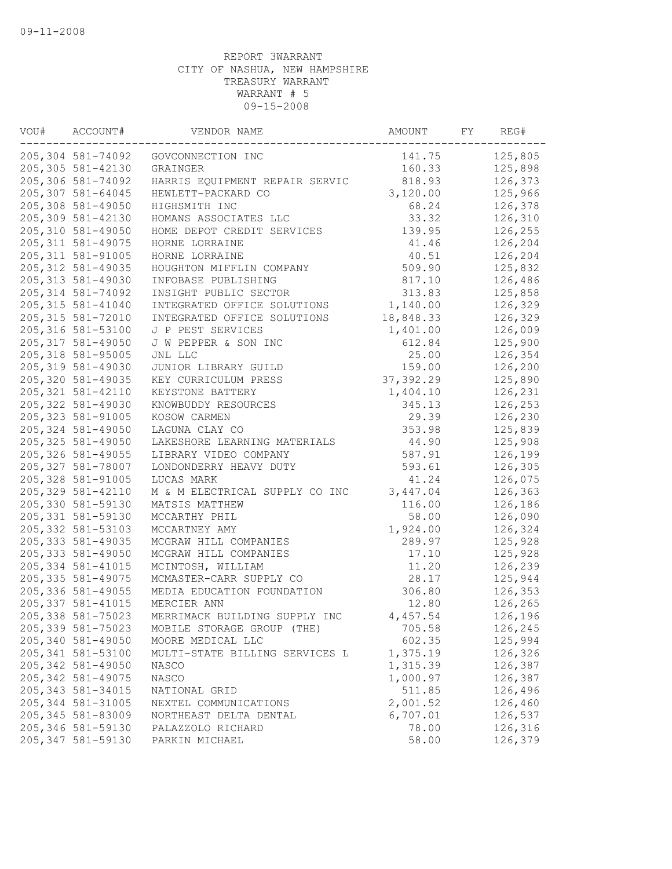| VOU# | ACCOUNT#           | VENDOR NAME                    | AMOUNT     | FY | REG#    |
|------|--------------------|--------------------------------|------------|----|---------|
|      | 205,304 581-74092  | GOVCONNECTION INC              | 141.75     |    | 125,805 |
|      | 205,305 581-42130  | GRAINGER                       | 160.33     |    | 125,898 |
|      | 205,306 581-74092  | HARRIS EQUIPMENT REPAIR SERVIC | 818.93     |    | 126,373 |
|      | 205,307 581-64045  | HEWLETT-PACKARD CO             | 3,120.00   |    | 125,966 |
|      | 205,308 581-49050  | HIGHSMITH INC                  | 68.24      |    | 126,378 |
|      | 205,309 581-42130  | HOMANS ASSOCIATES LLC          | 33.32      |    | 126,310 |
|      | 205,310 581-49050  | HOME DEPOT CREDIT SERVICES     | 139.95     |    | 126,255 |
|      | 205, 311 581-49075 | HORNE LORRAINE                 | 41.46      |    | 126,204 |
|      | 205, 311 581-91005 | HORNE LORRAINE                 | 40.51      |    | 126,204 |
|      | 205, 312 581-49035 | HOUGHTON MIFFLIN COMPANY       | 509.90     |    | 125,832 |
|      | 205, 313 581-49030 | INFOBASE PUBLISHING            | 817.10     |    | 126,486 |
|      | 205, 314 581-74092 | INSIGHT PUBLIC SECTOR          | 313.83     |    | 125,858 |
|      | 205, 315 581-41040 | INTEGRATED OFFICE SOLUTIONS    | 1,140.00   |    | 126,329 |
|      | 205, 315 581-72010 | INTEGRATED OFFICE SOLUTIONS    | 18,848.33  |    | 126,329 |
|      | 205, 316 581-53100 | J P PEST SERVICES              | 1,401.00   |    | 126,009 |
|      | 205, 317 581-49050 | J W PEPPER & SON INC           | 612.84     |    | 125,900 |
|      | 205, 318 581-95005 | JNL LLC                        | 25.00      |    | 126,354 |
|      | 205, 319 581-49030 | JUNIOR LIBRARY GUILD           | 159.00     |    | 126,200 |
|      | 205,320 581-49035  | KEY CURRICULUM PRESS           | 37, 392.29 |    | 125,890 |
|      | 205, 321 581-42110 | KEYSTONE BATTERY               | 1,404.10   |    | 126,231 |
|      | 205, 322 581-49030 | KNOWBUDDY RESOURCES            | 345.13     |    | 126,253 |
|      | 205, 323 581-91005 | KOSOW CARMEN                   | 29.39      |    | 126,230 |
|      | 205, 324 581-49050 | LAGUNA CLAY CO                 | 353.98     |    | 125,839 |
|      | 205, 325 581-49050 | LAKESHORE LEARNING MATERIALS   | 44.90      |    | 125,908 |
|      | 205, 326 581-49055 | LIBRARY VIDEO COMPANY          | 587.91     |    | 126,199 |
|      | 205, 327 581-78007 | LONDONDERRY HEAVY DUTY         | 593.61     |    | 126,305 |
|      | 205, 328 581-91005 | LUCAS MARK                     | 41.24      |    | 126,075 |
|      | 205, 329 581-42110 | M & M ELECTRICAL SUPPLY CO INC | 3,447.04   |    | 126,363 |
|      | 205,330 581-59130  | MATSIS MATTHEW                 | 116.00     |    | 126,186 |
|      | 205, 331 581-59130 | MCCARTHY PHIL                  | 58.00      |    | 126,090 |
|      | 205, 332 581-53103 | MCCARTNEY AMY                  | 1,924.00   |    | 126,324 |
|      | 205, 333 581-49035 | MCGRAW HILL COMPANIES          | 289.97     |    | 125,928 |
|      | 205, 333 581-49050 | MCGRAW HILL COMPANIES          | 17.10      |    | 125,928 |
|      | 205, 334 581-41015 | MCINTOSH, WILLIAM              | 11.20      |    | 126,239 |
|      | 205, 335 581-49075 | MCMASTER-CARR SUPPLY CO        | 28.17      |    | 125,944 |
|      | 205, 336 581-49055 | MEDIA EDUCATION FOUNDATION     | 306.80     |    | 126,353 |
|      | 205, 337 581-41015 | MERCIER ANN                    | 12.80      |    | 126,265 |
|      | 205,338 581-75023  | MERRIMACK BUILDING SUPPLY INC  | 4,457.54   |    | 126,196 |
|      | 205,339 581-75023  | MOBILE STORAGE GROUP (THE)     | 705.58     |    | 126,245 |
|      | 205,340 581-49050  | MOORE MEDICAL LLC              | 602.35     |    | 125,994 |
|      | 205, 341 581-53100 | MULTI-STATE BILLING SERVICES L | 1,375.19   |    | 126,326 |
|      | 205, 342 581-49050 | NASCO                          | 1,315.39   |    | 126,387 |
|      | 205, 342 581-49075 | NASCO                          | 1,000.97   |    | 126,387 |
|      | 205, 343 581-34015 | NATIONAL GRID                  | 511.85     |    | 126,496 |
|      | 205, 344 581-31005 | NEXTEL COMMUNICATIONS          | 2,001.52   |    | 126,460 |
|      | 205, 345 581-83009 | NORTHEAST DELTA DENTAL         | 6,707.01   |    | 126,537 |
|      | 205,346 581-59130  | PALAZZOLO RICHARD              | 78.00      |    | 126,316 |
|      | 205, 347 581-59130 | PARKIN MICHAEL                 | 58.00      |    | 126,379 |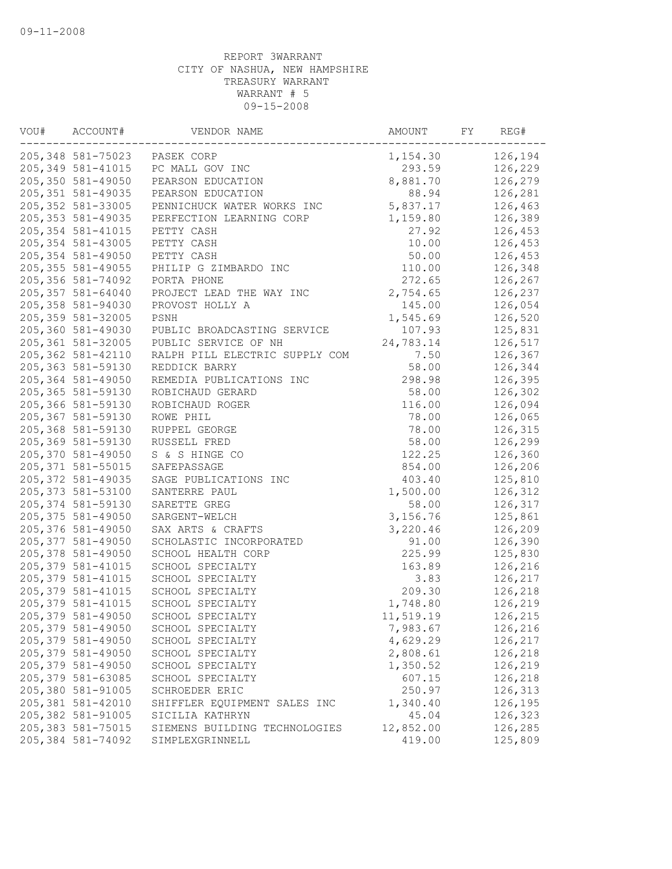| VOU# | ACCOUNT#           | VENDOR NAME                    | AMOUNT    | FY | REG#    |
|------|--------------------|--------------------------------|-----------|----|---------|
|      |                    | 205,348 581-75023 PASEK CORP   | 1,154.30  |    | 126,194 |
|      | 205, 349 581-41015 | PC MALL GOV INC                | 293.59    |    | 126,229 |
|      | 205,350 581-49050  | PEARSON EDUCATION              | 8,881.70  |    | 126,279 |
|      | 205, 351 581-49035 | PEARSON EDUCATION              | 88.94     |    | 126,281 |
|      | 205, 352 581-33005 | PENNICHUCK WATER WORKS INC     | 5,837.17  |    | 126,463 |
|      | 205, 353 581-49035 | PERFECTION LEARNING CORP       | 1,159.80  |    | 126,389 |
|      | 205, 354 581-41015 | PETTY CASH                     | 27.92     |    | 126,453 |
|      | 205, 354 581-43005 | PETTY CASH                     | 10.00     |    | 126,453 |
|      | 205, 354 581-49050 | PETTY CASH                     | 50.00     |    | 126,453 |
|      | 205, 355 581-49055 | PHILIP G ZIMBARDO INC          | 110.00    |    | 126,348 |
|      | 205,356 581-74092  | PORTA PHONE                    | 272.65    |    | 126,267 |
|      | 205, 357 581-64040 | PROJECT LEAD THE WAY INC       | 2,754.65  |    | 126,237 |
|      | 205,358 581-94030  | PROVOST HOLLY A                | 145.00    |    | 126,054 |
|      | 205, 359 581-32005 | PSNH                           | 1,545.69  |    | 126,520 |
|      | 205,360 581-49030  | PUBLIC BROADCASTING SERVICE    | 107.93    |    | 125,831 |
|      | 205, 361 581-32005 | PUBLIC SERVICE OF NH           | 24,783.14 |    | 126,517 |
|      | 205,362 581-42110  | RALPH PILL ELECTRIC SUPPLY COM | 7.50      |    | 126,367 |
|      | 205, 363 581-59130 | REDDICK BARRY                  | 58.00     |    | 126,344 |
|      | 205,364 581-49050  | REMEDIA PUBLICATIONS INC       | 298.98    |    | 126,395 |
|      | 205,365 581-59130  | ROBICHAUD GERARD               | 58.00     |    | 126,302 |
|      | 205,366 581-59130  | ROBICHAUD ROGER                | 116.00    |    | 126,094 |
|      | 205,367 581-59130  | ROWE PHIL                      | 78.00     |    | 126,065 |
|      | 205,368 581-59130  | RUPPEL GEORGE                  | 78.00     |    | 126,315 |
|      | 205,369 581-59130  | RUSSELL FRED                   | 58.00     |    | 126,299 |
|      | 205,370 581-49050  | S & S HINGE CO                 | 122.25    |    | 126,360 |
|      | 205, 371 581-55015 | SAFEPASSAGE                    | 854.00    |    | 126,206 |
|      | 205, 372 581-49035 | SAGE PUBLICATIONS INC          | 403.40    |    | 125,810 |
|      | 205, 373 581-53100 | SANTERRE PAUL                  | 1,500.00  |    | 126,312 |
|      | 205, 374 581-59130 | SARETTE GREG                   | 58.00     |    | 126,317 |
|      | 205, 375 581-49050 | SARGENT-WELCH                  | 3,156.76  |    | 125,861 |
|      | 205,376 581-49050  | SAX ARTS & CRAFTS              | 3,220.46  |    | 126,209 |
|      | 205, 377 581-49050 | SCHOLASTIC INCORPORATED        | 91.00     |    | 126,390 |
|      | 205,378 581-49050  | SCHOOL HEALTH CORP             | 225.99    |    | 125,830 |
|      | 205, 379 581-41015 | SCHOOL SPECIALTY               | 163.89    |    | 126,216 |
|      | 205, 379 581-41015 | SCHOOL SPECIALTY               | 3.83      |    | 126,217 |
|      | 205, 379 581-41015 | SCHOOL SPECIALTY               | 209.30    |    | 126,218 |
|      | 205, 379 581-41015 | SCHOOL SPECIALTY               | 1,748.80  |    | 126,219 |
|      | 205,379 581-49050  | SCHOOL SPECIALTY               | 11,519.19 |    | 126,215 |
|      | 205,379 581-49050  | SCHOOL SPECIALTY               | 7,983.67  |    | 126,216 |
|      | 205,379 581-49050  | SCHOOL SPECIALTY               | 4,629.29  |    | 126,217 |
|      | 205,379 581-49050  | SCHOOL SPECIALTY               | 2,808.61  |    | 126,218 |
|      | 205, 379 581-49050 | SCHOOL SPECIALTY               | 1,350.52  |    | 126,219 |
|      | 205, 379 581-63085 | SCHOOL SPECIALTY               | 607.15    |    | 126,218 |
|      | 205,380 581-91005  | SCHROEDER ERIC                 | 250.97    |    | 126,313 |
|      | 205,381 581-42010  | SHIFFLER EQUIPMENT SALES INC   | 1,340.40  |    | 126,195 |
|      | 205,382 581-91005  | SICILIA KATHRYN                | 45.04     |    | 126,323 |
|      | 205, 383 581-75015 | SIEMENS BUILDING TECHNOLOGIES  | 12,852.00 |    | 126,285 |
|      | 205,384 581-74092  | SIMPLEXGRINNELL                | 419.00    |    | 125,809 |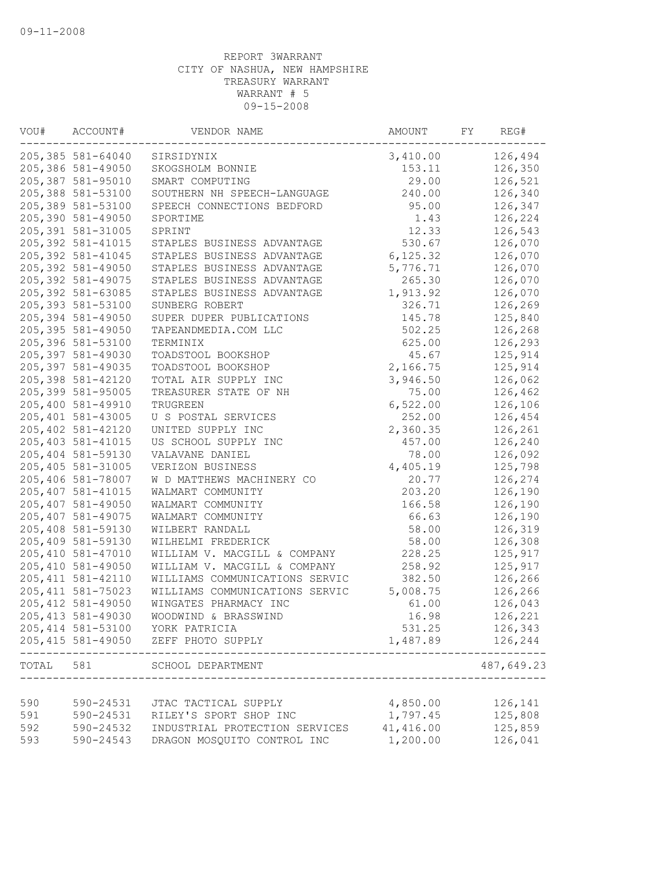| VOU#      | ACCOUNT#           | VENDOR NAME                    | AMOUNT    | FY | REG#             |
|-----------|--------------------|--------------------------------|-----------|----|------------------|
|           | 205,385 581-64040  | SIRSIDYNIX                     | 3,410.00  |    | 126,494          |
|           | 205,386 581-49050  | SKOGSHOLM BONNIE               | 153.11    |    | 126,350          |
|           | 205,387 581-95010  | SMART COMPUTING                | 29.00     |    | 126,521          |
|           | 205,388 581-53100  | SOUTHERN NH SPEECH-LANGUAGE    | 240.00    |    | 126,340          |
|           | 205,389 581-53100  | SPEECH CONNECTIONS BEDFORD     | 95.00     |    | 126,347          |
|           | 205,390 581-49050  | SPORTIME                       | 1.43      |    | 126,224          |
|           | 205,391 581-31005  | SPRINT                         | 12.33     |    | 126,543          |
|           | 205,392 581-41015  | STAPLES BUSINESS ADVANTAGE     | 530.67    |    | 126,070          |
|           | 205, 392 581-41045 | STAPLES BUSINESS ADVANTAGE     | 6, 125.32 |    | 126,070          |
|           | 205,392 581-49050  | STAPLES BUSINESS ADVANTAGE     | 5,776.71  |    | 126,070          |
|           | 205, 392 581-49075 | STAPLES BUSINESS ADVANTAGE     | 265.30    |    | 126,070          |
|           | 205, 392 581-63085 | STAPLES BUSINESS ADVANTAGE     | 1,913.92  |    | 126,070          |
|           | 205, 393 581-53100 | SUNBERG ROBERT                 | 326.71    |    | 126,269          |
|           | 205,394 581-49050  | SUPER DUPER PUBLICATIONS       | 145.78    |    | 125,840          |
|           | 205, 395 581-49050 | TAPEANDMEDIA.COM LLC           | 502.25    |    | 126,268          |
|           | 205,396 581-53100  | TERMINIX                       | 625.00    |    | 126,293          |
|           | 205,397 581-49030  | TOADSTOOL BOOKSHOP             | 45.67     |    | 125,914          |
|           | 205, 397 581-49035 | TOADSTOOL BOOKSHOP             | 2,166.75  |    | 125,914          |
|           | 205,398 581-42120  | TOTAL AIR SUPPLY INC           | 3,946.50  |    | 126,062          |
|           | 205,399 581-95005  | TREASURER STATE OF NH          | 75.00     |    | 126,462          |
|           | 205,400 581-49910  | TRUGREEN                       | 6,522.00  |    | 126,106          |
|           | 205,401 581-43005  | U S POSTAL SERVICES            | 252.00    |    | 126,454          |
|           | 205,402 581-42120  | UNITED SUPPLY INC              | 2,360.35  |    | 126,261          |
|           | 205, 403 581-41015 | US SCHOOL SUPPLY INC           | 457.00    |    | 126,240          |
|           | 205,404 581-59130  | VALAVANE DANIEL                | 78.00     |    | 126,092          |
|           | 205,405 581-31005  | VERIZON BUSINESS               | 4,405.19  |    | 125,798          |
|           | 205,406 581-78007  | W D MATTHEWS MACHINERY CO      | 20.77     |    | 126,274          |
|           | 205, 407 581-41015 | WALMART COMMUNITY              | 203.20    |    | 126,190          |
|           | 205,407 581-49050  | WALMART COMMUNITY              | 166.58    |    | 126,190          |
|           | 205,407 581-49075  | WALMART COMMUNITY              | 66.63     |    | 126,190          |
|           | 205,408 581-59130  | WILBERT RANDALL                | 58.00     |    | 126,319          |
|           | 205,409 581-59130  | WILHELMI FREDERICK             | 58.00     |    | 126,308          |
|           | 205,410 581-47010  | WILLIAM V. MACGILL & COMPANY   | 228.25    |    | 125,917          |
|           | 205,410 581-49050  | WILLIAM V. MACGILL & COMPANY   | 258.92    |    | 125,917          |
|           | 205, 411 581-42110 | WILLIAMS COMMUNICATIONS SERVIC | 382.50    |    | 126,266          |
|           | 205, 411 581-75023 | WILLIAMS COMMUNICATIONS SERVIC | 5,008.75  |    | 126,266          |
|           | 205, 412 581-49050 | WINGATES PHARMACY INC          | 61.00     |    | 126,043          |
|           | 205, 413 581-49030 | WOODWIND & BRASSWIND           | 16.98     |    | 126,221          |
|           | 205,414 581-53100  | YORK PATRICIA                  | 531.25    |    | 126,343          |
|           | 205, 415 581-49050 | ZEFF PHOTO SUPPLY              | 1,487.89  |    | 126,244<br>----- |
| TOTAL 581 |                    | SCHOOL DEPARTMENT              |           |    | 487,649.23       |
|           |                    |                                |           |    |                  |
| 590       | 590-24531          | JTAC TACTICAL SUPPLY           | 4,850.00  |    | 126,141          |
| 591       | 590-24531          | RILEY'S SPORT SHOP INC         | 1,797.45  |    | 125,808          |
| 592       | 590-24532          | INDUSTRIAL PROTECTION SERVICES | 41,416.00 |    | 125,859          |
| 593       | 590-24543          | DRAGON MOSQUITO CONTROL INC    | 1,200.00  |    | 126,041          |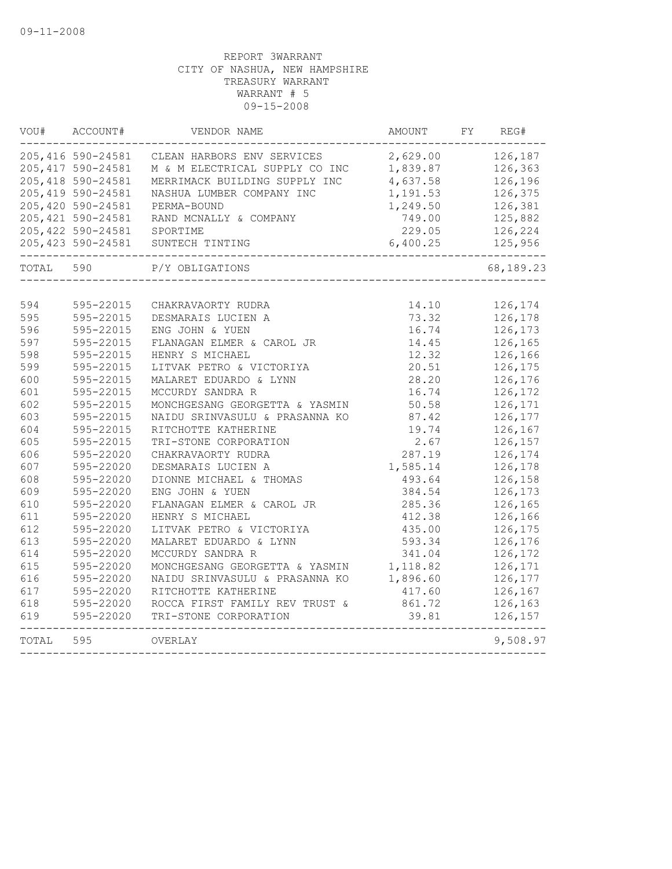| VOU#       | ACCOUNT#               | VENDOR NAME                                        | AMOUNT             | FY | REG#               |
|------------|------------------------|----------------------------------------------------|--------------------|----|--------------------|
|            | 205,416 590-24581      | CLEAN HARBORS ENV SERVICES                         | 2,629.00           |    | 126,187            |
|            | 205, 417 590-24581     | M & M ELECTRICAL SUPPLY CO INC                     | 1,839.87           |    | 126,363            |
|            | 205, 418 590-24581     | MERRIMACK BUILDING SUPPLY INC                      | 4,637.58           |    | 126,196            |
|            | 205, 419 590-24581     | NASHUA LUMBER COMPANY INC                          | 1,191.53           |    | 126,375            |
|            | 205,420 590-24581      | PERMA-BOUND                                        | 1,249.50           |    | 126,381            |
|            | 205, 421 590-24581     | RAND MCNALLY & COMPANY                             | 749.00             |    | 125,882            |
|            | 205, 422 590-24581     | SPORTIME                                           | 229.05             |    | 126,224            |
|            | 205, 423 590-24581     | SUNTECH TINTING                                    | 6,400.25           |    | 125,956            |
| TOTAL      | 590                    | P/Y OBLIGATIONS                                    |                    |    | 68,189.23          |
| 594        |                        |                                                    |                    |    |                    |
| 595        | 595-22015<br>595-22015 | CHAKRAVAORTY RUDRA<br>DESMARAIS LUCIEN A           | 14.10<br>73.32     |    | 126,174<br>126,178 |
| 596        | 595-22015              | ENG JOHN & YUEN                                    | 16.74              |    | 126,173            |
| 597        | 595-22015              |                                                    |                    |    |                    |
| 598        | 595-22015              | FLANAGAN ELMER & CAROL JR<br>HENRY S MICHAEL       | 14.45<br>12.32     |    | 126,165<br>126,166 |
| 599        | 595-22015              | LITVAK PETRO & VICTORIYA                           | 20.51              |    | 126,175            |
| 600        | 595-22015              | MALARET EDUARDO & LYNN                             | 28.20              |    | 126,176            |
| 601        | 595-22015              | MCCURDY SANDRA R                                   | 16.74              |    | 126,172            |
| 602        | 595-22015              | MONCHGESANG GEORGETTA & YASMIN                     | 50.58              |    | 126,171            |
| 603        | 595-22015              | NAIDU SRINVASULU & PRASANNA KO                     | 87.42              |    | 126,177            |
| 604        | 595-22015              | RITCHOTTE KATHERINE                                | 19.74              |    | 126,167            |
| 605        | 595-22015              | TRI-STONE CORPORATION                              | 2.67               |    | 126,157            |
| 606        | 595-22020              | CHAKRAVAORTY RUDRA                                 | 287.19             |    | 126,174            |
| 607        | 595-22020              | DESMARAIS LUCIEN A                                 | 1,585.14           |    | 126,178            |
| 608        | 595-22020              | DIONNE MICHAEL & THOMAS                            | 493.64             |    | 126,158            |
| 609        | 595-22020              | ENG JOHN & YUEN                                    |                    |    | 126,173            |
| 610        | 595-22020              | FLANAGAN ELMER & CAROL JR                          | 384.54<br>285.36   |    | 126,165            |
| 611        | 595-22020              | HENRY S MICHAEL                                    | 412.38             |    | 126,166            |
| 612        |                        | LITVAK PETRO & VICTORIYA                           | 435.00             |    | 126,175            |
| 613        | 595-22020<br>595-22020 | MALARET EDUARDO & LYNN                             | 593.34             |    | 126,176            |
|            |                        |                                                    |                    |    |                    |
| 614<br>615 | 595-22020<br>595-22020 | MCCURDY SANDRA R<br>MONCHGESANG GEORGETTA & YASMIN | 341.04<br>1,118.82 |    | 126,172<br>126,171 |
|            |                        |                                                    |                    |    |                    |
| 616        | 595-22020              | NAIDU SRINVASULU & PRASANNA KO                     | 1,896.60           |    | 126,177            |
| 617        | 595-22020              | RITCHOTTE KATHERINE                                | 417.60             |    | 126,167            |
| 618        | 595-22020              | ROCCA FIRST FAMILY REV TRUST &                     | 861.72             |    | 126,163            |
| 619        | 595-22020              | TRI-STONE CORPORATION                              | 39.81              |    | 126,157            |
| TOTAL      | 595                    | OVERLAY                                            |                    |    | 9,508.97           |
|            |                        |                                                    |                    |    |                    |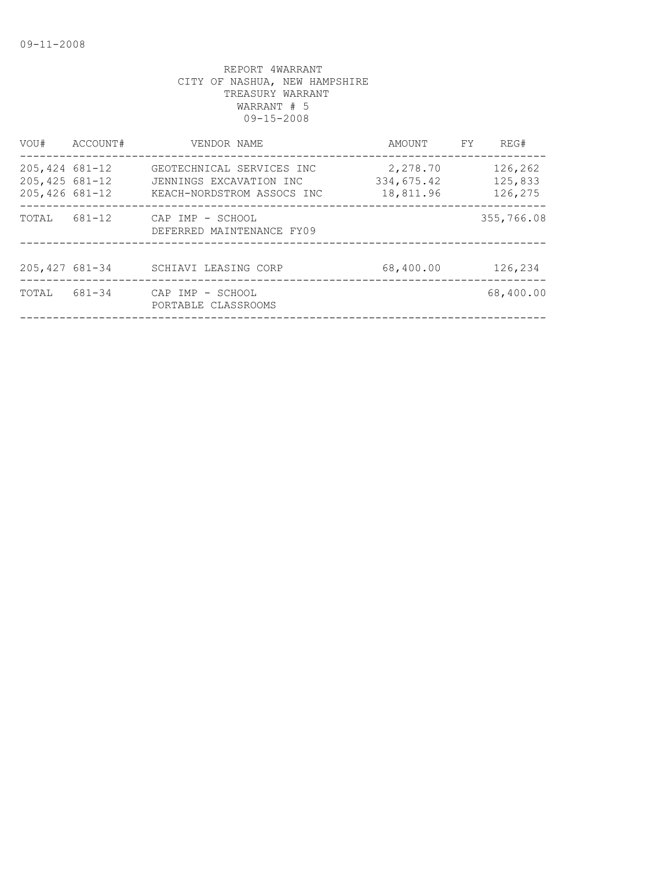| VOU#                                                     | ACCOUNT# | VENDOR NAME                                                                        | AMOUNT                              | FY. | REG#                          |
|----------------------------------------------------------|----------|------------------------------------------------------------------------------------|-------------------------------------|-----|-------------------------------|
| $205,424$ 681-12<br>$205,425$ 681-12<br>$205,426$ 681-12 |          | GEOTECHNICAL SERVICES INC<br>JENNINGS EXCAVATION INC<br>KEACH-NORDSTROM ASSOCS INC | 2,278.70<br>334,675.42<br>18,811.96 |     | 126,262<br>125,833<br>126,275 |
| TOTAL                                                    | 681-12   | CAP IMP - SCHOOL<br>DEFERRED MAINTENANCE FY09                                      |                                     |     | 355,766.08                    |
| 205, 427 681-34                                          |          | SCHIAVI LEASING CORP                                                               | 68,400.00                           |     | 126,234                       |
| TOTAL                                                    | 681-34   | CAP IMP - SCHOOL<br>PORTABLE CLASSROOMS                                            |                                     |     | 68,400.00                     |
|                                                          |          |                                                                                    |                                     |     |                               |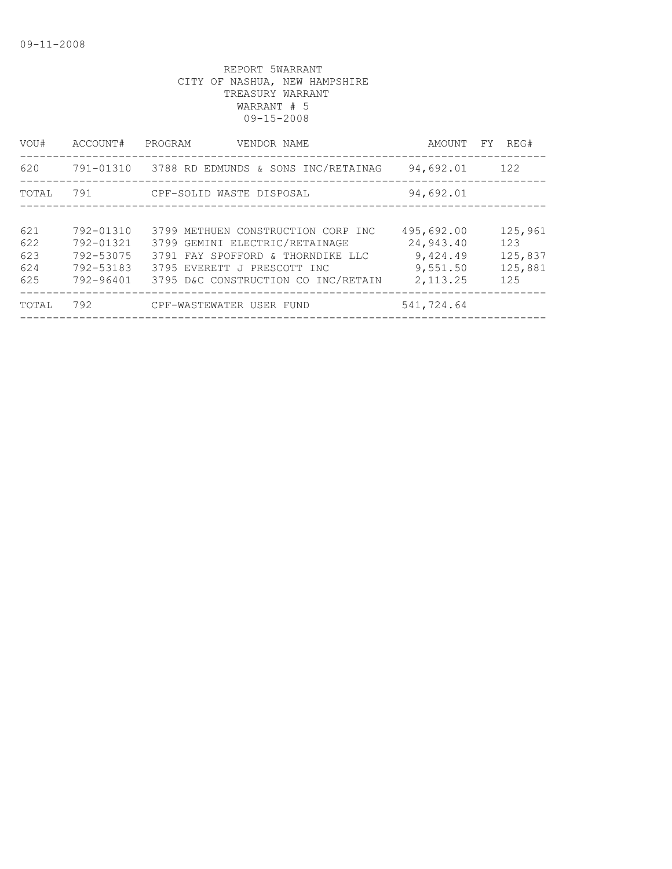| VOU#              | ACCOUNT#                            | PROGRAM<br>VENDOR NAME                                                                                  | AMOUNT                            | REG#<br>FY.               |
|-------------------|-------------------------------------|---------------------------------------------------------------------------------------------------------|-----------------------------------|---------------------------|
| 620               | 791-01310                           | 3788 RD EDMUNDS & SONS INC/RETAINAG                                                                     | 94,692.01                         | 122                       |
| TOTAL             | 791                                 | CPF-SOLID WASTE DISPOSAL                                                                                | 94,692.01                         |                           |
| 621<br>622        | 792-01310<br>792-01321              | 3799 METHUEN CONSTRUCTION CORP INC<br>3799 GEMINI ELECTRIC/RETAINAGE                                    | 495,692.00<br>24,943.40           | 125,961<br>123            |
| 623<br>624<br>625 | 792-53075<br>792-53183<br>792-96401 | 3791 FAY SPOFFORD & THORNDIKE LLC<br>3795 EVERETT J PRESCOTT INC<br>3795 D&C CONSTRUCTION CO INC/RETAIN | 9,424.49<br>9,551.50<br>2, 113.25 | 125,837<br>125,881<br>125 |
| TOTAL             | 792                                 | CPF-WASTEWATER USER FUND                                                                                | 541,724.64                        |                           |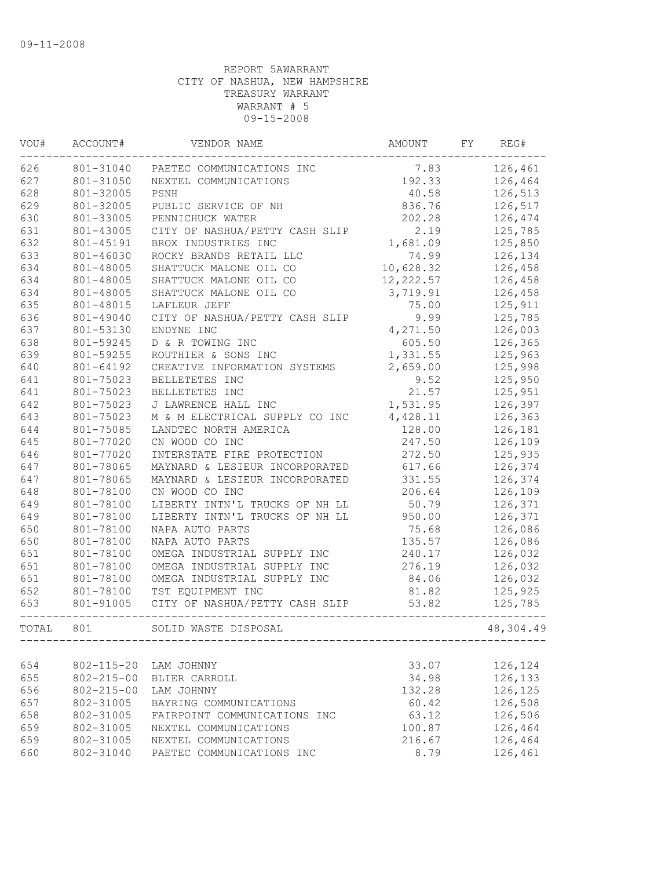| VOU#  | ACCOUNT#         | VENDOR NAME                    | AMOUNT     | FY | REG#      |
|-------|------------------|--------------------------------|------------|----|-----------|
| 626   | 801-31040        | PAETEC COMMUNICATIONS INC      | 7.83       |    | 126,461   |
| 627   | 801-31050        | NEXTEL COMMUNICATIONS          | 192.33     |    | 126,464   |
| 628   | 801-32005        | PSNH                           | 40.58      |    | 126,513   |
| 629   | 801-32005        | PUBLIC SERVICE OF NH           | 836.76     |    | 126,517   |
| 630   | 801-33005        | PENNICHUCK WATER               | 202.28     |    | 126,474   |
| 631   | 801-43005        | CITY OF NASHUA/PETTY CASH SLIP | 2.19       |    | 125,785   |
| 632   | 801-45191        | BROX INDUSTRIES INC            | 1,681.09   |    | 125,850   |
| 633   | 801-46030        | ROCKY BRANDS RETAIL LLC        | 74.99      |    | 126,134   |
| 634   | 801-48005        | SHATTUCK MALONE OIL CO         | 10,628.32  |    | 126,458   |
| 634   | 801-48005        | SHATTUCK MALONE OIL CO         | 12, 222.57 |    | 126,458   |
| 634   | 801-48005        | SHATTUCK MALONE OIL CO         | 3,719.91   |    | 126,458   |
| 635   | 801-48015        | LAFLEUR JEFF                   | 75.00      |    | 125,911   |
| 636   | 801-49040        | CITY OF NASHUA/PETTY CASH SLIP | 9.99       |    | 125,785   |
| 637   | 801-53130        | ENDYNE INC                     | 4,271.50   |    | 126,003   |
| 638   | 801-59245        | D & R TOWING INC               | 605.50     |    | 126,365   |
| 639   | 801-59255        | ROUTHIER & SONS INC            | 1,331.55   |    | 125,963   |
| 640   | 801-64192        | CREATIVE INFORMATION SYSTEMS   | 2,659.00   |    | 125,998   |
| 641   | 801-75023        | BELLETETES INC                 | 9.52       |    | 125,950   |
| 641   | 801-75023        | BELLETETES INC                 | 21.57      |    | 125,951   |
| 642   | 801-75023        | J LAWRENCE HALL INC            | 1,531.95   |    | 126,397   |
| 643   | 801-75023        | M & M ELECTRICAL SUPPLY CO INC | 4,428.11   |    | 126,363   |
| 644   | 801-75085        | LANDTEC NORTH AMERICA          | 128.00     |    | 126,181   |
| 645   | 801-77020        | CN WOOD CO INC                 | 247.50     |    | 126,109   |
| 646   | 801-77020        | INTERSTATE FIRE PROTECTION     | 272.50     |    | 125,935   |
| 647   | 801-78065        | MAYNARD & LESIEUR INCORPORATED | 617.66     |    | 126,374   |
| 647   | 801-78065        | MAYNARD & LESIEUR INCORPORATED | 331.55     |    | 126,374   |
| 648   | 801-78100        | CN WOOD CO INC                 | 206.64     |    | 126,109   |
| 649   | 801-78100        | LIBERTY INTN'L TRUCKS OF NH LL | 50.79      |    | 126,371   |
| 649   | 801-78100        | LIBERTY INTN'L TRUCKS OF NH LL | 950.00     |    | 126,371   |
| 650   | 801-78100        | NAPA AUTO PARTS                | 75.68      |    | 126,086   |
| 650   | 801-78100        | NAPA AUTO PARTS                | 135.57     |    | 126,086   |
| 651   | 801-78100        | OMEGA INDUSTRIAL SUPPLY INC    | 240.17     |    | 126,032   |
| 651   | 801-78100        | OMEGA INDUSTRIAL SUPPLY INC    | 276.19     |    | 126,032   |
| 651   | 801-78100        | OMEGA INDUSTRIAL SUPPLY INC    | 84.06      |    | 126,032   |
| 652   | 801-78100        | TST EQUIPMENT INC              | 81.82      |    | 125,925   |
| 653   | 801-91005        | CITY OF NASHUA/PETTY CASH SLIP | 53.82      |    | 125,785   |
|       |                  |                                |            |    |           |
| TOTAL | 801              | SOLID WASTE DISPOSAL           |            |    | 48,304.49 |
|       |                  |                                |            |    |           |
| 654   | $802 - 115 - 20$ | LAM JOHNNY                     | 33.07      |    | 126,124   |
| 655   | $802 - 215 - 00$ | BLIER CARROLL                  | 34.98      |    | 126,133   |
| 656   | $802 - 215 - 00$ | LAM JOHNNY                     | 132.28     |    | 126,125   |
| 657   | 802-31005        | BAYRING COMMUNICATIONS         | 60.42      |    | 126,508   |
| 658   | 802-31005        | FAIRPOINT COMMUNICATIONS INC   | 63.12      |    | 126,506   |
| 659   | 802-31005        | NEXTEL COMMUNICATIONS          | 100.87     |    | 126,464   |
| 659   | 802-31005        | NEXTEL COMMUNICATIONS          | 216.67     |    | 126,464   |
| 660   | 802-31040        | PAETEC COMMUNICATIONS INC      | 8.79       |    | 126,461   |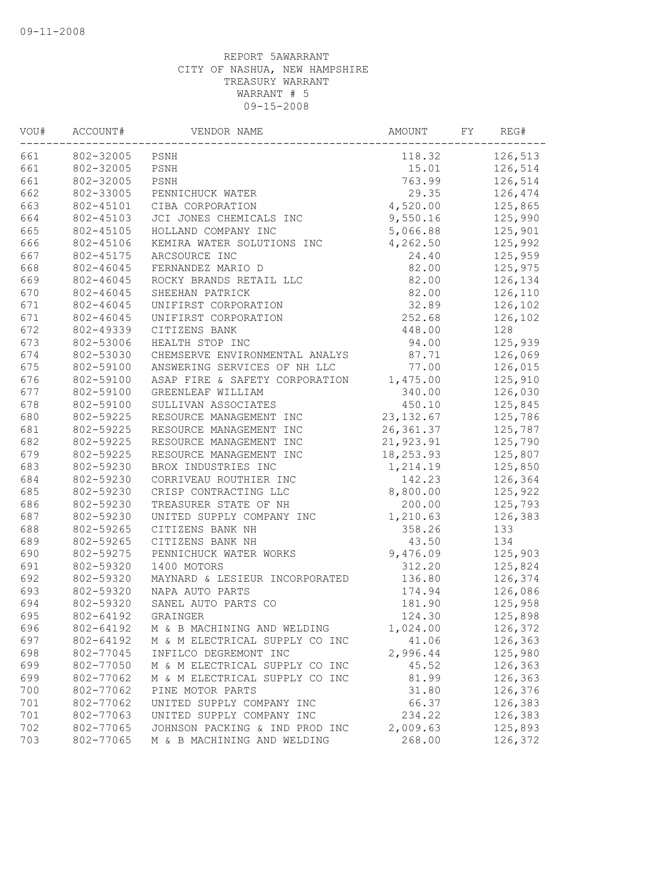| VOU# | ACCOUNT#  | VENDOR NAME                    | AMOUNT     | FY | REG#    |
|------|-----------|--------------------------------|------------|----|---------|
| 661  | 802-32005 | PSNH                           | 118.32     |    | 126,513 |
| 661  | 802-32005 | PSNH                           | 15.01      |    | 126,514 |
| 661  | 802-32005 | PSNH                           | 763.99     |    | 126,514 |
| 662  | 802-33005 | PENNICHUCK WATER               | 29.35      |    | 126,474 |
| 663  | 802-45101 | CIBA CORPORATION               | 4,520.00   |    | 125,865 |
| 664  | 802-45103 | JCI JONES CHEMICALS INC        | 9,550.16   |    | 125,990 |
| 665  | 802-45105 | HOLLAND COMPANY INC            | 5,066.88   |    | 125,901 |
| 666  | 802-45106 | KEMIRA WATER SOLUTIONS INC     | 4,262.50   |    | 125,992 |
| 667  | 802-45175 | ARCSOURCE INC                  | 24.40      |    | 125,959 |
| 668  | 802-46045 | FERNANDEZ MARIO D              | 82.00      |    | 125,975 |
| 669  | 802-46045 | ROCKY BRANDS RETAIL LLC        | 82.00      |    | 126,134 |
| 670  | 802-46045 | SHEEHAN PATRICK                | 82.00      |    | 126,110 |
| 671  | 802-46045 | UNIFIRST CORPORATION           | 32.89      |    | 126,102 |
| 671  | 802-46045 | UNIFIRST CORPORATION           | 252.68     |    | 126,102 |
| 672  | 802-49339 | CITIZENS BANK                  | 448.00     |    | 128     |
| 673  | 802-53006 | HEALTH STOP INC                | 94.00      |    | 125,939 |
| 674  | 802-53030 | CHEMSERVE ENVIRONMENTAL ANALYS | 87.71      |    | 126,069 |
| 675  | 802-59100 | ANSWERING SERVICES OF NH LLC   | 77.00      |    | 126,015 |
| 676  | 802-59100 | ASAP FIRE & SAFETY CORPORATION | 1,475.00   |    | 125,910 |
| 677  | 802-59100 | GREENLEAF WILLIAM              | 340.00     |    | 126,030 |
| 678  | 802-59100 | SULLIVAN ASSOCIATES            | 450.10     |    | 125,845 |
| 680  | 802-59225 | RESOURCE MANAGEMENT INC        | 23, 132.67 |    | 125,786 |
| 681  | 802-59225 | RESOURCE MANAGEMENT INC        | 26,361.37  |    | 125,787 |
| 682  | 802-59225 | RESOURCE MANAGEMENT INC        | 21,923.91  |    | 125,790 |
| 679  | 802-59225 | RESOURCE MANAGEMENT INC        | 18,253.93  |    | 125,807 |
| 683  | 802-59230 | BROX INDUSTRIES INC            | 1,214.19   |    | 125,850 |
| 684  | 802-59230 | CORRIVEAU ROUTHIER INC         | 142.23     |    | 126,364 |
| 685  | 802-59230 | CRISP CONTRACTING LLC          | 8,800.00   |    | 125,922 |
| 686  | 802-59230 | TREASURER STATE OF NH          | 200.00     |    | 125,793 |
| 687  | 802-59230 | UNITED SUPPLY COMPANY INC      | 1,210.63   |    | 126,383 |
| 688  | 802-59265 | CITIZENS BANK NH               | 358.26     |    | 133     |
| 689  | 802-59265 | CITIZENS BANK NH               | 43.50      |    | 134     |
| 690  | 802-59275 | PENNICHUCK WATER WORKS         | 9,476.09   |    | 125,903 |
| 691  | 802-59320 | 1400 MOTORS                    | 312.20     |    | 125,824 |
| 692  | 802-59320 | MAYNARD & LESIEUR INCORPORATED | 136.80     |    | 126,374 |
| 693  | 802-59320 | NAPA AUTO PARTS                | 174.94     |    | 126,086 |
| 694  | 802-59320 | SANEL AUTO PARTS CO            | 181.90     |    | 125,958 |
| 695  | 802-64192 | GRAINGER                       | 124.30     |    | 125,898 |
| 696  | 802-64192 | M & B MACHINING AND WELDING    | 1,024.00   |    | 126,372 |
| 697  | 802-64192 | M & M ELECTRICAL SUPPLY CO INC | 41.06      |    | 126,363 |
| 698  | 802-77045 | INFILCO DEGREMONT INC          | 2,996.44   |    | 125,980 |
| 699  | 802-77050 | M & M ELECTRICAL SUPPLY CO INC | 45.52      |    | 126,363 |
| 699  | 802-77062 | M & M ELECTRICAL SUPPLY CO INC | 81.99      |    | 126,363 |
| 700  | 802-77062 | PINE MOTOR PARTS               | 31.80      |    | 126,376 |
| 701  | 802-77062 | UNITED SUPPLY COMPANY INC      | 66.37      |    | 126,383 |
| 701  | 802-77063 | UNITED SUPPLY COMPANY INC      | 234.22     |    | 126,383 |
| 702  | 802-77065 | JOHNSON PACKING & IND PROD INC | 2,009.63   |    | 125,893 |
| 703  | 802-77065 | M & B MACHINING AND WELDING    | 268.00     |    | 126,372 |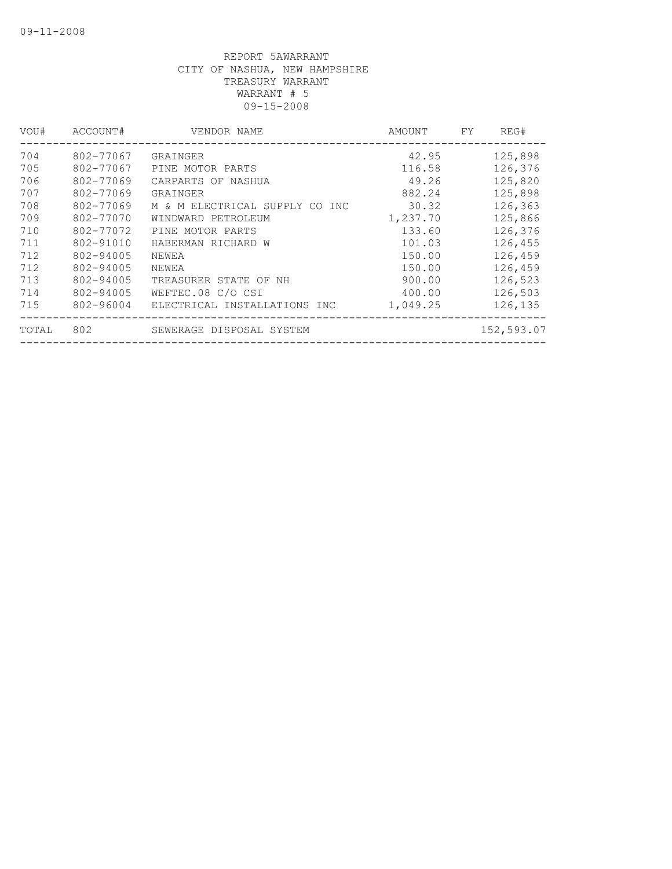| VOU#  | ACCOUNT#  | VENDOR NAME                    | AMOUNT   | FY. | REG#       |
|-------|-----------|--------------------------------|----------|-----|------------|
| 704   | 802-77067 | GRAINGER                       | 42.95    |     | 125,898    |
| 705   | 802-77067 | PINE MOTOR PARTS               | 116.58   |     | 126,376    |
| 706   | 802-77069 | CARPARTS OF NASHUA             | 49.26    |     | 125,820    |
| 707   | 802-77069 | GRAINGER                       | 882.24   |     | 125,898    |
| 708   | 802-77069 | M & M ELECTRICAL SUPPLY CO INC | 30.32    |     | 126,363    |
| 709   | 802-77070 | WINDWARD PETROLEUM             | 1,237.70 |     | 125,866    |
| 710   | 802-77072 | PINE MOTOR PARTS               | 133.60   |     | 126,376    |
| 711   | 802-91010 | HABERMAN RICHARD W             | 101.03   |     | 126,455    |
| 712   | 802-94005 | NEWEA                          | 150.00   |     | 126,459    |
| 712   | 802-94005 | NEWEA                          | 150.00   |     | 126,459    |
| 713   | 802-94005 | TREASURER STATE OF NH          | 900.00   |     | 126,523    |
| 714   | 802-94005 | WEFTEC.08 C/O CSI              | 400.00   |     | 126,503    |
| 715   | 802-96004 | ELECTRICAL INSTALLATIONS INC   | 1,049.25 |     | 126,135    |
| TOTAL | 802       | SEWERAGE DISPOSAL SYSTEM       |          |     | 152,593.07 |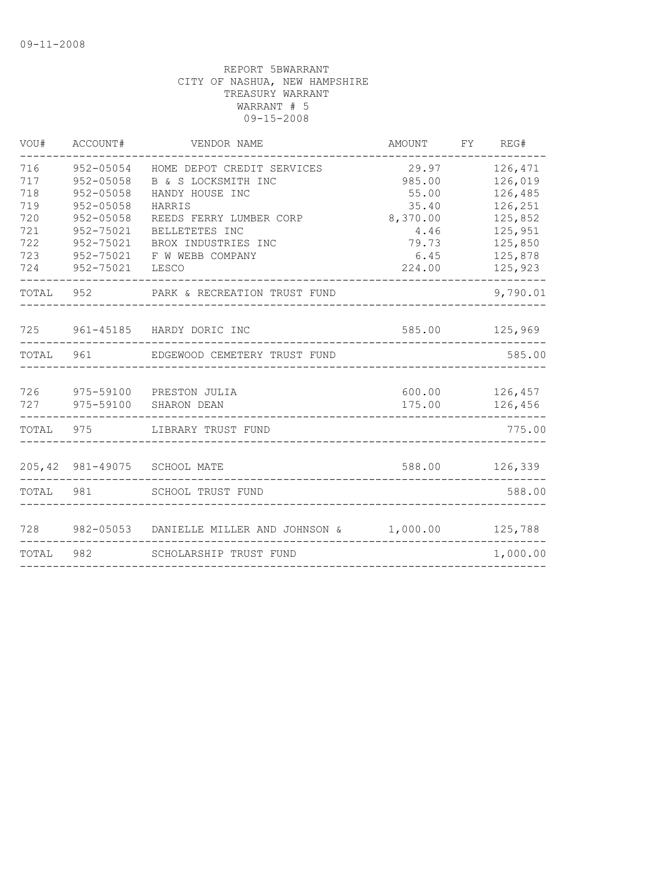| VOU#       | ACCOUNT#               | VENDOR NAME                                       | AMOUNT          | FY | REG#                 |
|------------|------------------------|---------------------------------------------------|-----------------|----|----------------------|
| 716<br>717 | 952-05054<br>952-05058 | HOME DEPOT CREDIT SERVICES<br>B & S LOCKSMITH INC | 29.97<br>985.00 |    | 126,471<br>126,019   |
| 718<br>719 | 952-05058<br>952-05058 | HANDY HOUSE INC<br>HARRIS                         | 55.00<br>35.40  |    | 126,485<br>126,251   |
| 720        | 952-05058              | REEDS FERRY LUMBER CORP                           | 8,370.00        |    | 125,852              |
| 721        | 952-75021              | BELLETETES INC                                    | 4.46            |    | 125,951              |
| 722        | 952-75021              | BROX INDUSTRIES INC                               | 79.73           |    | 125,850              |
| 723        | 952-75021              | F W WEBB COMPANY                                  | 6.45            |    | 125,878              |
| 724        | 952-75021              | LESCO                                             | 224.00          |    | 125,923<br>--------- |
| TOTAL      |                        | 952 PARK & RECREATION TRUST FUND                  |                 |    | 9,790.01             |
| 725        |                        | 961-45185 HARDY DORIC INC                         | 585.00          |    | 125,969              |
| TOTAL      | 961                    | EDGEWOOD CEMETERY TRUST FUND                      |                 |    | 585.00               |
| 726        |                        | 975-59100 PRESTON JULIA                           | 600.00          |    | 126,457              |
| 727        | 975-59100              | SHARON DEAN                                       | 175.00          |    | 126,456              |
| TOTAL      | 975                    | LIBRARY TRUST FUND                                |                 |    | 775.00               |
|            |                        | 205,42 981-49075 SCHOOL MATE                      | 588.00          |    | 126,339              |
| TOTAL      | 981                    | SCHOOL TRUST FUND                                 |                 |    | 588.00               |
|            |                        |                                                   |                 |    |                      |
| 728        | 982-05053              | DANIELLE MILLER AND JOHNSON & 1,000.00            |                 |    | 125,788              |
| TOTAL      | 982                    | SCHOLARSHIP TRUST FUND                            |                 |    | 1,000.00             |
|            |                        |                                                   |                 |    |                      |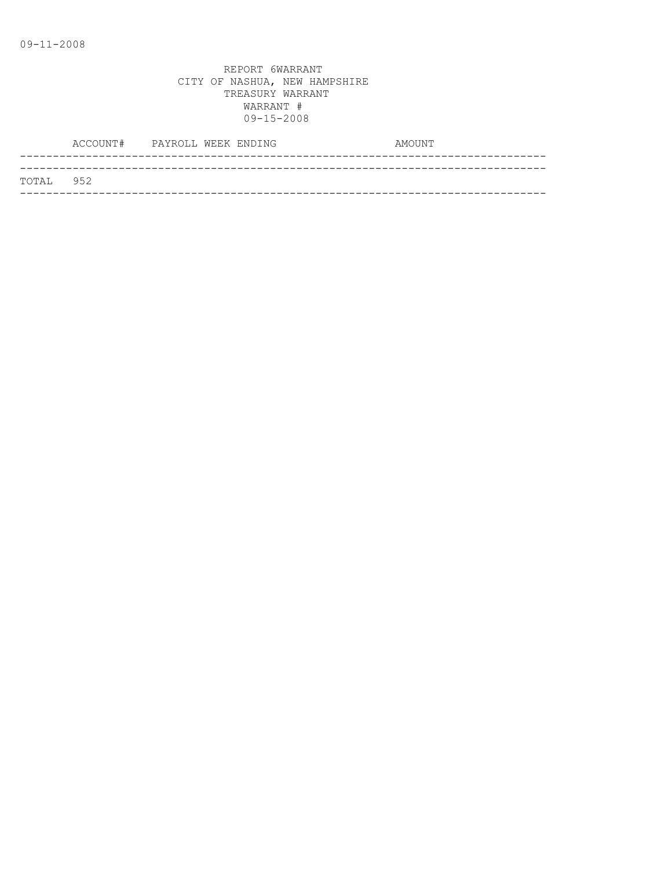|           | ACCOUNT# PAYROLL WEEK ENDING |  |  | AMOUNT |
|-----------|------------------------------|--|--|--------|
|           |                              |  |  |        |
| TOTAL 952 |                              |  |  |        |
|           |                              |  |  |        |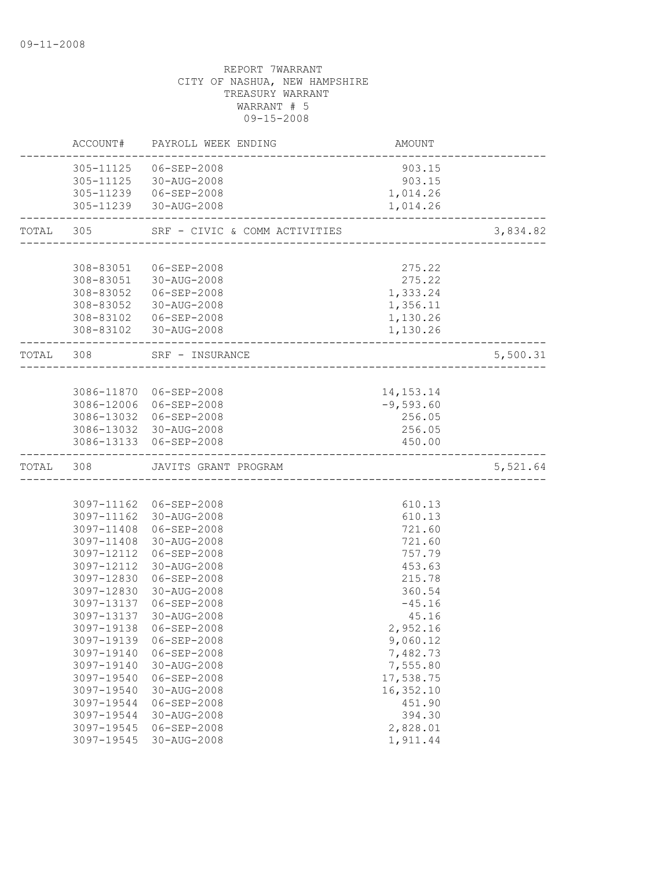|           |            | ACCOUNT# PAYROLL WEEK ENDING                    | AMOUNT                              |          |
|-----------|------------|-------------------------------------------------|-------------------------------------|----------|
|           |            | 305-11125  06-SEP-2008<br>305-11125 30-AUG-2008 | 903.15<br>903.15                    |          |
|           |            | 305-11239 06-SEP-2008<br>305-11239 30-AUG-2008  | 1,014.26<br>1,014.26                |          |
|           | TOTAL 305  | SRF - CIVIC & COMM ACTIVITIES                   | ___________________________________ | 3,834.82 |
|           |            |                                                 |                                     |          |
|           |            | 308-83051 06-SEP-2008                           | 275.22                              |          |
|           |            | 308-83051 30-AUG-2008                           | 275.22                              |          |
|           |            | 308-83052  06-SEP-2008                          | 1,333.24                            |          |
|           |            | 308-83052 30-AUG-2008                           | 1,356.11                            |          |
|           |            | 308-83102  06-SEP-2008                          | 1,130.26                            |          |
|           |            | 308-83102 30-AUG-2008                           | 1,130.26                            |          |
|           | TOTAL 308  | SRF - INSURANCE                                 |                                     | 5,500.31 |
|           |            |                                                 |                                     |          |
|           |            | 3086-11870 06-SEP-2008                          | 14, 153. 14                         |          |
|           |            | 3086-12006 06-SEP-2008                          | $-9,593.60$                         |          |
|           |            | 3086-13032 06-SEP-2008                          | 256.05                              |          |
|           |            | 3086-13032 30-AUG-2008                          | 256.05                              |          |
|           |            | 3086-13133 06-SEP-2008                          | 450.00                              |          |
| TOTAL 308 |            | JAVITS GRANT PROGRAM                            |                                     | 5,521.64 |
|           |            |                                                 |                                     |          |
|           |            | 3097-11162 06-SEP-2008                          | 610.13                              |          |
|           |            | 3097-11162 30-AUG-2008                          | 610.13                              |          |
|           |            | 3097-11408 06-SEP-2008                          | 721.60                              |          |
|           |            | 3097-11408 30-AUG-2008                          | 721.60                              |          |
|           | 3097-12112 | 06-SEP-2008                                     | 757.79                              |          |
|           | 3097-12112 | 30-AUG-2008                                     | 453.63                              |          |
|           | 3097-12830 | 06-SEP-2008                                     | 215.78                              |          |
|           | 3097-12830 | 30-AUG-2008                                     | 360.54                              |          |
|           | 3097-13137 | 06-SEP-2008                                     | $-45.16$                            |          |
|           | 3097-13137 | 30-AUG-2008                                     | 45.16                               |          |
|           |            | 3097-19138 06-SEP-2008                          | 2,952.16                            |          |
|           | 3097-19139 | 06-SEP-2008                                     | 9,060.12                            |          |
|           | 3097-19140 | $06 - SEP - 2008$                               | 7,482.73                            |          |
|           | 3097-19140 | 30-AUG-2008                                     | 7,555.80                            |          |
|           | 3097-19540 | 06-SEP-2008                                     | 17,538.75                           |          |
|           | 3097-19540 | 30-AUG-2008                                     | 16,352.10                           |          |
|           | 3097-19544 | 06-SEP-2008                                     | 451.90                              |          |
|           | 3097-19544 | 30-AUG-2008                                     | 394.30                              |          |
|           | 3097-19545 | 06-SEP-2008                                     | 2,828.01                            |          |
|           | 3097-19545 | 30-AUG-2008                                     | 1,911.44                            |          |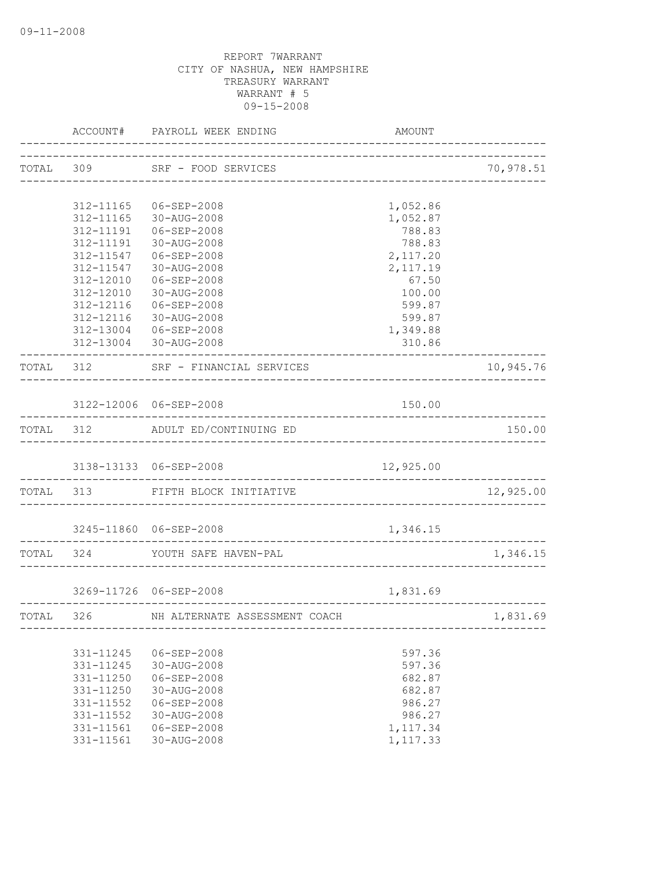|           |                        | ACCOUNT# PAYROLL WEEK ENDING                                  | AMOUNT                     |           |
|-----------|------------------------|---------------------------------------------------------------|----------------------------|-----------|
|           |                        | TOTAL 309 SRF - FOOD SERVICES                                 |                            | 70,978.51 |
|           | 312-11165              | 06-SEP-2008                                                   | 1,052.86                   |           |
|           | 312-11165              | 30-AUG-2008                                                   | 1,052.87                   |           |
|           | 312-11191              | 06-SEP-2008                                                   | 788.83                     |           |
|           | 312-11191              | 30-AUG-2008                                                   | 788.83                     |           |
|           | 312-11547              | 06-SEP-2008                                                   | 2,117.20                   |           |
|           | 312-11547              | 30-AUG-2008                                                   | 2,117.19                   |           |
|           | 312-12010              | 06-SEP-2008                                                   | 67.50                      |           |
|           |                        | 312-12010 30-AUG-2008                                         | 100.00                     |           |
|           | 312-12116              | $06 - SEP - 2008$                                             | 599.87                     |           |
|           | 312-12116              | 30-AUG-2008                                                   | 599.87                     |           |
|           |                        | 312-13004 06-SEP-2008                                         | 1,349.88<br>310.86         |           |
|           |                        | 312-13004 30-AUG-2008                                         |                            |           |
|           |                        | TOTAL 312 SRF - FINANCIAL SERVICES<br>----------------------- |                            | 10,945.76 |
|           |                        | 3122-12006 06-SEP-2008                                        | 150.00                     |           |
|           |                        | TOTAL 312 ADULT ED/CONTINUING ED                              |                            | 150.00    |
|           |                        |                                                               |                            |           |
|           |                        | 3138-13133 06-SEP-2008                                        | 12,925.00<br>_____________ |           |
|           |                        | TOTAL 313 FIFTH BLOCK INITIATIVE                              |                            | 12,925.00 |
|           |                        | 3245-11860 06-SEP-2008                                        | 1,346.15                   |           |
|           |                        | TOTAL 324 YOUTH SAFE HAVEN-PAL                                |                            | 1,346.15  |
|           |                        |                                                               |                            |           |
|           |                        | 3269-11726 06-SEP-2008                                        | 1,831.69                   |           |
| TOTAL 326 |                        | NH ALTERNATE ASSESSMENT COACH                                 |                            | 1,831.69  |
|           |                        |                                                               |                            |           |
|           | 331-11245<br>331-11245 | 06-SEP-2008<br>30-AUG-2008                                    | 597.36<br>597.36           |           |
|           | 331-11250              | 06-SEP-2008                                                   | 682.87                     |           |
|           | 331-11250              | 30-AUG-2008                                                   | 682.87                     |           |
|           | 331-11552              | 06-SEP-2008                                                   | 986.27                     |           |
|           | 331-11552              | 30-AUG-2008                                                   | 986.27                     |           |
|           | 331-11561              | 06-SEP-2008                                                   | 1,117.34                   |           |
|           | 331-11561              | 30-AUG-2008                                                   | 1,117.33                   |           |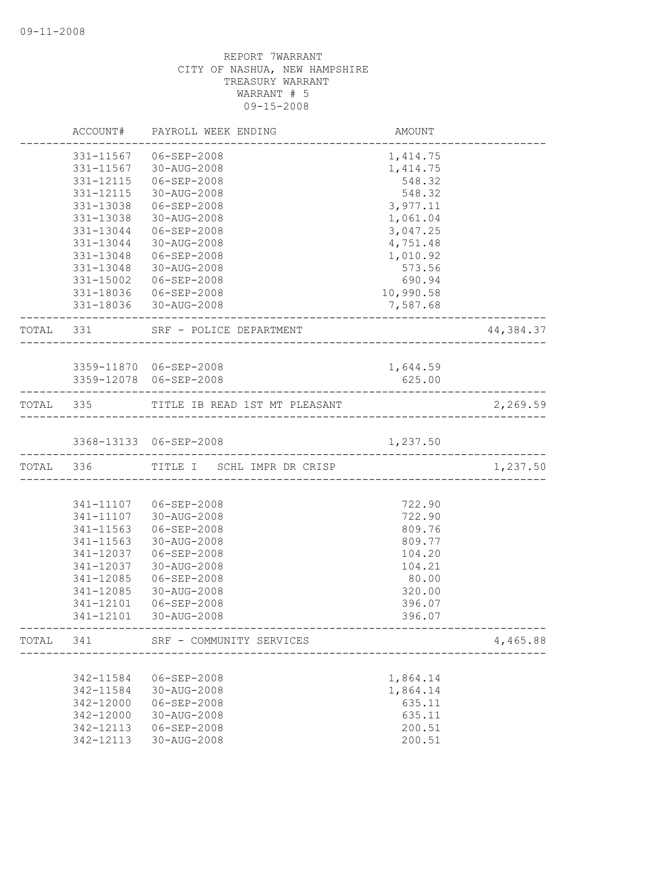|           | ACCOUNT#  | PAYROLL WEEK ENDING                     | AMOUNT    |           |
|-----------|-----------|-----------------------------------------|-----------|-----------|
|           | 331-11567 | 06-SEP-2008                             | 1,414.75  |           |
|           | 331-11567 | 30-AUG-2008                             | 1,414.75  |           |
|           | 331-12115 | 06-SEP-2008                             | 548.32    |           |
|           | 331-12115 | 30-AUG-2008                             | 548.32    |           |
|           | 331-13038 | 06-SEP-2008                             | 3,977.11  |           |
|           | 331-13038 | 30-AUG-2008                             | 1,061.04  |           |
|           | 331-13044 | 06-SEP-2008                             | 3,047.25  |           |
|           | 331-13044 | 30-AUG-2008                             | 4,751.48  |           |
|           | 331-13048 | 06-SEP-2008                             | 1,010.92  |           |
|           | 331-13048 | 30-AUG-2008                             | 573.56    |           |
|           | 331-15002 | 06-SEP-2008                             | 690.94    |           |
|           |           | 331-18036 06-SEP-2008                   | 10,990.58 |           |
|           |           | 331-18036 30-AUG-2008                   | 7,587.68  |           |
| TOTAL 331 |           | SRF - POLICE DEPARTMENT                 |           | 44,384.37 |
|           |           |                                         |           |           |
|           |           | 3359-11870 06-SEP-2008                  | 1,644.59  |           |
|           |           | 3359-12078 06-SEP-2008                  | 625.00    |           |
|           |           | TOTAL 335 TITLE IB READ 1ST MT PLEASANT |           | 2,269.59  |
|           |           | 3368-13133 06-SEP-2008                  | 1,237.50  |           |
|           | TOTAL 336 | TITLE I SCHL IMPR DR CRISP              |           | 1,237.50  |
|           |           |                                         |           |           |
|           |           | 341-11107 06-SEP-2008                   | 722.90    |           |
|           | 341-11107 | 30-AUG-2008                             | 722.90    |           |
|           | 341-11563 | 06-SEP-2008                             | 809.76    |           |
|           | 341-11563 | 30-AUG-2008                             | 809.77    |           |
|           | 341-12037 | $06 - SEP - 2008$                       | 104.20    |           |
|           | 341-12037 | 30-AUG-2008                             | 104.21    |           |
|           | 341-12085 | 06-SEP-2008                             | 80.00     |           |
|           | 341-12085 | 30-AUG-2008                             | 320.00    |           |
|           | 341-12101 | $06 - SEP - 2008$                       | 396.07    |           |
|           | 341-12101 | 30-AUG-2008                             | 396.07    |           |
| TOTAL     | 341       | SRF - COMMUNITY SERVICES                |           | 4,465.88  |
|           |           |                                         |           |           |
|           | 342-11584 | 06-SEP-2008                             | 1,864.14  |           |
|           | 342-11584 | 30-AUG-2008                             | 1,864.14  |           |
|           | 342-12000 | $06 - SEP - 2008$                       | 635.11    |           |
|           | 342-12000 | 30-AUG-2008                             | 635.11    |           |
|           | 342-12113 | $06 - SEP - 2008$                       | 200.51    |           |
|           | 342-12113 | 30-AUG-2008                             | 200.51    |           |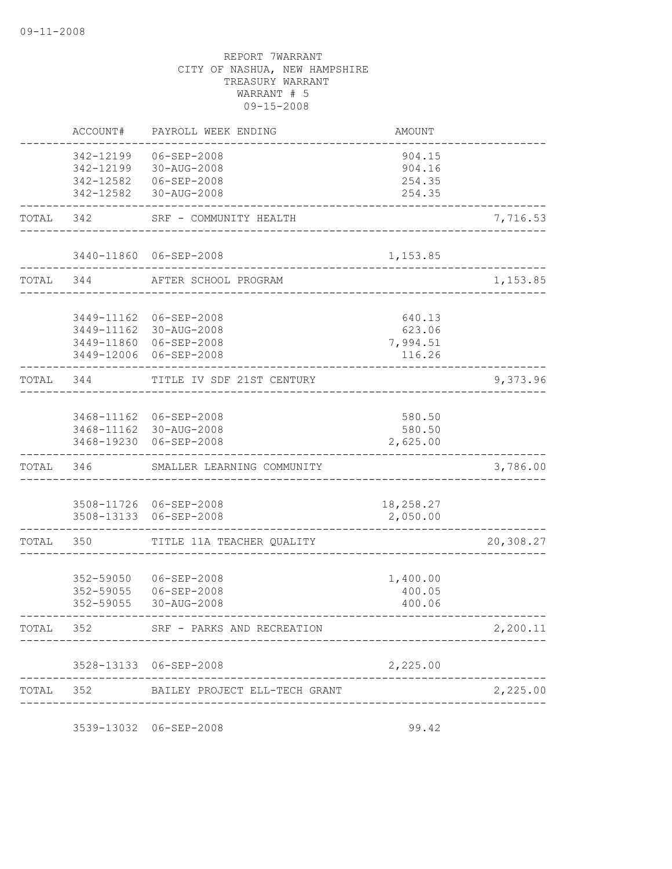|           | ACCOUNT#                                         | PAYROLL WEEK ENDING                                                                       | AMOUNT                                 |           |
|-----------|--------------------------------------------------|-------------------------------------------------------------------------------------------|----------------------------------------|-----------|
|           | 342-12199<br>342-12199<br>342-12582<br>342-12582 | 06-SEP-2008<br>30-AUG-2008<br>06-SEP-2008<br>30-AUG-2008                                  | 904.15<br>904.16<br>254.35<br>254.35   |           |
| TOTAL     | 342                                              | SRF - COMMUNITY HEALTH                                                                    |                                        | 7,716.53  |
|           |                                                  | 3440-11860 06-SEP-2008                                                                    | 1,153.85                               |           |
| TOTAL 344 |                                                  | AFTER SCHOOL PROGRAM                                                                      |                                        | 1,153.85  |
|           | 3449-11162                                       | 06-SEP-2008<br>3449-11162 30-AUG-2008<br>3449-11860 06-SEP-2008<br>3449-12006 06-SEP-2008 | 640.13<br>623.06<br>7,994.51<br>116.26 |           |
| TOTAL 344 |                                                  | TITLE IV SDF 21ST CENTURY                                                                 |                                        | 9,373.96  |
|           | 3468-19230                                       | 3468-11162 06-SEP-2008<br>3468-11162 30-AUG-2008<br>06-SEP-2008                           | 580.50<br>580.50<br>2,625.00           |           |
| TOTAL     | 346                                              | SMALLER LEARNING COMMUNITY                                                                |                                        | 3,786.00  |
|           | 3508-13133                                       | 3508-11726 06-SEP-2008<br>06-SEP-2008                                                     | 18,258.27<br>2,050.00                  |           |
| TOTAL     | 350                                              | TITLE 11A TEACHER QUALITY                                                                 |                                        | 20,308.27 |
|           | 352-59050<br>352-59055<br>352-59055              | 06-SEP-2008<br>06-SEP-2008<br>30-AUG-2008                                                 | 1,400.00<br>400.05<br>400.06           |           |
| TOTAL     | 352                                              | SRF - PARKS AND RECREATION                                                                |                                        | 2,200.11  |
|           |                                                  | 3528-13133 06-SEP-2008                                                                    | 2,225.00                               |           |
| TOTAL     | 352                                              | BAILEY PROJECT ELL-TECH GRANT                                                             |                                        | 2,225.00  |
|           |                                                  |                                                                                           |                                        |           |

3539-13032 06-SEP-2008 99.42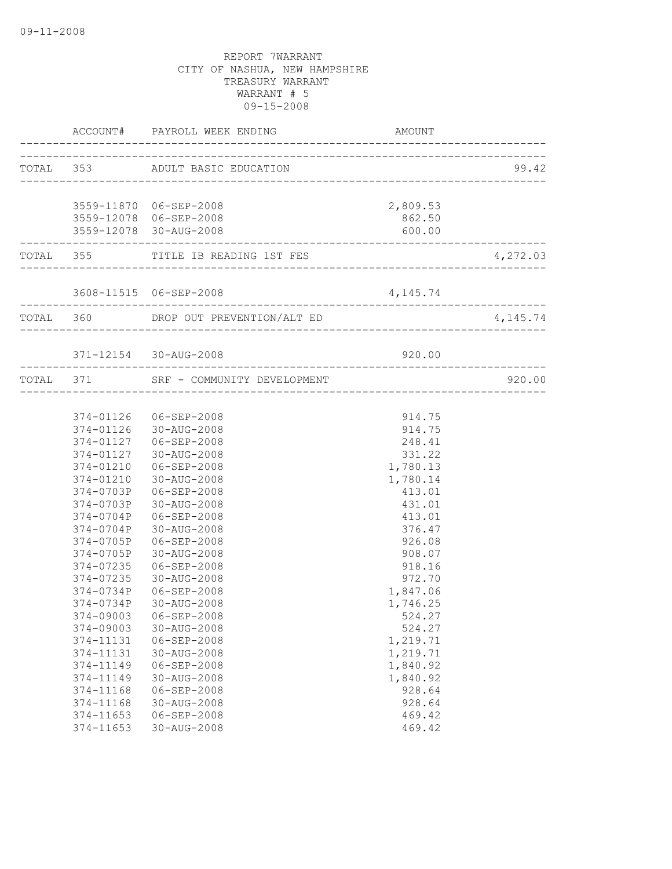|                             | ACCOUNT# PAYROLL WEEK ENDING                              | AMOUNT                                       |            |
|-----------------------------|-----------------------------------------------------------|----------------------------------------------|------------|
|                             | TOTAL 353 ADULT BASIC EDUCATION                           |                                              | 99.42      |
|                             |                                                           |                                              |            |
|                             | 3559-11870 06-SEP-2008                                    | 2,809.53                                     |            |
|                             | 3559-12078 06-SEP-2008                                    | 862.50                                       |            |
| --------------------------- | 3559-12078 30-AUG-2008                                    | 600.00<br>---------------------------------- |            |
|                             | TOTAL 355 TITLE IB READING 1ST FES                        |                                              | 4,272.03   |
|                             |                                                           |                                              |            |
|                             | TOTAL 360 DROP OUT PREVENTION/ALT ED                      |                                              | 4, 145. 74 |
|                             |                                                           |                                              |            |
|                             | 371-12154 30-AUG-2008<br>-------------------------------- | 920.00                                       |            |
|                             | TOTAL 371 SRF - COMMUNITY DEVELOPMENT                     |                                              | 920.00     |
|                             |                                                           |                                              |            |
|                             | 374-01126 06-SEP-2008                                     | 914.75                                       |            |
|                             | 374-01126 30-AUG-2008                                     | 914.75                                       |            |
|                             | 374-01127 06-SEP-2008                                     | 248.41                                       |            |
|                             | 374-01127 30-AUG-2008                                     | 331.22                                       |            |
|                             | 374-01210 06-SEP-2008                                     | 1,780.13                                     |            |
| 374-01210                   | 30-AUG-2008                                               | 1,780.14                                     |            |
| 374-0703P                   | 06-SEP-2008                                               | 413.01                                       |            |
| 374-0703P                   | 30-AUG-2008                                               | 431.01                                       |            |
| 374-0704P                   | 06-SEP-2008                                               | 413.01                                       |            |
| 374-0704P                   | 30-AUG-2008                                               | 376.47                                       |            |
| 374-0705P                   | 06-SEP-2008                                               | 926.08                                       |            |
| 374-0705P                   | 30-AUG-2008                                               | 908.07                                       |            |
| 374-07235                   | 06-SEP-2008                                               | 918.16                                       |            |
| 374-07235                   | 30-AUG-2008                                               | 972.70                                       |            |
| 374-0734P                   | 06-SEP-2008                                               | 1,847.06                                     |            |
| 374-0734P                   | 30-AUG-2008                                               | 1,746.25                                     |            |
|                             | 374-09003 06-SEP-2008                                     | 524.27                                       |            |
| 374-09003                   | 30-AUG-2008                                               | 524.27                                       |            |
| 374-11131                   | $06 - SEP - 2008$                                         | 1,219.71                                     |            |
| 374-11131                   | 30-AUG-2008                                               | 1,219.71                                     |            |
| 374-11149                   | 06-SEP-2008                                               | 1,840.92                                     |            |
| 374-11149                   | 30-AUG-2008                                               | 1,840.92                                     |            |
| 374-11168                   | $06 - SEP - 2008$                                         | 928.64                                       |            |
| 374-11168                   | 30-AUG-2008                                               | 928.64                                       |            |
| 374-11653                   | 06-SEP-2008                                               | 469.42                                       |            |
| 374-11653                   | 30-AUG-2008                                               | 469.42                                       |            |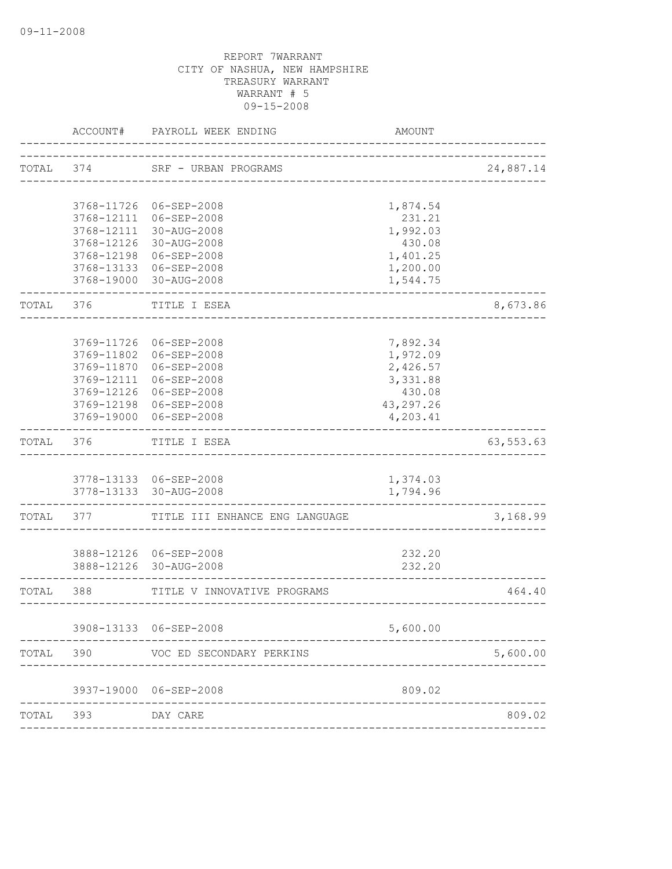|           | ACCOUNT#   | PAYROLL WEEK ENDING                            | AMOUNT               |             |
|-----------|------------|------------------------------------------------|----------------------|-------------|
| TOTAL 374 |            | SRF - URBAN PROGRAMS<br>______________________ |                      | 24,887.14   |
|           |            | 3768-11726 06-SEP-2008                         | 1,874.54             |             |
|           |            | 3768-12111 06-SEP-2008                         | 231.21               |             |
|           |            | 3768-12111 30-AUG-2008                         | 1,992.03             |             |
|           |            | 3768-12126 30-AUG-2008                         | 430.08               |             |
|           |            | 3768-12198 06-SEP-2008                         | 1,401.25             |             |
|           |            | 3768-13133 06-SEP-2008                         | 1,200.00             |             |
|           |            | 3768-19000 30-AUG-2008                         | 1,544.75             |             |
| TOTAL     | 376        | TITLE I ESEA                                   |                      | 8,673.86    |
|           | 3769-11726 | 06-SEP-2008                                    |                      |             |
|           | 3769-11802 | 06-SEP-2008                                    | 7,892.34<br>1,972.09 |             |
|           | 3769-11870 | $06 - SEP - 2008$                              | 2,426.57             |             |
|           | 3769-12111 | 06-SEP-2008                                    | 3,331.88             |             |
|           | 3769-12126 | 06-SEP-2008                                    | 430.08               |             |
|           |            | 3769-12198 06-SEP-2008                         | 43,297.26            |             |
|           | 3769-19000 | 06-SEP-2008                                    | 4,203.41             |             |
| TOTAL     | 376        | TITLE I ESEA                                   |                      | 63, 553. 63 |
|           |            |                                                |                      |             |
|           |            | 3778-13133 06-SEP-2008                         | 1,374.03             |             |
|           |            |                                                |                      |             |
|           |            | 3778-13133 30-AUG-2008                         | 1,794.96             |             |
| TOTAL     | 377        | TITLE III ENHANCE ENG LANGUAGE                 |                      | 3,168.99    |
|           |            |                                                |                      |             |
|           | 3888-12126 | 3888-12126 06-SEP-2008<br>30-AUG-2008          | 232.20<br>232.20     |             |
| TOTAL     | 388        | TITLE V INNOVATIVE PROGRAMS                    |                      | 464.40      |
|           |            |                                                | _______________      |             |
|           |            | 3908-13133 06-SEP-2008                         | 5,600.00             |             |
| TOTAL     | 390        | VOC ED SECONDARY PERKINS                       |                      | 5,600.00    |
|           | 3937-19000 | 06-SEP-2008                                    | 809.02               |             |
| TOTAL     | 393        | DAY CARE                                       |                      | 809.02      |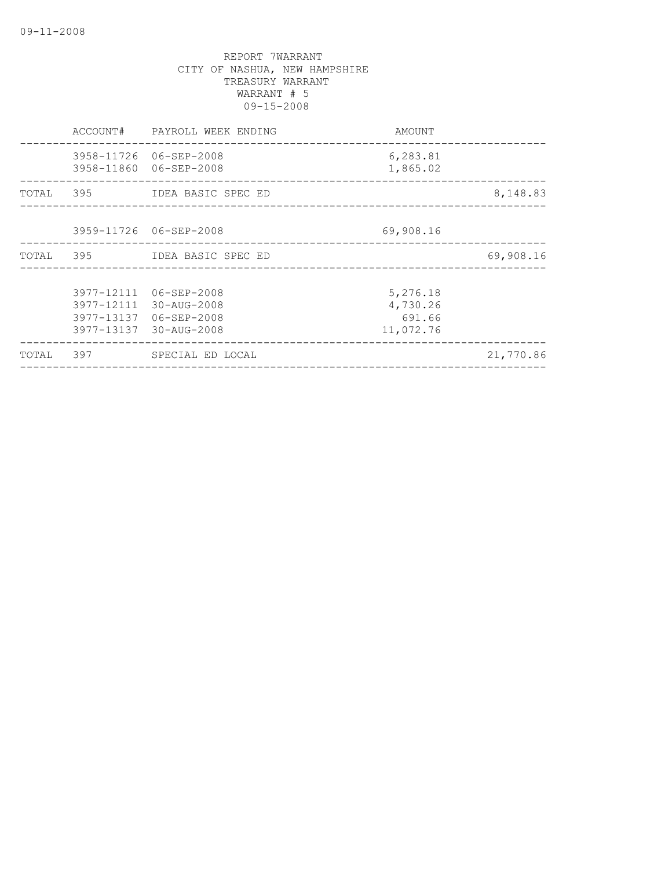|           |     | ACCOUNT# PAYROLL WEEK ENDING                                                                         | AMOUNT                                      |           |
|-----------|-----|------------------------------------------------------------------------------------------------------|---------------------------------------------|-----------|
|           |     | 3958-11726 06-SEP-2008<br>3958-11860 06-SEP-2008                                                     | 6,283.81<br>1,865.02                        |           |
| TOTAL 395 |     | IDEA BASIC SPEC ED                                                                                   |                                             | 8,148.83  |
|           |     | 3959-11726 06-SEP-2008                                                                               | 69,908.16                                   |           |
|           |     | TOTAL 395 IDEA BASIC SPEC ED                                                                         |                                             | 69,908.16 |
|           |     | 3977-12111 06-SEP-2008<br>3977-12111 30-AUG-2008<br>3977-13137 06-SEP-2008<br>3977-13137 30-AUG-2008 | 5,276.18<br>4,730.26<br>691.66<br>11,072.76 |           |
| TOTAL     | 397 | SPECIAL ED LOCAL                                                                                     |                                             | 21,770.86 |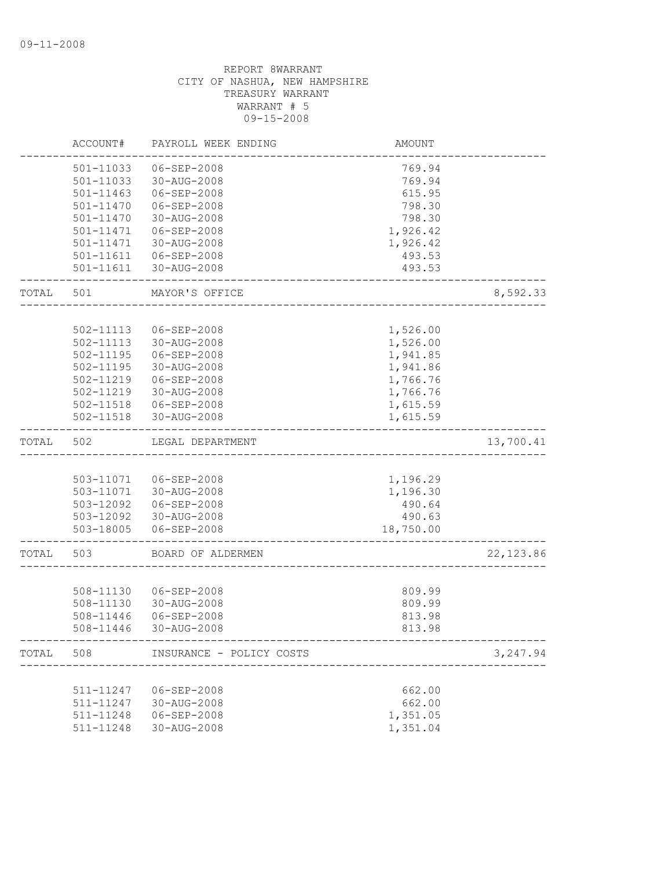|       | ACCOUNT#      | PAYROLL WEEK ENDING      | AMOUNT                           |            |
|-------|---------------|--------------------------|----------------------------------|------------|
|       | 501-11033     | 06-SEP-2008              | 769.94                           |            |
|       | 501-11033     | 30-AUG-2008              | 769.94                           |            |
|       | 501-11463     | $06 - SEP - 2008$        | 615.95                           |            |
|       | 501-11470     | 06-SEP-2008              | 798.30                           |            |
|       | 501-11470     | 30-AUG-2008              | 798.30                           |            |
|       | 501-11471     | 06-SEP-2008              | 1,926.42                         |            |
|       | 501-11471     | 30-AUG-2008              | 1,926.42                         |            |
|       | 501-11611     | 06-SEP-2008              | 493.53                           |            |
|       | 501-11611     | 30-AUG-2008              | 493.53                           |            |
| TOTAL | 501           | MAYOR'S OFFICE           |                                  | 8,592.33   |
|       |               |                          |                                  |            |
|       | 502-11113     | 06-SEP-2008              | 1,526.00                         |            |
|       | 502-11113     | 30-AUG-2008              | 1,526.00                         |            |
|       | $502 - 11195$ | 06-SEP-2008              | 1,941.85                         |            |
|       | 502-11195     | 30-AUG-2008              | 1,941.86                         |            |
|       | 502-11219     | $06 - SEP - 2008$        | 1,766.76                         |            |
|       | 502-11219     | 30-AUG-2008              | 1,766.76                         |            |
|       |               | 502-11518  06-SEP-2008   | 1,615.59                         |            |
|       | 502-11518     | 30-AUG-2008              | 1,615.59                         |            |
| TOTAL | 502           | LEGAL DEPARTMENT         |                                  | 13,700.41  |
|       |               |                          |                                  |            |
|       | 503-11071     | 06-SEP-2008              | 1,196.29                         |            |
|       |               | 503-11071 30-AUG-2008    | 1,196.30                         |            |
|       | 503-12092     | 06-SEP-2008              | 490.64                           |            |
|       |               | 503-12092 30-AUG-2008    | 490.63                           |            |
|       | 503-18005     | 06-SEP-2008              | 18,750.00                        |            |
| TOTAL | 503           | BOARD OF ALDERMEN        |                                  | 22, 123.86 |
|       |               |                          |                                  |            |
|       | 508-11130     | 06-SEP-2008              | 809.99                           |            |
|       | 508-11130     | 30-AUG-2008              | 809.99                           |            |
|       | 508-11446     | 06-SEP-2008              | 813.98                           |            |
|       | 508-11446     | 30-AUG-2008              | 813.98                           |            |
| TOTAL | 508           | INSURANCE - POLICY COSTS | <u>. List List List List Lis</u> | 3,247.94   |
|       |               |                          |                                  |            |
|       | 511-11247     | 06-SEP-2008              | 662.00                           |            |
|       | 511-11247     | 30-AUG-2008              | 662.00                           |            |
|       | 511-11248     | 06-SEP-2008              | 1,351.05                         |            |
|       | 511-11248     | 30-AUG-2008              | 1,351.04                         |            |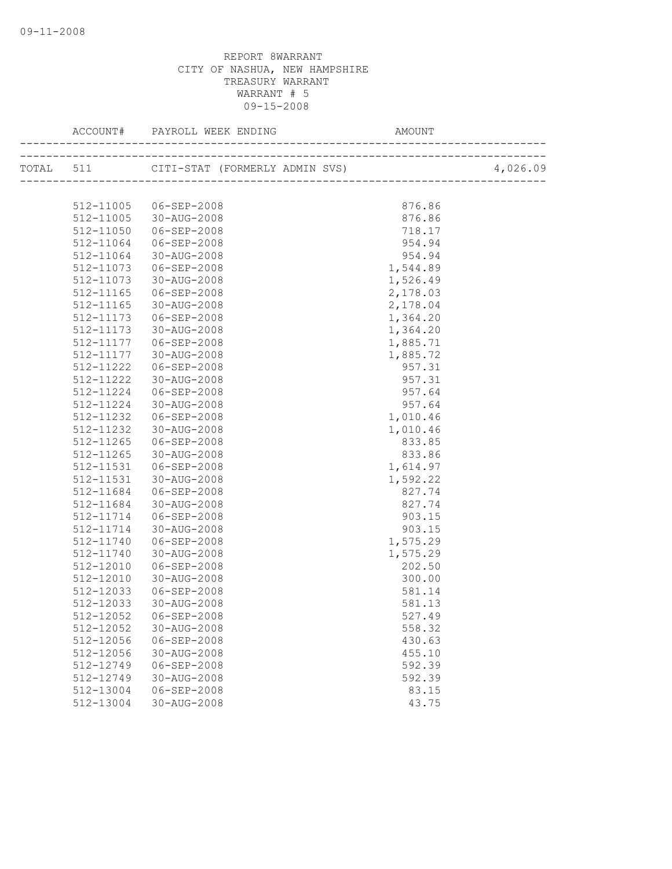|           |                       |          | 4,026.09 |
|-----------|-----------------------|----------|----------|
|           |                       |          |          |
| 512-11005 | 06-SEP-2008           | 876.86   |          |
|           | 512-11005 30-AUG-2008 | 876.86   |          |
| 512-11050 | 06-SEP-2008           | 718.17   |          |
| 512-11064 | 06-SEP-2008           | 954.94   |          |
| 512-11064 | 30-AUG-2008           | 954.94   |          |
| 512-11073 | 06-SEP-2008           | 1,544.89 |          |
| 512-11073 | 30-AUG-2008           | 1,526.49 |          |
| 512-11165 | 06-SEP-2008           | 2,178.03 |          |
| 512-11165 | 30-AUG-2008           | 2,178.04 |          |
| 512-11173 | 06-SEP-2008           | 1,364.20 |          |
| 512-11173 | 30-AUG-2008           | 1,364.20 |          |
| 512-11177 | 06-SEP-2008           | 1,885.71 |          |
| 512-11177 | 30-AUG-2008           | 1,885.72 |          |
| 512-11222 | 06-SEP-2008           | 957.31   |          |
| 512-11222 | 30-AUG-2008           | 957.31   |          |
| 512-11224 | 06-SEP-2008           | 957.64   |          |
| 512-11224 | 30-AUG-2008           | 957.64   |          |
| 512-11232 | 06-SEP-2008           | 1,010.46 |          |
| 512-11232 | 30-AUG-2008           | 1,010.46 |          |
| 512-11265 | 06-SEP-2008           | 833.85   |          |
| 512-11265 | 30-AUG-2008           | 833.86   |          |
| 512-11531 | 06-SEP-2008           | 1,614.97 |          |
| 512-11531 | 30-AUG-2008           | 1,592.22 |          |
| 512-11684 | 06-SEP-2008           | 827.74   |          |
| 512-11684 | 30-AUG-2008           | 827.74   |          |
| 512-11714 | 06-SEP-2008           | 903.15   |          |
| 512-11714 | 30-AUG-2008           | 903.15   |          |
| 512-11740 | 06-SEP-2008           | 1,575.29 |          |
| 512-11740 | 30-AUG-2008           | 1,575.29 |          |
| 512-12010 | 06-SEP-2008           | 202.50   |          |
| 512-12010 | 30-AUG-2008           | 300.00   |          |
| 512-12033 | 06-SEP-2008           | 581.14   |          |
| 512-12033 | 30-AUG-2008           | 581.13   |          |
| 512-12052 | 06-SEP-2008           | 527.49   |          |
| 512-12052 | 30-AUG-2008           | 558.32   |          |
| 512-12056 | 06-SEP-2008           | 430.63   |          |
| 512-12056 | 30-AUG-2008           | 455.10   |          |
| 512-12749 | 06-SEP-2008           | 592.39   |          |
| 512-12749 | 30-AUG-2008           | 592.39   |          |
| 512-13004 | 06-SEP-2008           | 83.15    |          |
| 512-13004 | 30-AUG-2008           | 43.75    |          |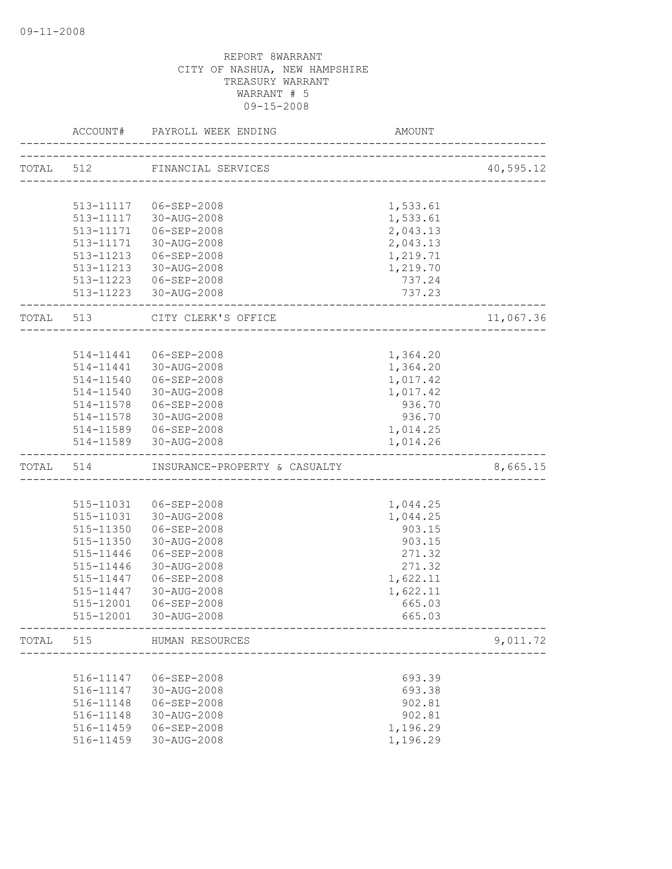|           | ACCOUNT#  | PAYROLL WEEK ENDING                            | AMOUNT             |           |
|-----------|-----------|------------------------------------------------|--------------------|-----------|
|           |           | TOTAL 512 FINANCIAL SERVICES                   |                    | 40,595.12 |
|           |           | ------------------------------------           |                    |           |
|           |           |                                                |                    |           |
|           |           | 513-11117   06-SEP-2008                        | 1,533.61           |           |
|           | 513-11117 | 30-AUG-2008                                    | 1,533.61           |           |
|           | 513-11171 | 06-SEP-2008                                    | 2,043.13           |           |
|           | 513-11171 | 30-AUG-2008<br>513-11213 06-SEP-2008           | 2,043.13           |           |
|           |           | 513-11213 30-AUG-2008                          | 1,219.71           |           |
|           |           |                                                | 1,219.70<br>737.24 |           |
|           |           | 513-11223 06-SEP-2008<br>513-11223 30-AUG-2008 | 737.23             |           |
| TOTAL 513 |           | CITY CLERK'S OFFICE                            |                    | 11,067.36 |
|           |           |                                                |                    |           |
|           |           |                                                |                    |           |
|           | 514-11441 | 06-SEP-2008<br>514-11441 30-AUG-2008           | 1,364.20           |           |
|           |           |                                                | 1,364.20           |           |
|           | 514-11540 | 06-SEP-2008                                    | 1,017.42           |           |
|           |           | 514-11540 30-AUG-2008                          | 1,017.42           |           |
|           |           | 514-11578 06-SEP-2008                          | 936.70             |           |
|           |           | 514-11578 30-AUG-2008                          | 936.70             |           |
|           |           | 514-11589   06-SEP-2008                        | 1,014.25           |           |
|           |           | 514-11589 30-AUG-2008                          | 1,014.26           |           |
| TOTAL 514 |           | INSURANCE-PROPERTY & CASUALTY                  |                    | 8,665.15  |
|           |           |                                                |                    |           |
|           |           | 515-11031  06-SEP-2008                         | 1,044.25           |           |
|           |           | 515-11031 30-AUG-2008                          | 1,044.25           |           |
|           | 515-11350 | 06-SEP-2008                                    | 903.15             |           |
|           | 515-11350 | 30-AUG-2008                                    | 903.15             |           |
|           | 515-11446 | 06-SEP-2008                                    | 271.32             |           |
|           | 515-11446 | 30-AUG-2008                                    | 271.32             |           |
|           | 515-11447 | 06-SEP-2008                                    | 1,622.11           |           |
|           | 515-11447 | 30-AUG-2008                                    | 1,622.11           |           |
|           | 515-12001 | 06-SEP-2008                                    | 665.03             |           |
|           | 515-12001 | 30-AUG-2008                                    | 665.03             |           |
| TOTAL 515 |           | HUMAN RESOURCES                                |                    | 9,011.72  |
|           |           | _____________________________                  |                    |           |
|           | 516-11147 | 06-SEP-2008                                    | 693.39             |           |
|           | 516-11147 | 30-AUG-2008                                    | 693.38             |           |
|           | 516-11148 | $06 - SEP - 2008$                              | 902.81             |           |
|           | 516-11148 | 30-AUG-2008                                    | 902.81             |           |
|           | 516-11459 | 06-SEP-2008                                    | 1,196.29           |           |
|           | 516-11459 | 30-AUG-2008                                    | 1,196.29           |           |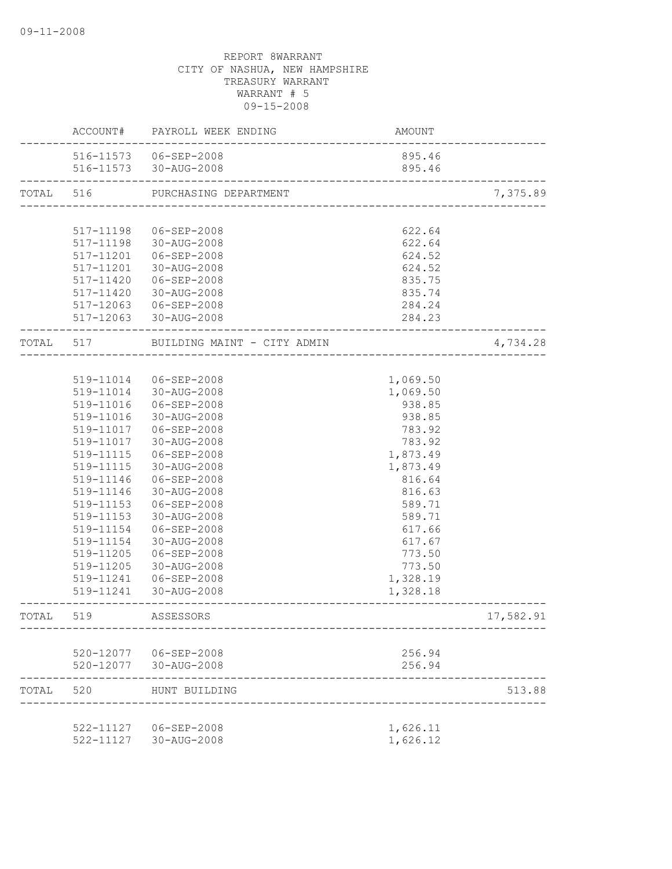|           | ACCOUNT#  | PAYROLL WEEK ENDING         | AMOUNT                                  |           |
|-----------|-----------|-----------------------------|-----------------------------------------|-----------|
|           |           | 516-11573   06-SEP-2008     | 895.46                                  |           |
|           |           | 516-11573 30-AUG-2008       | 895.46                                  |           |
| TOTAL 516 |           | PURCHASING DEPARTMENT       | -<br>---------------------------------- | 7,375.89  |
|           |           |                             |                                         |           |
|           | 517-11198 | 06-SEP-2008                 | 622.64                                  |           |
|           | 517-11198 | 30-AUG-2008                 | 622.64                                  |           |
|           | 517-11201 | 06-SEP-2008                 | 624.52                                  |           |
|           | 517-11201 | 30-AUG-2008                 | 624.52                                  |           |
|           | 517-11420 | $06 - SEP - 2008$           | 835.75                                  |           |
|           | 517-11420 | 30-AUG-2008                 | 835.74                                  |           |
|           |           | 517-12063 06-SEP-2008       | 284.24                                  |           |
|           |           | 517-12063 30-AUG-2008       | 284.23                                  |           |
| TOTAL 517 |           | BUILDING MAINT - CITY ADMIN |                                         | 4,734.28  |
|           |           |                             |                                         |           |
|           | 519-11014 | 06-SEP-2008                 | 1,069.50                                |           |
|           |           | 519-11014 30-AUG-2008       | 1,069.50                                |           |
|           | 519-11016 | 06-SEP-2008                 | 938.85                                  |           |
|           | 519-11016 | 30-AUG-2008                 | 938.85                                  |           |
|           | 519-11017 | 06-SEP-2008                 | 783.92                                  |           |
|           | 519-11017 | 30-AUG-2008                 | 783.92                                  |           |
|           | 519-11115 | 06-SEP-2008                 | 1,873.49                                |           |
|           | 519-11115 | 30-AUG-2008                 | 1,873.49                                |           |
|           | 519-11146 | 06-SEP-2008                 | 816.64                                  |           |
|           | 519-11146 | 30-AUG-2008                 | 816.63                                  |           |
|           | 519-11153 | 06-SEP-2008                 | 589.71                                  |           |
|           | 519-11153 | 30-AUG-2008                 | 589.71                                  |           |
|           | 519-11154 | 06-SEP-2008                 | 617.66                                  |           |
|           | 519-11154 | 30-AUG-2008                 | 617.67                                  |           |
|           | 519-11205 | $06 - SEP - 2008$           | 773.50                                  |           |
|           | 519-11205 | 30-AUG-2008                 | 773.50                                  |           |
|           | 519-11241 | 06-SEP-2008                 | 1,328.19                                |           |
|           | 519-11241 | 30-AUG-2008                 | 1,328.18                                |           |
| TOTAL     | 519       | ASSESSORS                   |                                         | 17,582.91 |
|           |           |                             |                                         |           |
|           |           | 520-12077   06-SEP-2008     | 256.94                                  |           |
|           |           | 520-12077 30-AUG-2008       | 256.94                                  |           |
| TOTAL     | 520       | HUNT BUILDING               |                                         | 513.88    |
|           |           | 522-11127 06-SEP-2008       | 1,626.11                                |           |
|           |           | 522-11127 30-AUG-2008       | 1,626.12                                |           |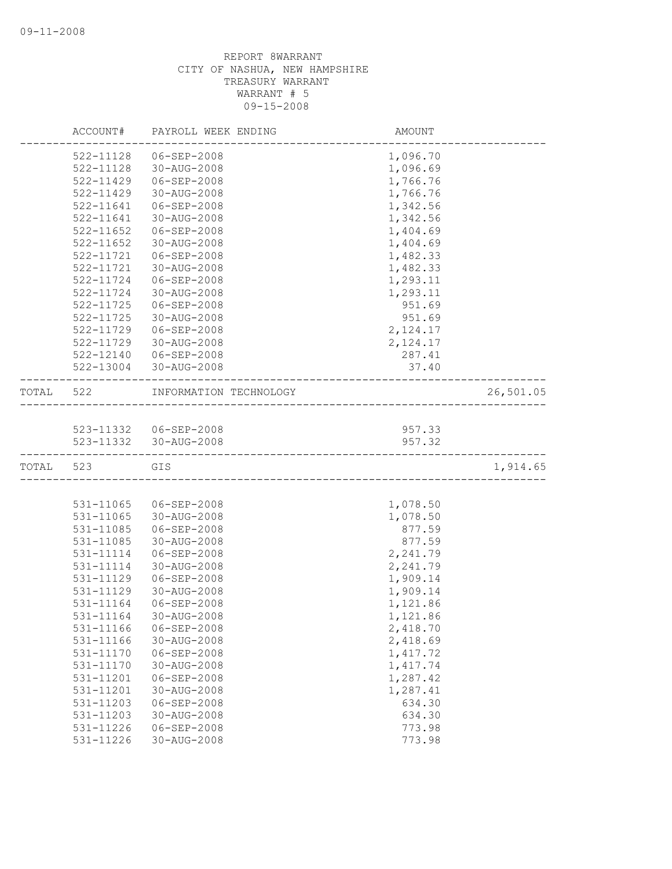|       | ACCOUNT#               | PAYROLL WEEK ENDING        | AMOUNT           |           |
|-------|------------------------|----------------------------|------------------|-----------|
|       | 522-11128              | 06-SEP-2008                | 1,096.70         |           |
|       | 522-11128              | 30-AUG-2008                | 1,096.69         |           |
|       | 522-11429              | 06-SEP-2008                | 1,766.76         |           |
|       | $522 - 11429$          | 30-AUG-2008                | 1,766.76         |           |
|       | 522-11641              | 06-SEP-2008                | 1,342.56         |           |
|       | 522-11641              | 30-AUG-2008                | 1,342.56         |           |
|       | 522-11652              | $06 - SEP - 2008$          | 1,404.69         |           |
|       | 522-11652              | 30-AUG-2008                | 1,404.69         |           |
|       | 522-11721              | $06 - SEP - 2008$          | 1,482.33         |           |
|       | 522-11721              | 30-AUG-2008                | 1,482.33         |           |
|       | $522 - 11724$          | 06-SEP-2008                | 1,293.11         |           |
|       | 522-11724              | 30-AUG-2008                | 1,293.11         |           |
|       | 522-11725              | 06-SEP-2008                | 951.69           |           |
|       | 522-11725              | 30-AUG-2008                | 951.69           |           |
|       | 522-11729              | 06-SEP-2008                | 2,124.17         |           |
|       | 522-11729              | 30-AUG-2008                | 2,124.17         |           |
|       | 522-12140              | 06-SEP-2008                | 287.41           |           |
|       | 522-13004              | 30-AUG-2008                | 37.40            |           |
| TOTAL | 522                    | INFORMATION TECHNOLOGY     |                  | 26,501.05 |
|       |                        |                            |                  |           |
|       |                        | 523-11332 06-SEP-2008      | 957.33           |           |
|       | 523-11332              | 30-AUG-2008                | 957.32           |           |
| TOTAL | 523                    | GIS                        |                  | 1,914.65  |
|       |                        |                            |                  |           |
|       | 531-11065              | 06-SEP-2008                | 1,078.50         |           |
|       | 531-11065              | 30-AUG-2008                | 1,078.50         |           |
|       | 531-11085              | $06 - SEP - 2008$          | 877.59           |           |
|       | 531-11085              | 30-AUG-2008                | 877.59           |           |
|       | 531-11114              | 06-SEP-2008                | 2,241.79         |           |
|       | 531-11114              | 30-AUG-2008                | 2,241.79         |           |
|       | 531-11129              | $06 - SEP - 2008$          | 1,909.14         |           |
|       | 531-11129              | 30-AUG-2008                | 1,909.14         |           |
|       | 531-11164              | $06 - SEP - 2008$          | 1,121.86         |           |
|       | 531-11164              | 30-AUG-2008                | 1,121.86         |           |
|       | 531-11166              | 06-SEP-2008                | 2,418.70         |           |
|       | 531-11166              | 30-AUG-2008                | 2,418.69         |           |
|       | 531-11170              | $06 - SEP - 2008$          | 1, 417.72        |           |
|       | 531-11170              | 30-AUG-2008                | 1,417.74         |           |
|       | 531-11201              | $06 - SEP - 2008$          | 1,287.42         |           |
|       | 531-11201              | 30-AUG-2008                | 1,287.41         |           |
|       | 531-11203              | 06-SEP-2008                | 634.30           |           |
|       | 531-11203<br>531-11226 | 30-AUG-2008<br>06-SEP-2008 | 634.30<br>773.98 |           |
|       | 531-11226              | 30-AUG-2008                | 773.98           |           |
|       |                        |                            |                  |           |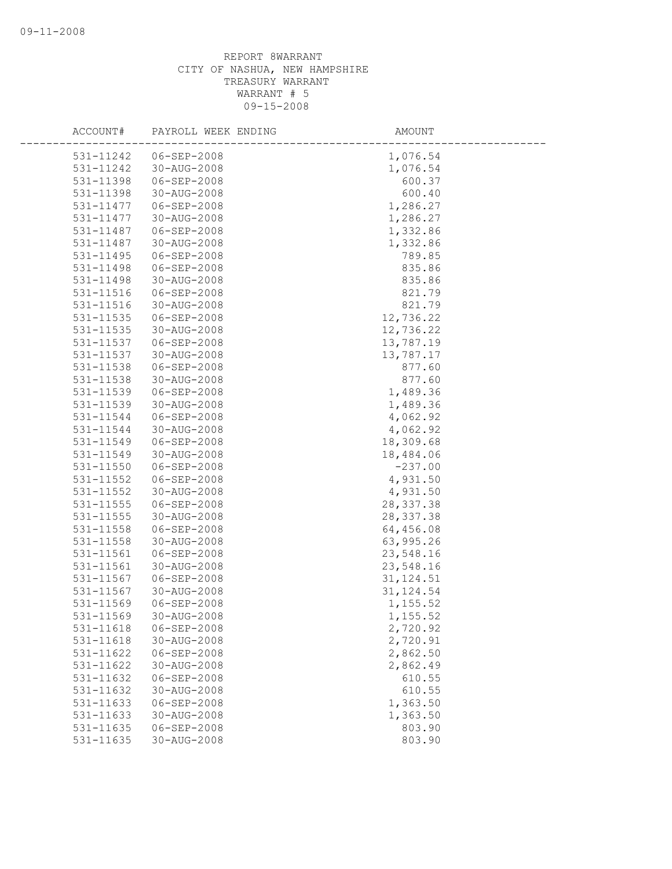| ACCOUNT#      | PAYROLL WEEK ENDING | AMOUNT     |
|---------------|---------------------|------------|
| 531-11242     | 06-SEP-2008         | 1,076.54   |
| 531-11242     | 30-AUG-2008         | 1,076.54   |
| 531-11398     | 06-SEP-2008         | 600.37     |
| 531-11398     | 30-AUG-2008         | 600.40     |
| 531-11477     | 06-SEP-2008         | 1,286.27   |
| 531-11477     | 30-AUG-2008         | 1,286.27   |
| 531-11487     | 06-SEP-2008         | 1,332.86   |
| 531-11487     | 30-AUG-2008         | 1,332.86   |
| 531-11495     | $06 - SEP - 2008$   | 789.85     |
| 531-11498     | $06 - SEP - 2008$   | 835.86     |
| 531-11498     | 30-AUG-2008         | 835.86     |
| 531-11516     | 06-SEP-2008         | 821.79     |
| 531-11516     | 30-AUG-2008         | 821.79     |
| 531-11535     | $06 - SEP - 2008$   | 12,736.22  |
| 531-11535     | 30-AUG-2008         | 12,736.22  |
| 531-11537     | 06-SEP-2008         | 13,787.19  |
| 531-11537     | 30-AUG-2008         | 13,787.17  |
| 531-11538     | $06 - SEP - 2008$   | 877.60     |
| 531-11538     | 30-AUG-2008         | 877.60     |
| 531-11539     | 06-SEP-2008         | 1,489.36   |
| 531-11539     | 30-AUG-2008         | 1,489.36   |
| 531-11544     | 06-SEP-2008         | 4,062.92   |
| 531-11544     | 30-AUG-2008         | 4,062.92   |
| 531-11549     | 06-SEP-2008         | 18,309.68  |
| 531-11549     | 30-AUG-2008         | 18,484.06  |
| 531-11550     | $06 - SEP - 2008$   | $-237.00$  |
| $531 - 11552$ | $06 - SEP - 2008$   | 4,931.50   |
| 531-11552     | 30-AUG-2008         | 4,931.50   |
| 531-11555     | 06-SEP-2008         | 28, 337.38 |
| 531-11555     | 30-AUG-2008         | 28, 337.38 |
| 531-11558     | 06-SEP-2008         | 64,456.08  |
| 531-11558     | 30-AUG-2008         | 63,995.26  |
| 531-11561     | 06-SEP-2008         | 23,548.16  |
| 531-11561     | 30-AUG-2008         | 23,548.16  |
| 531-11567     | 06-SEP-2008         | 31, 124.51 |
| 531-11567     | 30-AUG-2008         | 31, 124.54 |
| 531-11569     | $06 - SEP - 2008$   | 1,155.52   |
| 531-11569     | 30-AUG-2008         | 1,155.52   |
| 531-11618     | 06-SEP-2008         | 2,720.92   |
| 531-11618     | 30-AUG-2008         | 2,720.91   |
| 531-11622     | $06 - SEP - 2008$   | 2,862.50   |
| 531-11622     | 30-AUG-2008         | 2,862.49   |
| 531-11632     | 06-SEP-2008         | 610.55     |
| 531-11632     | 30-AUG-2008         | 610.55     |
| 531-11633     | $06 - SEP - 2008$   | 1,363.50   |
| 531-11633     | 30-AUG-2008         | 1,363.50   |
| 531-11635     | 06-SEP-2008         | 803.90     |
| 531-11635     | 30-AUG-2008         | 803.90     |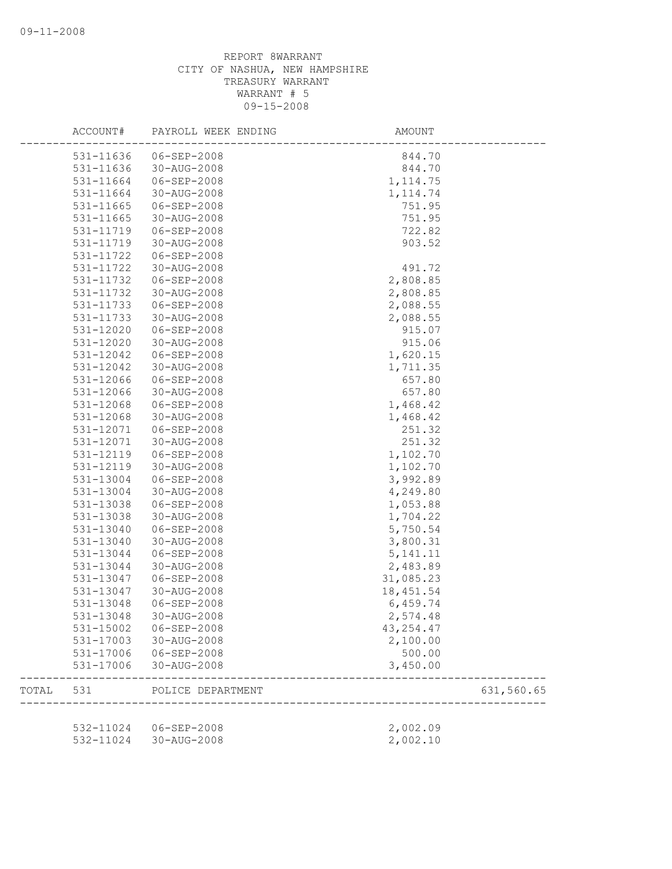|       | ACCOUNT#  | PAYROLL WEEK ENDING   | AMOUNT     |            |
|-------|-----------|-----------------------|------------|------------|
|       | 531-11636 | 06-SEP-2008           | 844.70     |            |
|       | 531-11636 | 30-AUG-2008           | 844.70     |            |
|       | 531-11664 | 06-SEP-2008           | 1, 114.75  |            |
|       | 531-11664 | 30-AUG-2008           | 1, 114.74  |            |
|       | 531-11665 | 06-SEP-2008           | 751.95     |            |
|       | 531-11665 | 30-AUG-2008           | 751.95     |            |
|       | 531-11719 | 06-SEP-2008           | 722.82     |            |
|       | 531-11719 | 30-AUG-2008           | 903.52     |            |
|       | 531-11722 | $06 - SEP - 2008$     |            |            |
|       | 531-11722 | 30-AUG-2008           | 491.72     |            |
|       | 531-11732 | 06-SEP-2008           | 2,808.85   |            |
|       | 531-11732 | 30-AUG-2008           | 2,808.85   |            |
|       | 531-11733 | 06-SEP-2008           | 2,088.55   |            |
|       | 531-11733 | 30-AUG-2008           | 2,088.55   |            |
|       | 531-12020 | 06-SEP-2008           | 915.07     |            |
|       | 531-12020 | 30-AUG-2008           | 915.06     |            |
|       | 531-12042 | 06-SEP-2008           | 1,620.15   |            |
|       | 531-12042 | 30-AUG-2008           | 1,711.35   |            |
|       | 531-12066 | $06 - SEP - 2008$     | 657.80     |            |
|       | 531-12066 | 30-AUG-2008           | 657.80     |            |
|       | 531-12068 | 06-SEP-2008           | 1,468.42   |            |
|       | 531-12068 | 30-AUG-2008           | 1,468.42   |            |
|       | 531-12071 | 06-SEP-2008           | 251.32     |            |
|       | 531-12071 | 30-AUG-2008           | 251.32     |            |
|       | 531-12119 | 06-SEP-2008           | 1,102.70   |            |
|       | 531-12119 | 30-AUG-2008           | 1,102.70   |            |
|       | 531-13004 | $06 - SEP - 2008$     | 3,992.89   |            |
|       | 531-13004 | 30-AUG-2008           | 4,249.80   |            |
|       | 531-13038 | 06-SEP-2008           | 1,053.88   |            |
|       | 531-13038 | 30-AUG-2008           | 1,704.22   |            |
|       | 531-13040 | 06-SEP-2008           | 5,750.54   |            |
|       | 531-13040 | 30-AUG-2008           | 3,800.31   |            |
|       | 531-13044 | 06-SEP-2008           | 5, 141. 11 |            |
|       | 531-13044 | 30-AUG-2008           | 2,483.89   |            |
|       | 531-13047 | 06-SEP-2008           | 31,085.23  |            |
|       | 531-13047 | 30-AUG-2008           | 18, 451.54 |            |
|       | 531-13048 | 06-SEP-2008           | 6,459.74   |            |
|       | 531-13048 | 30-AUG-2008           | 2,574.48   |            |
|       | 531-15002 | $06 - SEP - 2008$     | 43, 254.47 |            |
|       | 531-17003 | 30-AUG-2008           | 2,100.00   |            |
|       | 531-17006 | 06-SEP-2008           | 500.00     |            |
|       | 531-17006 | 30-AUG-2008           | 3,450.00   |            |
| TOTAL | 531       | POLICE DEPARTMENT     |            | 631,560.65 |
|       |           |                       |            |            |
|       |           | 532-11024 06-SEP-2008 | 2,002.09   |            |
|       | 532-11024 | 30-AUG-2008           | 2,002.10   |            |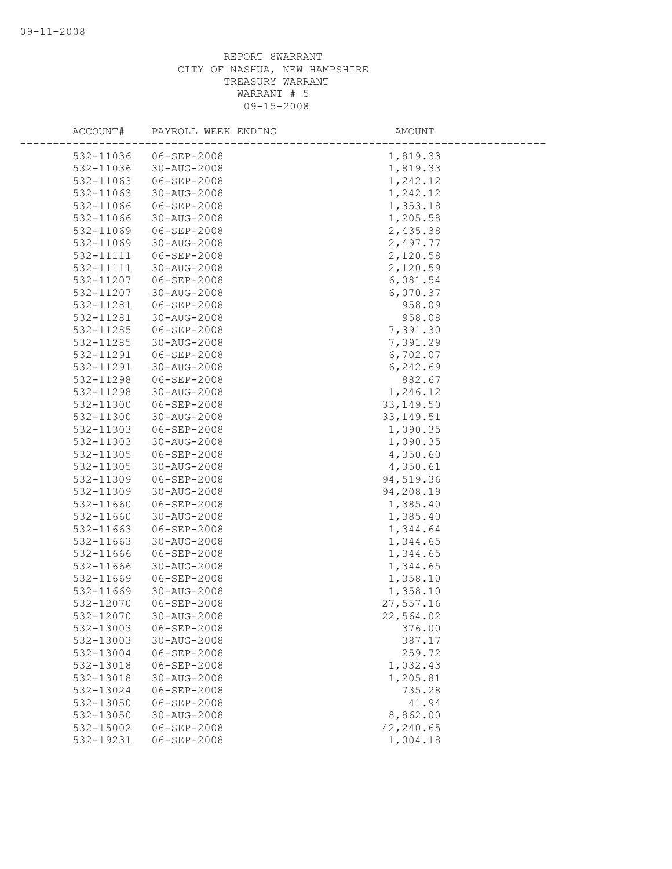| ACCOUNT#               | PAYROLL WEEK ENDING        | AMOUNT           |
|------------------------|----------------------------|------------------|
| 532-11036              | $06 - SEP - 2008$          | 1,819.33         |
| 532-11036              | 30-AUG-2008                | 1,819.33         |
| 532-11063              | 06-SEP-2008                | 1,242.12         |
| 532-11063              | 30-AUG-2008                | 1,242.12         |
| 532-11066              | 06-SEP-2008                | 1,353.18         |
| 532-11066              | 30-AUG-2008                | 1,205.58         |
| 532-11069              | 06-SEP-2008                | 2,435.38         |
| 532-11069              | 30-AUG-2008                | 2,497.77         |
| 532-11111              | $06 - SEP - 2008$          | 2,120.58         |
| 532-11111              | 30-AUG-2008                | 2,120.59         |
| 532-11207              | 06-SEP-2008                | 6,081.54         |
| 532-11207              | 30-AUG-2008                | 6,070.37         |
| 532-11281              | 06-SEP-2008                | 958.09           |
| 532-11281              | 30-AUG-2008                | 958.08           |
| 532-11285              | 06-SEP-2008                | 7,391.30         |
| 532-11285              | 30-AUG-2008                | 7,391.29         |
| 532-11291              | 06-SEP-2008                | 6,702.07         |
| 532-11291              | 30-AUG-2008                | 6,242.69         |
| 532-11298              | 06-SEP-2008                | 882.67           |
| 532-11298              | 30-AUG-2008                | 1,246.12         |
| 532-11300              | 06-SEP-2008                | 33, 149.50       |
| 532-11300              | 30-AUG-2008                | 33, 149.51       |
| 532-11303              | 06-SEP-2008                | 1,090.35         |
| 532-11303              | 30-AUG-2008                | 1,090.35         |
| 532-11305              | 06-SEP-2008                | 4,350.60         |
| 532-11305              | 30-AUG-2008                | 4,350.61         |
| 532-11309              | $06 - SEP - 2008$          | 94,519.36        |
| 532-11309              | 30-AUG-2008                | 94,208.19        |
| 532-11660              | 06-SEP-2008                | 1,385.40         |
| 532-11660              | 30-AUG-2008                | 1,385.40         |
| 532-11663              | 06-SEP-2008                | 1,344.64         |
| 532-11663              | 30-AUG-2008                | 1,344.65         |
| 532-11666              | 06-SEP-2008                | 1,344.65         |
| 532-11666              | 30-AUG-2008                | 1,344.65         |
| 532-11669              | 06-SEP-2008                | 1,358.10         |
| 532-11669<br>532-12070 | 30-AUG-2008<br>06-SEP-2008 | 1,358.10         |
|                        | 30-AUG-2008                | 27,557.16        |
| 532-12070              |                            | 22,564.02        |
| 532-13003<br>532-13003 | 06-SEP-2008<br>30-AUG-2008 | 376.00<br>387.17 |
| 532-13004              | 06-SEP-2008                | 259.72           |
| 532-13018              | 06-SEP-2008                | 1,032.43         |
| 532-13018              | 30-AUG-2008                | 1,205.81         |
| 532-13024              | $06 - SEP - 2008$          | 735.28           |
| 532-13050              | 06-SEP-2008                | 41.94            |
| 532-13050              | 30-AUG-2008                | 8,862.00         |
| 532-15002              | 06-SEP-2008                | 42,240.65        |
| 532-19231              | 06-SEP-2008                | 1,004.18         |
|                        |                            |                  |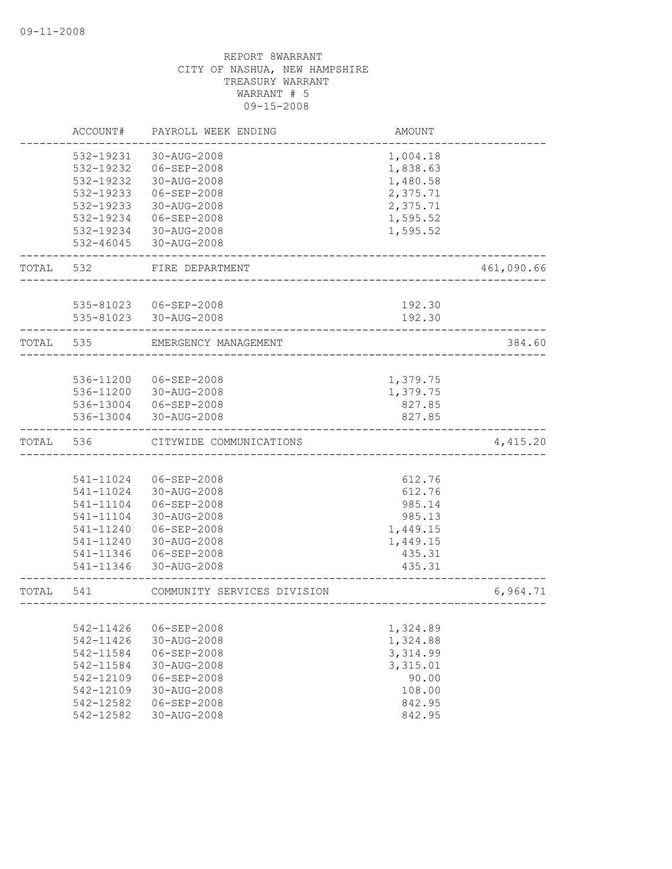|           | ACCOUNT#               | PAYROLL WEEK ENDING              | AMOUNT           |            |
|-----------|------------------------|----------------------------------|------------------|------------|
|           | 532-19231              | 30-AUG-2008                      | 1,004.18         |            |
|           | 532-19232              | $06 - SEP - 2008$                | 1,838.63         |            |
|           | 532-19232              | 30-AUG-2008                      | 1,480.58         |            |
|           | 532-19233              | 06-SEP-2008                      | 2,375.71         |            |
|           | 532-19233              | 30-AUG-2008                      | 2,375.71         |            |
|           | 532-19234              | $06 - SEP - 2008$                | 1,595.52         |            |
|           | 532-19234              | 30-AUG-2008                      | 1,595.52         |            |
|           | 532-46045              | 30-AUG-2008                      |                  |            |
| TOTAL     | 532                    | FIRE DEPARTMENT                  |                  | 461,090.66 |
|           | 535-81023              | 06-SEP-2008                      |                  |            |
|           |                        | 535-81023 30-AUG-2008            | 192.30<br>192.30 |            |
| TOTAL 535 |                        | EMERGENCY MANAGEMENT             |                  | 384.60     |
|           |                        |                                  |                  |            |
|           | 536-11200              | 06-SEP-2008                      | 1,379.75         |            |
|           |                        | 536-11200 30-AUG-2008            | 1,379.75         |            |
|           |                        | 536-13004 06-SEP-2008            | 827.85           |            |
|           | 536-13004              | 30-AUG-2008                      | 827.85           |            |
| TOTAL     | 536                    | CITYWIDE COMMUNICATIONS          |                  | 4,415.20   |
|           |                        |                                  |                  |            |
|           | 541-11024              | 06-SEP-2008                      | 612.76           |            |
|           | 541-11024              | 30-AUG-2008                      | 612.76           |            |
|           | 541-11104              | $06 - SEP - 2008$                | 985.14           |            |
|           | 541-11104              | 30-AUG-2008                      | 985.13           |            |
|           | 541-11240              | 06-SEP-2008                      | 1,449.15         |            |
|           | 541-11240              | 30-AUG-2008                      | 1,449.15         |            |
|           | 541-11346<br>541-11346 | 06-SEP-2008<br>$30 - AUG - 2008$ | 435.31<br>435.31 |            |
| TOTAL     | 541                    | COMMUNITY SERVICES DIVISION      |                  | 6,964.71   |
|           |                        |                                  |                  |            |
|           | 542-11426              | 06-SEP-2008                      | 1,324.89         |            |
|           | 542-11426              | 30-AUG-2008                      | 1,324.88         |            |
|           | 542-11584              | 06-SEP-2008                      | 3,314.99         |            |
|           | 542-11584              | 30-AUG-2008                      | 3,315.01         |            |
|           | 542-12109              | $06 - SEP - 2008$                | 90.00            |            |
|           | 542-12109              | 30-AUG-2008                      | 108.00           |            |
|           |                        |                                  |                  |            |
|           | 542-12582<br>542-12582 | 06-SEP-2008<br>30-AUG-2008       | 842.95<br>842.95 |            |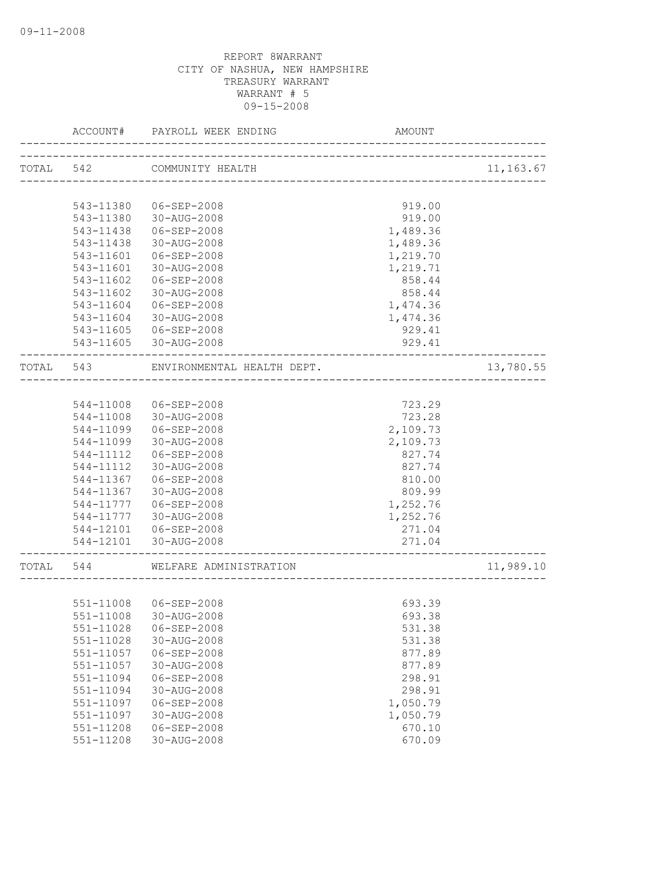|           | ACCOUNT#      | PAYROLL WEEK ENDING                                      | AMOUNT                |           |
|-----------|---------------|----------------------------------------------------------|-----------------------|-----------|
|           |               | TOTAL 542 COMMUNITY HEALTH<br>-------------------------- |                       | 11,163.67 |
|           |               |                                                          |                       |           |
|           | 543-11380     | 06-SEP-2008                                              | 919.00                |           |
|           | 543-11380     | 30-AUG-2008                                              | 919.00                |           |
|           | 543-11438     | 06-SEP-2008                                              | 1,489.36              |           |
|           | 543-11438     | 30-AUG-2008                                              | 1,489.36              |           |
|           | 543-11601     | $06 - SEP - 2008$                                        | 1,219.70              |           |
|           | 543-11601     | 30-AUG-2008                                              | 1,219.71              |           |
|           | 543-11602     | $06 - SEP - 2008$                                        | 858.44                |           |
|           | 543-11602     | 30-AUG-2008                                              | 858.44                |           |
|           | 543-11604     | 06-SEP-2008                                              | 1,474.36              |           |
|           | 543-11604     | 30-AUG-2008                                              | 1,474.36              |           |
|           | 543-11605     | $06 - SEP - 2008$                                        | 929.41                |           |
|           |               | 543-11605 30-AUG-2008                                    | 929.41                |           |
| TOTAL 543 |               | ENVIRONMENTAL HEALTH DEPT.                               |                       | 13,780.55 |
|           |               |                                                          |                       |           |
|           | 544-11008     | 06-SEP-2008                                              | 723.29                |           |
|           | 544-11008     | 30-AUG-2008                                              | 723.28                |           |
|           | 544-11099     | 06-SEP-2008                                              | 2,109.73              |           |
|           | 544-11099     | 30-AUG-2008                                              | 2,109.73              |           |
|           | 544-11112     | 06-SEP-2008                                              | 827.74                |           |
|           | 544-11112     | 30-AUG-2008                                              | 827.74                |           |
|           | 544-11367     | 06-SEP-2008                                              | 810.00                |           |
|           | 544-11367     | 30-AUG-2008                                              | 809.99                |           |
|           | 544-11777     | $06 - SEP - 2008$                                        | 1,252.76              |           |
|           | 544-11777     | 30-AUG-2008                                              | 1,252.76              |           |
|           |               | 544-12101 06-SEP-2008                                    | 271.04                |           |
|           |               | 544-12101 30-AUG-2008                                    | 271.04                |           |
| TOTAL     | 544           | WELFARE ADMINISTRATION                                   | _____________________ | 11,989.10 |
|           |               |                                                          |                       |           |
|           | 551-11008     | $06 - SEP - 2008$                                        | 693.39                |           |
|           |               | 551-11008 30-AUG-2008                                    | 693.38                |           |
|           | 551-11028     | 06-SEP-2008                                              | 531.38                |           |
|           | 551-11028     | 30-AUG-2008                                              | 531.38                |           |
|           | 551-11057     | $06 - SEP - 2008$                                        | 877.89                |           |
|           | 551-11057     | 30-AUG-2008                                              | 877.89                |           |
|           | 551-11094     | 06-SEP-2008                                              | 298.91                |           |
|           | 551-11094     | 30-AUG-2008                                              | 298.91                |           |
|           | 551-11097     | $06 - SEP - 2008$                                        | 1,050.79              |           |
|           | 551-11097     | 30-AUG-2008                                              | 1,050.79              |           |
|           | 551-11208     | $06 - SEP - 2008$                                        | 670.10                |           |
|           | $551 - 11208$ | 30-AUG-2008                                              | 670.09                |           |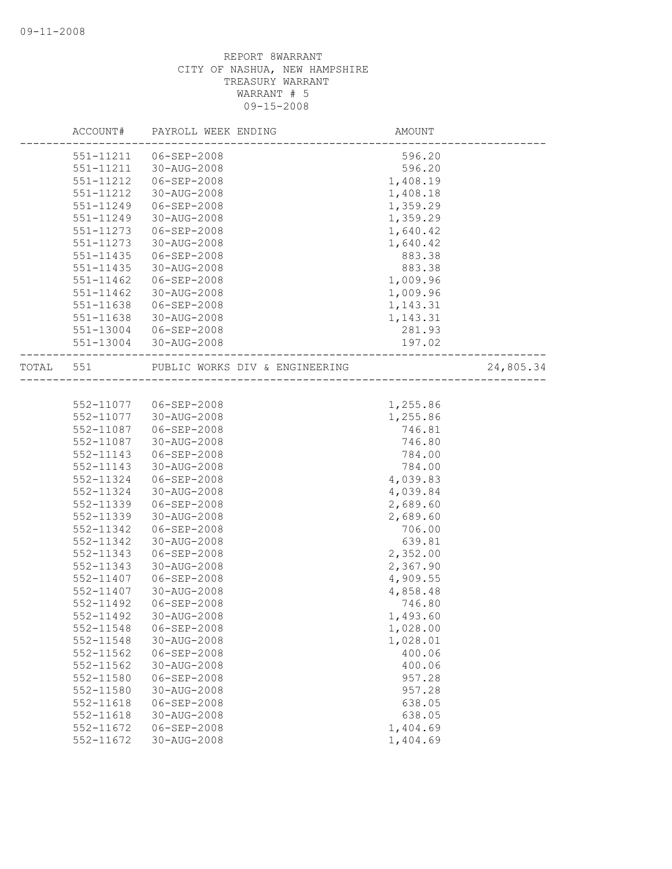|       | ACCOUNT#  | PAYROLL WEEK ENDING            | AMOUNT   |           |
|-------|-----------|--------------------------------|----------|-----------|
|       | 551-11211 | 06-SEP-2008                    | 596.20   |           |
|       | 551-11211 | 30-AUG-2008                    | 596.20   |           |
|       | 551-11212 | 06-SEP-2008                    | 1,408.19 |           |
|       | 551-11212 | 30-AUG-2008                    | 1,408.18 |           |
|       | 551-11249 | 06-SEP-2008                    | 1,359.29 |           |
|       | 551-11249 | 30-AUG-2008                    | 1,359.29 |           |
|       | 551-11273 | 06-SEP-2008                    | 1,640.42 |           |
|       | 551-11273 | 30-AUG-2008                    | 1,640.42 |           |
|       | 551-11435 | 06-SEP-2008                    | 883.38   |           |
|       | 551-11435 | 30-AUG-2008                    | 883.38   |           |
|       | 551-11462 | 06-SEP-2008                    | 1,009.96 |           |
|       | 551-11462 | 30-AUG-2008                    | 1,009.96 |           |
|       | 551-11638 | 06-SEP-2008                    | 1,143.31 |           |
|       | 551-11638 | 30-AUG-2008                    | 1,143.31 |           |
|       | 551-13004 | 06-SEP-2008                    | 281.93   |           |
|       | 551-13004 | 30-AUG-2008                    | 197.02   |           |
| TOTAL | 551       | PUBLIC WORKS DIV & ENGINEERING |          | 24,805.34 |
|       |           |                                |          |           |
|       | 552-11077 | 06-SEP-2008                    | 1,255.86 |           |
|       | 552-11077 | 30-AUG-2008                    | 1,255.86 |           |
|       | 552-11087 | 06-SEP-2008                    | 746.81   |           |
|       | 552-11087 | 30-AUG-2008                    | 746.80   |           |
|       | 552-11143 | 06-SEP-2008                    | 784.00   |           |
|       | 552-11143 | 30-AUG-2008                    | 784.00   |           |
|       | 552-11324 | 06-SEP-2008                    | 4,039.83 |           |
|       | 552-11324 | 30-AUG-2008                    | 4,039.84 |           |
|       | 552-11339 | 06-SEP-2008                    | 2,689.60 |           |
|       | 552-11339 | 30-AUG-2008                    | 2,689.60 |           |
|       | 552-11342 | $06 - SEP - 2008$              | 706.00   |           |
|       | 552-11342 | 30-AUG-2008                    | 639.81   |           |
|       | 552-11343 | 06-SEP-2008                    | 2,352.00 |           |
|       | 552-11343 | 30-AUG-2008                    | 2,367.90 |           |
|       | 552-11407 | 06-SEP-2008                    | 4,909.55 |           |
|       | 552-11407 | 30-AUG-2008                    | 4,858.48 |           |
|       | 552-11492 | 06-SEP-2008                    | 746.80   |           |
|       | 552-11492 | 30-AUG-2008                    | 1,493.60 |           |
|       | 552-11548 | 06-SEP-2008                    | 1,028.00 |           |
|       | 552-11548 | 30-AUG-2008                    | 1,028.01 |           |
|       | 552-11562 | 06-SEP-2008                    | 400.06   |           |
|       | 552-11562 | 30-AUG-2008                    | 400.06   |           |
|       | 552-11580 | 06-SEP-2008                    | 957.28   |           |
|       | 552-11580 | 30-AUG-2008                    | 957.28   |           |
|       | 552-11618 | 06-SEP-2008                    | 638.05   |           |
|       | 552-11618 | 30-AUG-2008                    | 638.05   |           |
|       | 552-11672 | 06-SEP-2008                    | 1,404.69 |           |
|       | 552-11672 | 30-AUG-2008                    | 1,404.69 |           |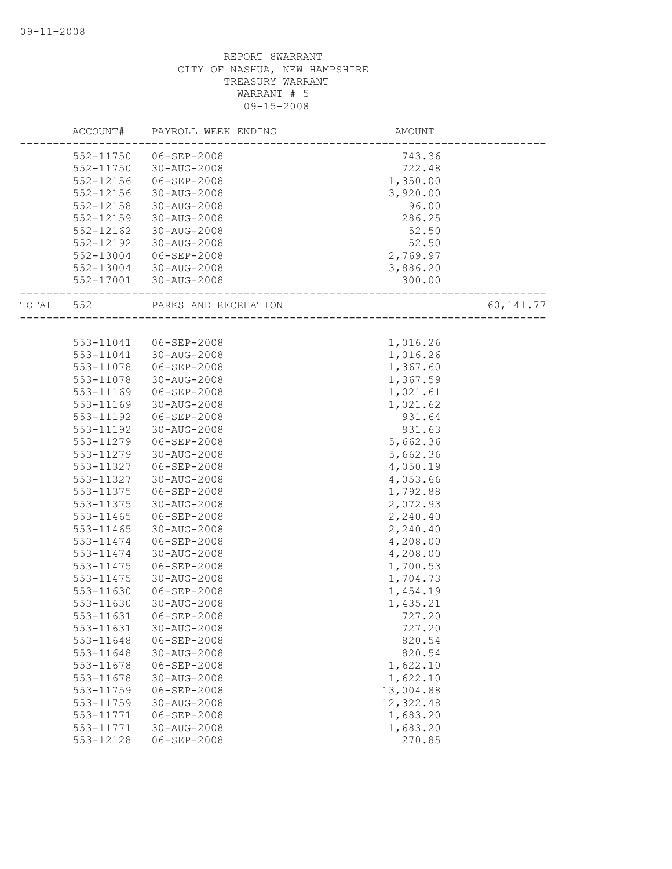|       | ACCOUNT#  | PAYROLL WEEK ENDING  | AMOUNT    |             |
|-------|-----------|----------------------|-----------|-------------|
|       | 552-11750 | 06-SEP-2008          | 743.36    |             |
|       | 552-11750 | 30-AUG-2008          | 722.48    |             |
|       | 552-12156 | 06-SEP-2008          | 1,350.00  |             |
|       | 552-12156 | 30-AUG-2008          | 3,920.00  |             |
|       | 552-12158 | 30-AUG-2008          | 96.00     |             |
|       | 552-12159 | 30-AUG-2008          | 286.25    |             |
|       | 552-12162 | 30-AUG-2008          | 52.50     |             |
|       | 552-12192 | 30-AUG-2008          | 52.50     |             |
|       | 552-13004 | 06-SEP-2008          | 2,769.97  |             |
|       | 552-13004 | 30-AUG-2008          | 3,886.20  |             |
|       | 552-17001 | 30-AUG-2008          | 300.00    |             |
| TOTAL | 552       | PARKS AND RECREATION |           | 60, 141. 77 |
|       |           |                      |           |             |
|       | 553-11041 | 06-SEP-2008          | 1,016.26  |             |
|       | 553-11041 | 30-AUG-2008          | 1,016.26  |             |
|       | 553-11078 | 06-SEP-2008          | 1,367.60  |             |
|       | 553-11078 | 30-AUG-2008          | 1,367.59  |             |
|       | 553-11169 | 06-SEP-2008          | 1,021.61  |             |
|       | 553-11169 | 30-AUG-2008          | 1,021.62  |             |
|       | 553-11192 | 06-SEP-2008          | 931.64    |             |
|       | 553-11192 | 30-AUG-2008          | 931.63    |             |
|       | 553-11279 | 06-SEP-2008          | 5,662.36  |             |
|       | 553-11279 | 30-AUG-2008          | 5,662.36  |             |
|       | 553-11327 | 06-SEP-2008          | 4,050.19  |             |
|       | 553-11327 | 30-AUG-2008          | 4,053.66  |             |
|       | 553-11375 | 06-SEP-2008          | 1,792.88  |             |
|       | 553-11375 | 30-AUG-2008          | 2,072.93  |             |
|       | 553-11465 | 06-SEP-2008          | 2,240.40  |             |
|       | 553-11465 | 30-AUG-2008          | 2,240.40  |             |
|       | 553-11474 | 06-SEP-2008          | 4,208.00  |             |
|       | 553-11474 | 30-AUG-2008          | 4,208.00  |             |
|       | 553-11475 | $06 - SEP - 2008$    | 1,700.53  |             |
|       | 553-11475 | 30-AUG-2008          | 1,704.73  |             |
|       | 553-11630 | $06 - SEP - 2008$    | 1,454.19  |             |
|       | 553-11630 | 30-AUG-2008          | 1,435.21  |             |
|       | 553-11631 | 06-SEP-2008          | 727.20    |             |
|       | 553-11631 | 30-AUG-2008          | 727.20    |             |
|       | 553-11648 | $06 - SEP - 2008$    | 820.54    |             |
|       | 553-11648 | 30-AUG-2008          | 820.54    |             |
|       | 553-11678 | $06 - SEP - 2008$    | 1,622.10  |             |
|       | 553-11678 | 30-AUG-2008          | 1,622.10  |             |
|       | 553-11759 | 06-SEP-2008          | 13,004.88 |             |
|       | 553-11759 | 30-AUG-2008          | 12,322.48 |             |
|       | 553-11771 | $06 - SEP - 2008$    | 1,683.20  |             |
|       | 553-11771 | 30-AUG-2008          | 1,683.20  |             |
|       | 553-12128 | $06 - SEP - 2008$    | 270.85    |             |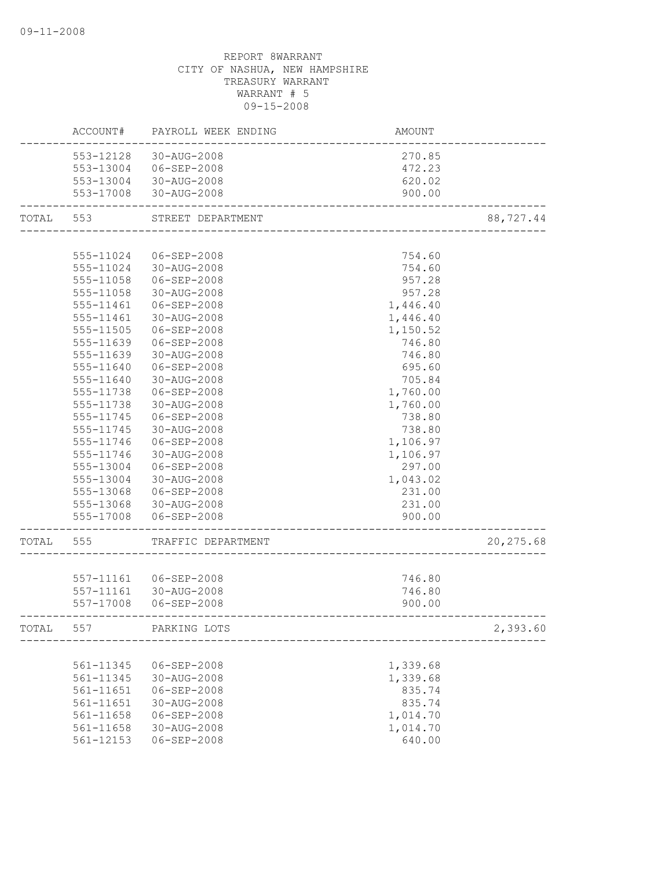|       | ACCOUNT#  | PAYROLL WEEK ENDING   | AMOUNT   |            |
|-------|-----------|-----------------------|----------|------------|
|       |           | 553-12128 30-AUG-2008 | 270.85   |            |
|       |           | 553-13004 06-SEP-2008 | 472.23   |            |
|       |           | 553-13004 30-AUG-2008 | 620.02   |            |
|       |           | 553-17008 30-AUG-2008 | 900.00   |            |
| TOTAL | 553       | STREET DEPARTMENT     |          | 88,727.44  |
|       |           |                       |          |            |
|       | 555-11024 | 06-SEP-2008           | 754.60   |            |
|       | 555-11024 | 30-AUG-2008           | 754.60   |            |
|       | 555-11058 | 06-SEP-2008           | 957.28   |            |
|       | 555-11058 | 30-AUG-2008           | 957.28   |            |
|       | 555-11461 | 06-SEP-2008           | 1,446.40 |            |
|       | 555-11461 | 30-AUG-2008           | 1,446.40 |            |
|       | 555-11505 | 06-SEP-2008           | 1,150.52 |            |
|       | 555-11639 | 06-SEP-2008           | 746.80   |            |
|       | 555-11639 | 30-AUG-2008           | 746.80   |            |
|       | 555-11640 | $06 - SEP - 2008$     | 695.60   |            |
|       | 555-11640 | 30-AUG-2008           | 705.84   |            |
|       | 555-11738 | 06-SEP-2008           | 1,760.00 |            |
|       | 555-11738 | 30-AUG-2008           | 1,760.00 |            |
|       | 555-11745 | $06 - SEP - 2008$     | 738.80   |            |
|       | 555-11745 | 30-AUG-2008           | 738.80   |            |
|       | 555-11746 | 06-SEP-2008           | 1,106.97 |            |
|       | 555-11746 | 30-AUG-2008           | 1,106.97 |            |
|       | 555-13004 | 06-SEP-2008           | 297.00   |            |
|       | 555-13004 | 30-AUG-2008           | 1,043.02 |            |
|       | 555-13068 | 06-SEP-2008           | 231.00   |            |
|       | 555-13068 | 30-AUG-2008           | 231.00   |            |
|       | 555-17008 | 06-SEP-2008           | 900.00   |            |
| TOTAL | 555       | TRAFFIC DEPARTMENT    |          | 20, 275.68 |
|       |           |                       |          |            |
|       | 557-11161 | 06-SEP-2008           | 746.80   |            |
|       | 557-11161 | 30-AUG-2008           | 746.80   |            |
|       | 557-17008 | 06-SEP-2008           | 900.00   |            |
| TOTAL | 557       | PARKING LOTS          |          | 2,393.60   |
|       |           |                       |          |            |
|       | 561-11345 | $06 - SEP - 2008$     | 1,339.68 |            |
|       | 561-11345 | 30-AUG-2008           | 1,339.68 |            |
|       | 561-11651 | 06-SEP-2008           | 835.74   |            |
|       | 561-11651 | 30-AUG-2008           | 835.74   |            |
|       | 561-11658 | $06 - SEP - 2008$     | 1,014.70 |            |
|       | 561-11658 | 30-AUG-2008           | 1,014.70 |            |
|       | 561-12153 | $06 - SEP - 2008$     | 640.00   |            |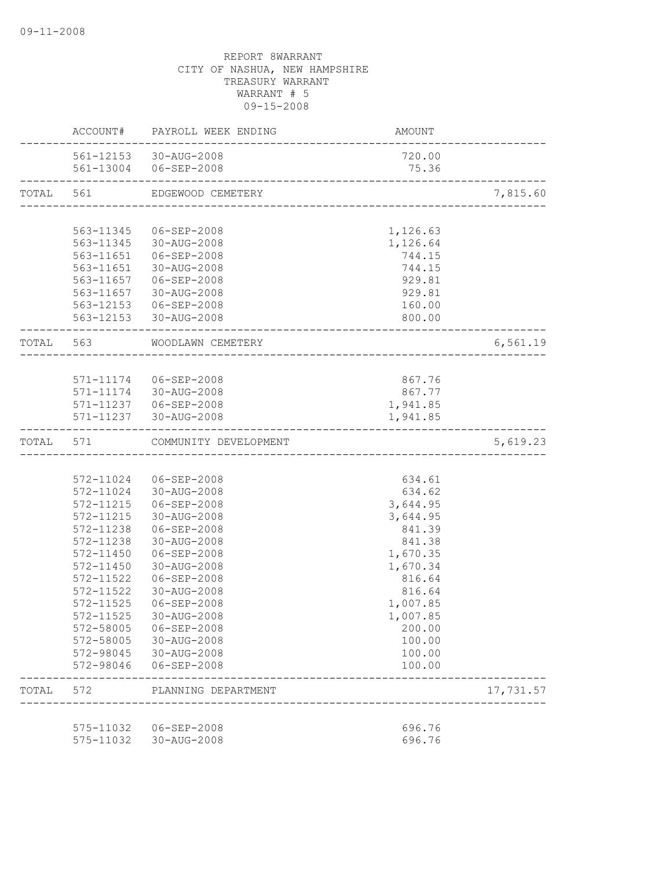|           |                        | ACCOUNT# PAYROLL WEEK ENDING | AMOUNT                    |           |
|-----------|------------------------|------------------------------|---------------------------|-----------|
|           |                        | 561-12153 30-AUG-2008        | 720.00                    |           |
|           |                        | 561-13004 06-SEP-2008        | 75.36                     |           |
| TOTAL 561 |                        | EDGEWOOD CEMETERY            |                           | 7,815.60  |
|           |                        |                              |                           |           |
|           | 563-11345              | 06-SEP-2008                  | 1,126.63                  |           |
|           |                        | 563-11345 30-AUG-2008        | 1,126.64                  |           |
|           |                        | 563-11651  06-SEP-2008       | 744.15                    |           |
|           |                        | 563-11651 30-AUG-2008        | 744.15                    |           |
|           |                        | 563-11657 06-SEP-2008        | 929.81                    |           |
|           |                        | 563-11657 30-AUG-2008        | 929.81                    |           |
|           |                        | 563-12153 06-SEP-2008        | 160.00                    |           |
|           |                        | 563-12153 30-AUG-2008        | 800.00                    |           |
|           | TOTAL 563              | WOODLAWN CEMETERY            | _________________________ | 6,561.19  |
|           |                        |                              |                           |           |
|           |                        | 571-11174 06-SEP-2008        | 867.76                    |           |
|           |                        | 571-11174 30-AUG-2008        | 867.77                    |           |
|           |                        | 571-11237 06-SEP-2008        | 1,941.85                  |           |
|           |                        | 571-11237 30-AUG-2008        | 1,941.85                  |           |
| TOTAL 571 |                        | COMMUNITY DEVELOPMENT        |                           | 5,619.23  |
|           |                        |                              |                           |           |
|           |                        | 572-11024 06-SEP-2008        | 634.61                    |           |
|           |                        | 572-11024 30-AUG-2008        | 634.62                    |           |
|           | 572-11215              | 06-SEP-2008                  | 3,644.95                  |           |
|           | 572-11215              | 30-AUG-2008                  | 3,644.95                  |           |
|           | 572-11238              | 06-SEP-2008                  | 841.39                    |           |
|           | 572-11238              | 30-AUG-2008                  | 841.38                    |           |
|           | 572-11450              | $06 - SEP - 2008$            | 1,670.35                  |           |
|           | 572-11450              | 30-AUG-2008                  | 1,670.34                  |           |
|           | 572-11522              | 06-SEP-2008                  | 816.64                    |           |
|           | 572-11522              | 30-AUG-2008                  | 816.64                    |           |
|           | 572-11525              | 06-SEP-2008                  | 1,007.85                  |           |
|           | 572-11525              | 30-AUG-2008                  | 1,007.85                  |           |
|           | 572-58005              | 06-SEP-2008                  | 200.00                    |           |
|           | 572-58005              | 30-AUG-2008                  | 100.00                    |           |
|           | 572-98045<br>572-98046 | 30-AUG-2008<br>06-SEP-2008   | 100.00<br>100.00          |           |
| TOTAL     | 572                    | PLANNING DEPARTMENT          |                           | 17,731.57 |
|           |                        |                              |                           |           |
|           | 575-11032              | 06-SEP-2008                  | 696.76                    |           |
|           | 575-11032              | 30-AUG-2008                  | 696.76                    |           |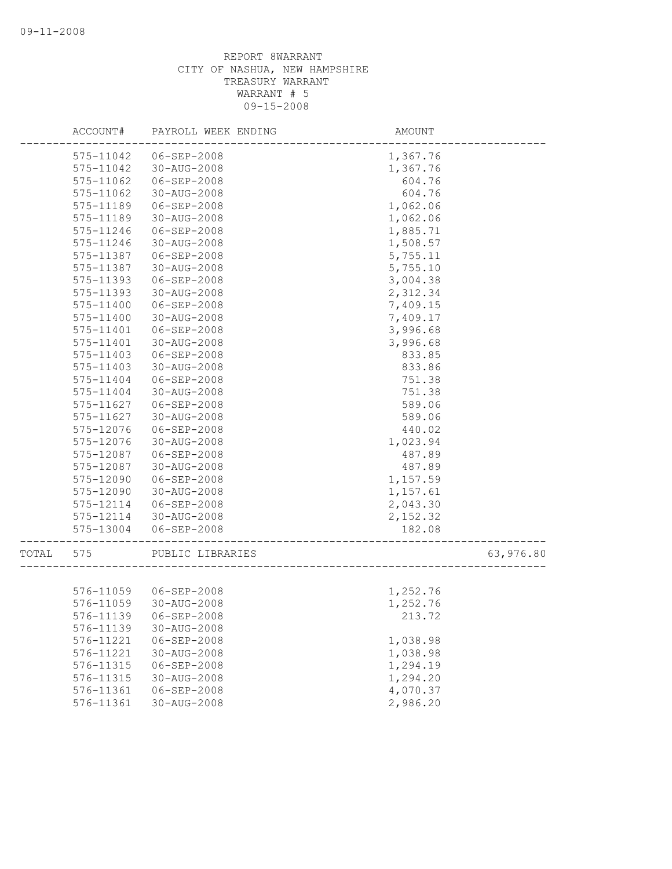|       | ACCOUNT#  | PAYROLL WEEK ENDING   | AMOUNT    |           |
|-------|-----------|-----------------------|-----------|-----------|
|       | 575-11042 | 06-SEP-2008           | 1,367.76  |           |
|       | 575-11042 | 30-AUG-2008           | 1,367.76  |           |
|       | 575-11062 | 06-SEP-2008           | 604.76    |           |
|       | 575-11062 | 30-AUG-2008           | 604.76    |           |
|       | 575-11189 | 06-SEP-2008           | 1,062.06  |           |
|       | 575-11189 | 30-AUG-2008           | 1,062.06  |           |
|       | 575-11246 | 06-SEP-2008           | 1,885.71  |           |
|       | 575-11246 | 30-AUG-2008           | 1,508.57  |           |
|       | 575-11387 | $06 - SEP - 2008$     | 5,755.11  |           |
|       | 575-11387 | 30-AUG-2008           | 5,755.10  |           |
|       | 575-11393 | 06-SEP-2008           | 3,004.38  |           |
|       | 575-11393 | 30-AUG-2008           | 2,312.34  |           |
|       | 575-11400 | 06-SEP-2008           | 7,409.15  |           |
|       | 575-11400 | 30-AUG-2008           | 7,409.17  |           |
|       | 575-11401 | 06-SEP-2008           | 3,996.68  |           |
|       | 575-11401 | 30-AUG-2008           | 3,996.68  |           |
|       | 575-11403 | 06-SEP-2008           | 833.85    |           |
|       | 575-11403 | 30-AUG-2008           | 833.86    |           |
|       | 575-11404 | 06-SEP-2008           | 751.38    |           |
|       | 575-11404 | $30 - AUG - 2008$     | 751.38    |           |
|       | 575-11627 | 06-SEP-2008           | 589.06    |           |
|       | 575-11627 | 30-AUG-2008           | 589.06    |           |
|       | 575-12076 | 06-SEP-2008           | 440.02    |           |
|       | 575-12076 | 30-AUG-2008           | 1,023.94  |           |
|       | 575-12087 | 06-SEP-2008           | 487.89    |           |
|       | 575-12087 | 30-AUG-2008           | 487.89    |           |
|       | 575-12090 | $06 - SEP - 2008$     | 1,157.59  |           |
|       | 575-12090 | 30-AUG-2008           | 1,157.61  |           |
|       | 575-12114 | 06-SEP-2008           | 2,043.30  |           |
|       | 575-12114 | 30-AUG-2008           | 2, 152.32 |           |
|       | 575-13004 | 06-SEP-2008           | 182.08    |           |
| TOTAL | 575       | PUBLIC LIBRARIES      |           | 63,976.80 |
|       |           |                       |           |           |
|       |           | 576-11059 06-SEP-2008 | 1,252.76  |           |
|       | 576-11059 | 30-AUG-2008           | 1,252.76  |           |
|       | 576-11139 | $06 - SEP - 2008$     | 213.72    |           |
|       | 576-11139 | 30-AUG-2008           |           |           |
|       | 576-11221 | 06-SEP-2008           | 1,038.98  |           |
|       | 576-11221 | 30-AUG-2008           | 1,038.98  |           |
|       | 576-11315 | $06 - SEP - 2008$     | 1,294.19  |           |
|       | 576-11315 | 30-AUG-2008           | 1,294.20  |           |
|       | 576-11361 | 06-SEP-2008           | 4,070.37  |           |
|       | 576-11361 | 30-AUG-2008           | 2,986.20  |           |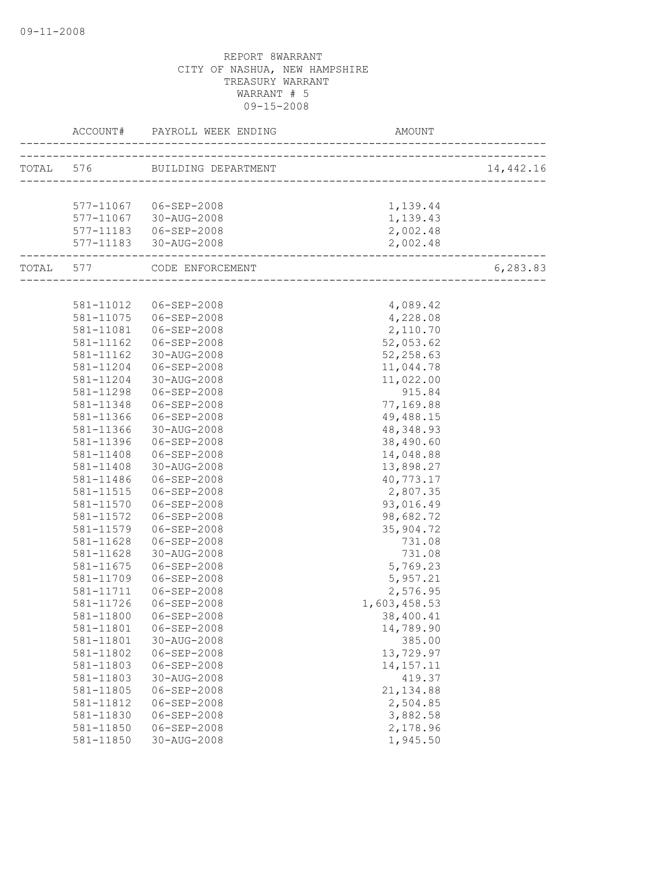|                  | ACCOUNT# PAYROLL WEEK ENDING                    | AMOUNT       |           |
|------------------|-------------------------------------------------|--------------|-----------|
|                  | TOTAL 576 BUILDING DEPARTMENT                   |              | 14,442.16 |
|                  |                                                 |              |           |
|                  | 577-11067 06-SEP-2008                           | 1,139.44     |           |
|                  |                                                 | 1,139.43     |           |
|                  | 577-11067 30-AUG-2008<br>577-11183  06-SEP-2008 | 2,002.48     |           |
|                  | 577-11183 30-AUG-2008                           | 2,002.48     |           |
| ---------------- | TOTAL 577 CODE ENFORCEMENT                      |              | 6,283.83  |
|                  |                                                 |              |           |
|                  |                                                 |              |           |
| 581-11012        | 06-SEP-2008                                     | 4,089.42     |           |
| 581-11075        | 06-SEP-2008                                     | 4,228.08     |           |
| 581-11081        | 06-SEP-2008                                     | 2,110.70     |           |
| 581-11162        | 06-SEP-2008                                     | 52,053.62    |           |
| 581-11162        | 30-AUG-2008                                     | 52,258.63    |           |
| 581-11204        | 06-SEP-2008                                     | 11,044.78    |           |
| 581-11204        | 30-AUG-2008                                     | 11,022.00    |           |
| 581-11298        | 06-SEP-2008                                     | 915.84       |           |
| 581-11348        | 06-SEP-2008                                     | 77,169.88    |           |
| 581-11366        | 06-SEP-2008                                     | 49,488.15    |           |
| 581-11366        | 30-AUG-2008                                     | 48, 348.93   |           |
| 581-11396        | 06-SEP-2008                                     | 38,490.60    |           |
| 581-11408        | 06-SEP-2008                                     | 14,048.88    |           |
| 581-11408        | 30-AUG-2008                                     | 13,898.27    |           |
| 581-11486        | 06-SEP-2008                                     | 40,773.17    |           |
| 581-11515        | 06-SEP-2008                                     | 2,807.35     |           |
| 581-11570        | 06-SEP-2008                                     | 93,016.49    |           |
| 581-11572        | 06-SEP-2008                                     | 98,682.72    |           |
| 581-11579        | 06-SEP-2008                                     | 35,904.72    |           |
| 581-11628        | 06-SEP-2008                                     | 731.08       |           |
| 581-11628        | 30-AUG-2008                                     | 731.08       |           |
| 581-11675        | 06-SEP-2008                                     | 5,769.23     |           |
| 581-11709        | $06 - SEP - 2008$                               | 5,957.21     |           |
| 581-11711        | 06-SEP-2008                                     | 2,576.95     |           |
| 581-11726        | 06-SEP-2008                                     | 1,603,458.53 |           |
|                  | 581-11800 06-SEP-2008                           | 38,400.41    |           |
| 581-11801        | 06-SEP-2008                                     | 14,789.90    |           |
| 581-11801        | 30-AUG-2008                                     | 385.00       |           |
| 581-11802        | 06-SEP-2008                                     | 13,729.97    |           |
| 581-11803        | 06-SEP-2008                                     | 14, 157. 11  |           |
| 581-11803        | 30-AUG-2008                                     | 419.37       |           |
| 581-11805        | 06-SEP-2008                                     | 21, 134.88   |           |
| 581-11812        | 06-SEP-2008                                     | 2,504.85     |           |
| 581-11830        | $06 - SEP - 2008$                               | 3,882.58     |           |
| 581-11850        | 06-SEP-2008                                     | 2,178.96     |           |
| 581-11850        | 30-AUG-2008                                     | 1,945.50     |           |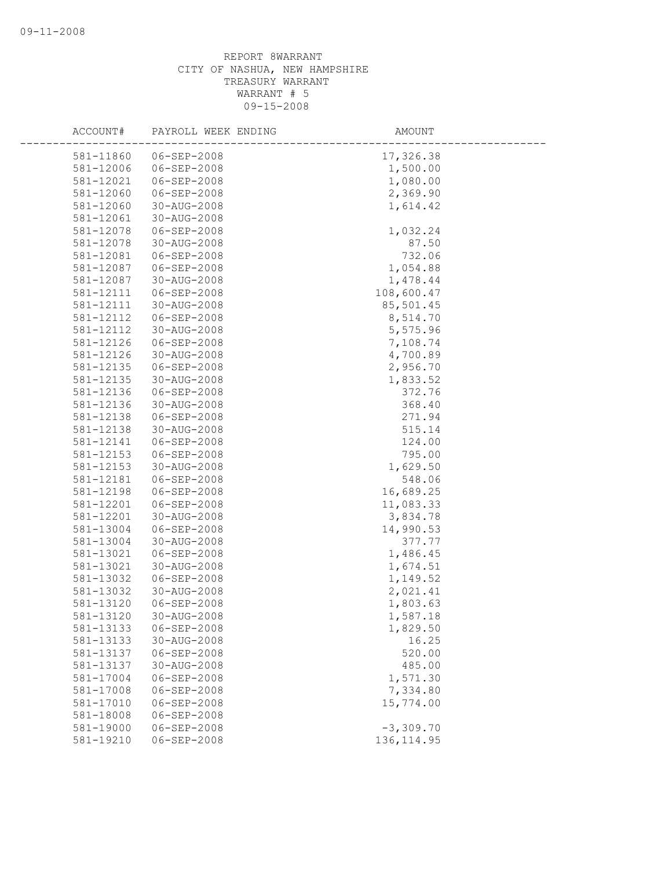| ACCOUNT#      | PAYROLL WEEK ENDING | AMOUNT      |
|---------------|---------------------|-------------|
| 581-11860     | 06-SEP-2008         | 17,326.38   |
| 581-12006     | $06 - SEP - 2008$   | 1,500.00    |
| 581-12021     | 06-SEP-2008         | 1,080.00    |
| 581-12060     | 06-SEP-2008         | 2,369.90    |
| 581-12060     | 30-AUG-2008         | 1,614.42    |
| 581-12061     | 30-AUG-2008         |             |
| 581-12078     | 06-SEP-2008         | 1,032.24    |
| 581-12078     | 30-AUG-2008         | 87.50       |
| 581-12081     | 06-SEP-2008         | 732.06      |
| 581-12087     | $06 - SEP - 2008$   | 1,054.88    |
| 581-12087     | 30-AUG-2008         | 1,478.44    |
| 581-12111     | 06-SEP-2008         | 108,600.47  |
| 581-12111     | 30-AUG-2008         | 85,501.45   |
| 581-12112     | $06 - SEP - 2008$   | 8,514.70    |
| 581-12112     | 30-AUG-2008         | 5,575.96    |
| 581-12126     | 06-SEP-2008         | 7,108.74    |
| 581-12126     | 30-AUG-2008         | 4,700.89    |
| 581-12135     | $06 - SEP - 2008$   | 2,956.70    |
| 581-12135     | 30-AUG-2008         | 1,833.52    |
| 581-12136     | 06-SEP-2008         | 372.76      |
| 581-12136     | 30-AUG-2008         | 368.40      |
| 581-12138     | 06-SEP-2008         | 271.94      |
| 581-12138     | 30-AUG-2008         | 515.14      |
| 581-12141     | 06-SEP-2008         | 124.00      |
| $581 - 12153$ | 06-SEP-2008         | 795.00      |
| 581-12153     | 30-AUG-2008         | 1,629.50    |
| 581-12181     | $06 - SEP - 2008$   | 548.06      |
| 581-12198     | $06 - SEP - 2008$   | 16,689.25   |
| 581-12201     | 06-SEP-2008         | 11,083.33   |
| 581-12201     | 30-AUG-2008         | 3,834.78    |
| 581-13004     | 06-SEP-2008         | 14,990.53   |
| 581-13004     | 30-AUG-2008         | 377.77      |
| 581-13021     | 06-SEP-2008         | 1,486.45    |
| 581-13021     | 30-AUG-2008         | 1,674.51    |
| 581-13032     | 06-SEP-2008         | 1,149.52    |
| 581-13032     | 30-AUG-2008         | 2,021.41    |
| 581-13120     | 06-SEP-2008         | 1,803.63    |
| 581-13120     | 30-AUG-2008         | 1,587.18    |
| 581-13133     | $06 - SEP - 2008$   | 1,829.50    |
| 581-13133     | 30-AUG-2008         | 16.25       |
| 581-13137     | $06 - SEP - 2008$   | 520.00      |
| 581-13137     | 30-AUG-2008         | 485.00      |
| 581-17004     | 06-SEP-2008         | 1,571.30    |
| 581-17008     | 06-SEP-2008         | 7,334.80    |
| 581-17010     | $06 - SEP - 2008$   | 15,774.00   |
| 581-18008     | 06-SEP-2008         |             |
| 581-19000     | $06 - SEP - 2008$   | $-3,309.70$ |
| 581-19210     | 06-SEP-2008         | 136, 114.95 |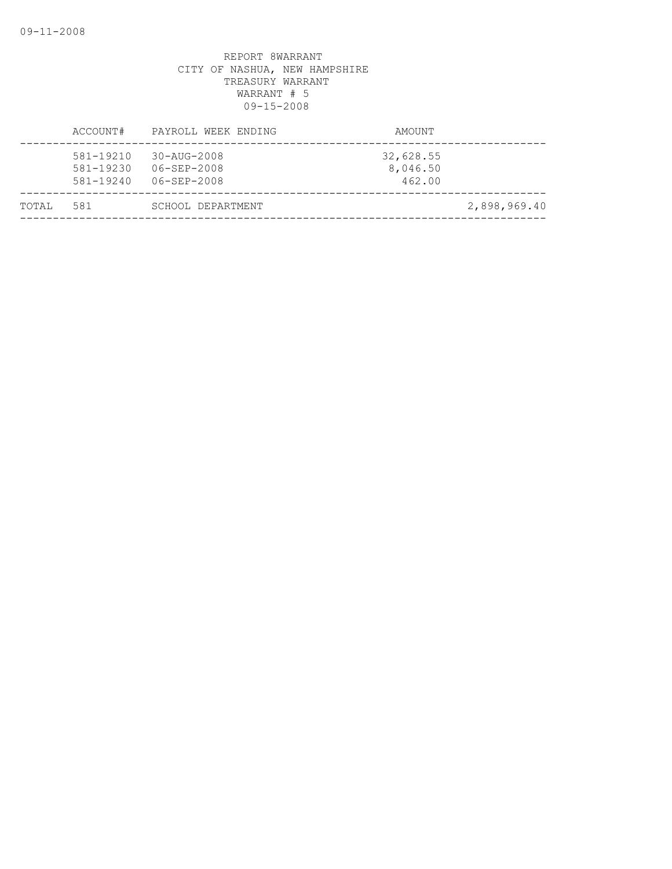| TOTAL | 581                                     | SCHOOL DEPARTMENT                                                  |                                 | 2,898,969.40 |
|-------|-----------------------------------------|--------------------------------------------------------------------|---------------------------------|--------------|
|       | 581-19210<br>581-19230<br>$581 - 19240$ | $30 - \text{AUG} - 2008$<br>$06 - SEP - 2008$<br>$06 - SEP - 2008$ | 32,628.55<br>8,046.50<br>462.00 |              |
|       | ACCOUNT#                                | PAYROLL WEEK ENDING                                                | AMOUNT                          |              |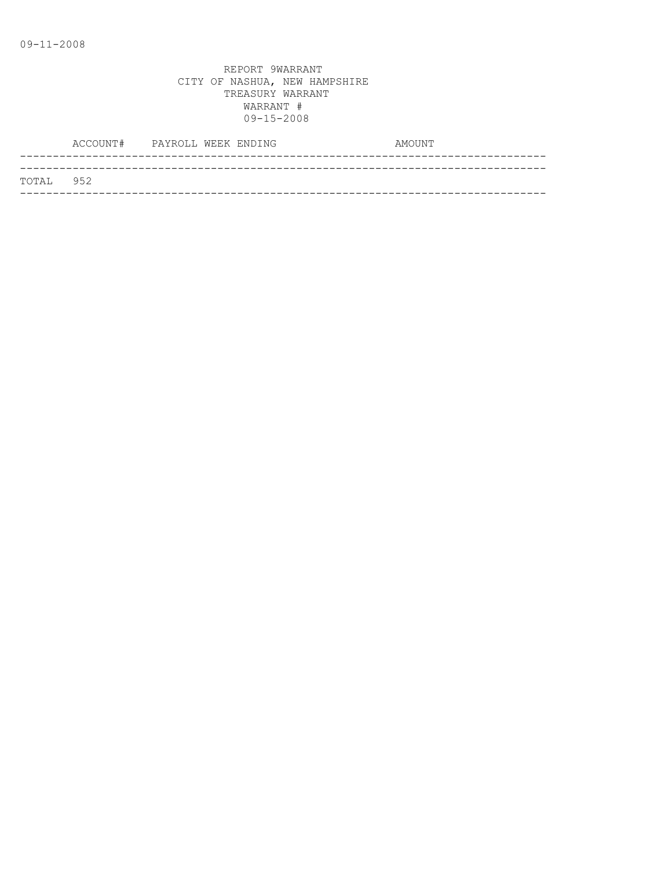|            | ACCOUNT# PAYROLL WEEK ENDING |  | AMOUNT |
|------------|------------------------------|--|--------|
|            |                              |  |        |
| ТОТАЈ, 952 |                              |  |        |
|            |                              |  |        |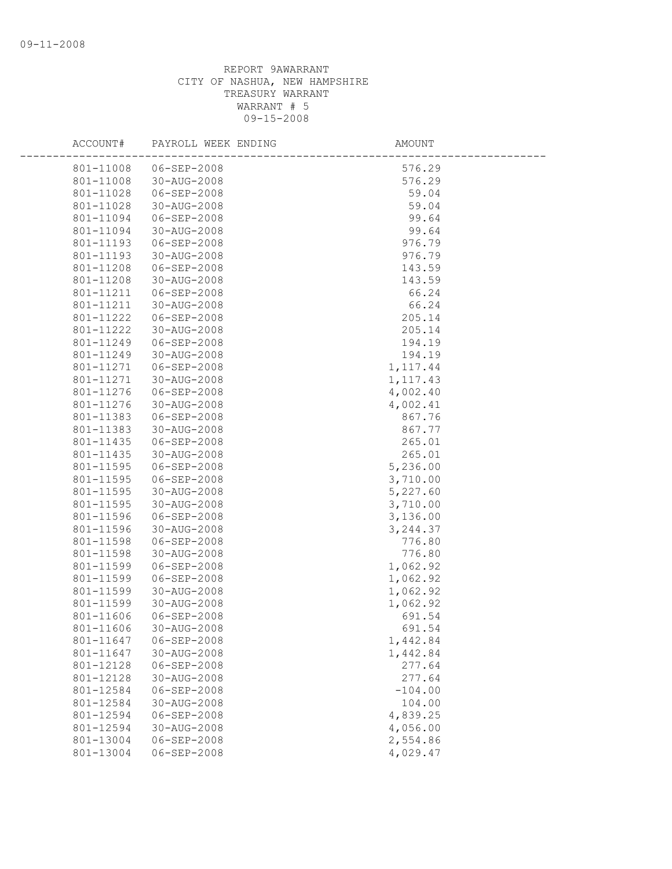| ACCOUNT#               | PAYROLL WEEK ENDING        | <b>AMOUNT</b>        |  |
|------------------------|----------------------------|----------------------|--|
| 801-11008              | 06-SEP-2008                | 576.29               |  |
| 801-11008              | 30-AUG-2008                | 576.29               |  |
| 801-11028              | 06-SEP-2008                | 59.04                |  |
| 801-11028              | 30-AUG-2008                | 59.04                |  |
| 801-11094              | 06-SEP-2008                | 99.64                |  |
| 801-11094              | 30-AUG-2008                | 99.64                |  |
| 801-11193              | 06-SEP-2008                | 976.79               |  |
| 801-11193              | 30-AUG-2008                | 976.79               |  |
| 801-11208              | 06-SEP-2008                | 143.59               |  |
| 801-11208              | 30-AUG-2008                | 143.59               |  |
| 801-11211              | 06-SEP-2008                | 66.24                |  |
| 801-11211              | 30-AUG-2008                | 66.24                |  |
| 801-11222              | 06-SEP-2008                | 205.14               |  |
| 801-11222              | 30-AUG-2008                | 205.14               |  |
| 801-11249              | $06 - SEP - 2008$          | 194.19               |  |
| 801-11249              | 30-AUG-2008                | 194.19               |  |
| 801-11271              | 06-SEP-2008                | 1,117.44             |  |
| 801-11271              | 30-AUG-2008                | 1, 117.43            |  |
| 801-11276              | 06-SEP-2008                | 4,002.40             |  |
| 801-11276              | 30-AUG-2008                | 4,002.41             |  |
| 801-11383              | 06-SEP-2008                | 867.76               |  |
| 801-11383              | 30-AUG-2008                | 867.77               |  |
| 801-11435              | 06-SEP-2008                | 265.01               |  |
| 801-11435              | 30-AUG-2008                | 265.01               |  |
| 801-11595              | 06-SEP-2008                | 5,236.00             |  |
| 801-11595              | 06-SEP-2008                | 3,710.00             |  |
| 801-11595              | 30-AUG-2008                | 5,227.60             |  |
| 801-11595              | 30-AUG-2008                | 3,710.00             |  |
| 801-11596              | 06-SEP-2008                | 3,136.00             |  |
| 801-11596              | 30-AUG-2008                | 3,244.37             |  |
| 801-11598              | 06-SEP-2008                | 776.80               |  |
| 801-11598              | 30-AUG-2008                | 776.80               |  |
| 801-11599<br>801-11599 | 06-SEP-2008<br>06-SEP-2008 | 1,062.92             |  |
| 801-11599              | 30-AUG-2008                | 1,062.92<br>1,062.92 |  |
| 801-11599              | 30-AUG-2008                | 1,062.92             |  |
| 801-11606              | 06-SEP-2008                | 691.54               |  |
| 801-11606              | 30-AUG-2008                | 691.54               |  |
| 801-11647              | 06-SEP-2008                | 1,442.84             |  |
| 801-11647              | 30-AUG-2008                | 1,442.84             |  |
| 801-12128              | $06 - SEP - 2008$          | 277.64               |  |
| 801-12128              | 30-AUG-2008                | 277.64               |  |
| 801-12584              | 06-SEP-2008                | $-104.00$            |  |
| 801-12584              | 30-AUG-2008                | 104.00               |  |
| 801-12594              | 06-SEP-2008                | 4,839.25             |  |
| 801-12594              | 30-AUG-2008                | 4,056.00             |  |
| 801-13004              | 06-SEP-2008                | 2,554.86             |  |
| 801-13004              | $06 - SEP - 2008$          | 4,029.47             |  |
|                        |                            |                      |  |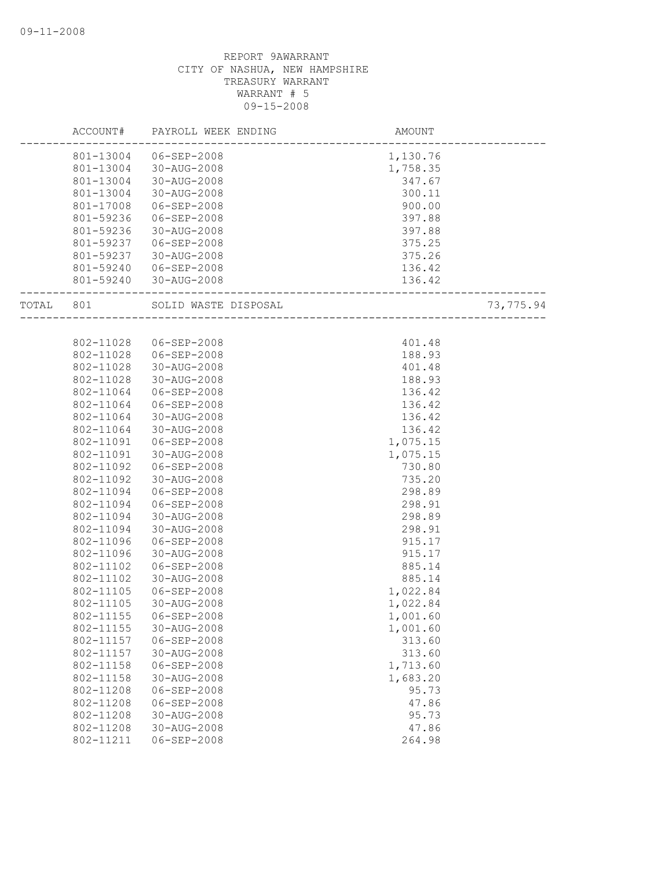|       | ACCOUNT#  | PAYROLL WEEK ENDING   | <b>AMOUNT</b> |           |
|-------|-----------|-----------------------|---------------|-----------|
|       |           | 801-13004 06-SEP-2008 | 1,130.76      |           |
|       |           | 801-13004 30-AUG-2008 | 1,758.35      |           |
|       | 801-13004 | 30-AUG-2008           | 347.67        |           |
|       | 801-13004 | 30-AUG-2008           | 300.11        |           |
|       | 801-17008 | 06-SEP-2008           | 900.00        |           |
|       | 801-59236 | 06-SEP-2008           | 397.88        |           |
|       | 801-59236 | 30-AUG-2008           | 397.88        |           |
|       | 801-59237 | 06-SEP-2008           | 375.25        |           |
|       | 801-59237 | 30-AUG-2008           | 375.26        |           |
|       | 801-59240 | 06-SEP-2008           | 136.42        |           |
|       |           | 801-59240 30-AUG-2008 | 136.42        |           |
| TOTAL | 801       | SOLID WASTE DISPOSAL  |               | 73,775.94 |
|       |           |                       |               |           |
|       | 802-11028 | 06-SEP-2008           | 401.48        |           |
|       | 802-11028 | 06-SEP-2008           | 188.93        |           |
|       | 802-11028 | 30-AUG-2008           | 401.48        |           |
|       | 802-11028 | 30-AUG-2008           | 188.93        |           |
|       | 802-11064 | 06-SEP-2008           | 136.42        |           |
|       | 802-11064 | 06-SEP-2008           | 136.42        |           |
|       | 802-11064 | 30-AUG-2008           | 136.42        |           |
|       | 802-11064 | 30-AUG-2008           | 136.42        |           |
|       | 802-11091 | 06-SEP-2008           | 1,075.15      |           |
|       | 802-11091 | 30-AUG-2008           | 1,075.15      |           |
|       | 802-11092 | 06-SEP-2008           | 730.80        |           |
|       | 802-11092 | 30-AUG-2008           | 735.20        |           |
|       | 802-11094 | 06-SEP-2008           | 298.89        |           |
|       | 802-11094 | $06 - SEP - 2008$     | 298.91        |           |
|       | 802-11094 | 30-AUG-2008           | 298.89        |           |
|       | 802-11094 | 30-AUG-2008           | 298.91        |           |
|       | 802-11096 | 06-SEP-2008           | 915.17        |           |
|       | 802-11096 | 30-AUG-2008           | 915.17        |           |
|       | 802-11102 | 06-SEP-2008           | 885.14        |           |
|       | 802-11102 | 30-AUG-2008           | 885.14        |           |
|       | 802-11105 | 06-SEP-2008           | 1,022.84      |           |
|       | 802-11105 | 30-AUG-2008           | 1,022.84      |           |
|       | 802-11155 | 06-SEP-2008           | 1,001.60      |           |
|       | 802-11155 | 30-AUG-2008           | 1,001.60      |           |
|       | 802-11157 | 06-SEP-2008           | 313.60        |           |
|       | 802-11157 | 30-AUG-2008           | 313.60        |           |
|       | 802-11158 | $06 - SEP - 2008$     | 1,713.60      |           |
|       | 802-11158 | 30-AUG-2008           | 1,683.20      |           |
|       | 802-11208 | $06 - SEP - 2008$     | 95.73         |           |
|       | 802-11208 | 06-SEP-2008           | 47.86         |           |
|       | 802-11208 | 30-AUG-2008           | 95.73         |           |
|       | 802-11208 | 30-AUG-2008           | 47.86         |           |
|       | 802-11211 | 06-SEP-2008           | 264.98        |           |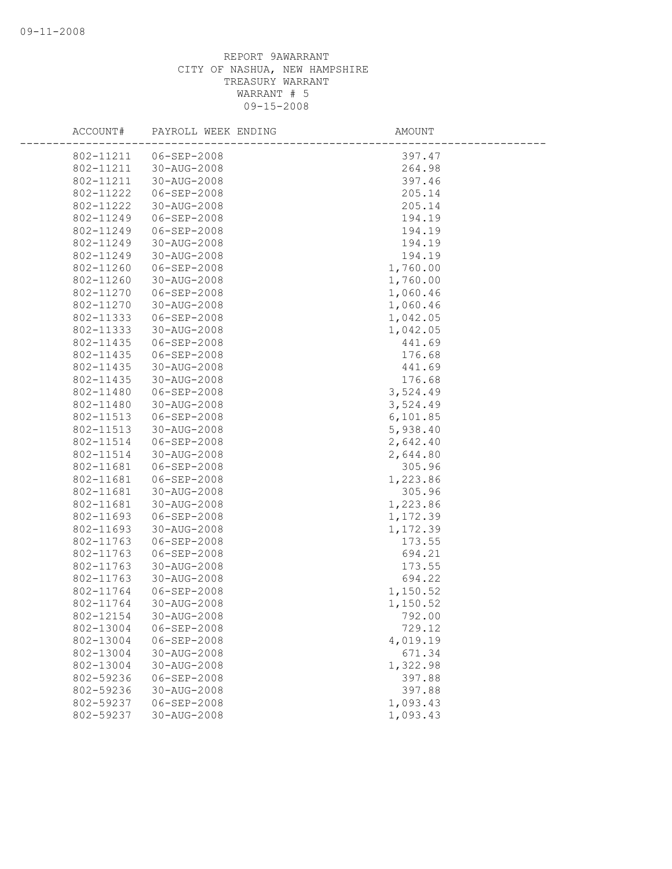| ACCOUNT#               | PAYROLL WEEK ENDING        | AMOUNT               |
|------------------------|----------------------------|----------------------|
| 802-11211              | 06-SEP-2008                | 397.47               |
| 802-11211              | 30-AUG-2008                | 264.98               |
| 802-11211              | 30-AUG-2008                | 397.46               |
| 802-11222              | 06-SEP-2008                | 205.14               |
| 802-11222              | 30-AUG-2008                | 205.14               |
| 802-11249              | 06-SEP-2008                | 194.19               |
| 802-11249              | 06-SEP-2008                | 194.19               |
| 802-11249              | 30-AUG-2008                | 194.19               |
| 802-11249              | 30-AUG-2008                | 194.19               |
| 802-11260              | 06-SEP-2008                | 1,760.00             |
| 802-11260              | 30-AUG-2008                | 1,760.00             |
| 802-11270              | 06-SEP-2008                | 1,060.46             |
| 802-11270              | 30-AUG-2008                | 1,060.46             |
| 802-11333              | 06-SEP-2008                | 1,042.05             |
| 802-11333              | 30-AUG-2008                | 1,042.05             |
| 802-11435              | 06-SEP-2008                | 441.69               |
| 802-11435              | 06-SEP-2008                | 176.68               |
| 802-11435              | 30-AUG-2008                | 441.69               |
| 802-11435              | 30-AUG-2008                | 176.68               |
| 802-11480              | 06-SEP-2008                | 3,524.49             |
| 802-11480              | 30-AUG-2008                | 3,524.49             |
| 802-11513              | 06-SEP-2008                | 6, 101.85            |
| 802-11513              | 30-AUG-2008                | 5,938.40<br>2,642.40 |
| 802-11514<br>802-11514 | 06-SEP-2008<br>30-AUG-2008 | 2,644.80             |
| 802-11681              | 06-SEP-2008                | 305.96               |
| 802-11681              | 06-SEP-2008                | 1,223.86             |
| 802-11681              | 30-AUG-2008                | 305.96               |
| 802-11681              | 30-AUG-2008                | 1,223.86             |
| 802-11693              | 06-SEP-2008                | 1,172.39             |
| 802-11693              | 30-AUG-2008                | 1,172.39             |
| 802-11763              | 06-SEP-2008                | 173.55               |
| 802-11763              | 06-SEP-2008                | 694.21               |
| 802-11763              | 30-AUG-2008                | 173.55               |
| 802-11763              | 30-AUG-2008                | 694.22               |
| 802-11764              | 06-SEP-2008                | 1,150.52             |
| 802-11764              | 30-AUG-2008                | 1,150.52             |
| 802-12154              | 30-AUG-2008                | 792.00               |
| 802-13004              | 06-SEP-2008                | 729.12               |
| 802-13004              | $06 - SEP - 2008$          | 4,019.19             |
| 802-13004              | $30 - AUG - 2008$          | 671.34               |
| 802-13004              | 30-AUG-2008                | 1,322.98             |
| 802-59236              | 06-SEP-2008                | 397.88               |
| 802-59236              | 30-AUG-2008                | 397.88               |
| 802-59237              | 06-SEP-2008                | 1,093.43             |
| 802-59237              | $30 - AUG - 2008$          | 1,093.43             |
|                        |                            |                      |